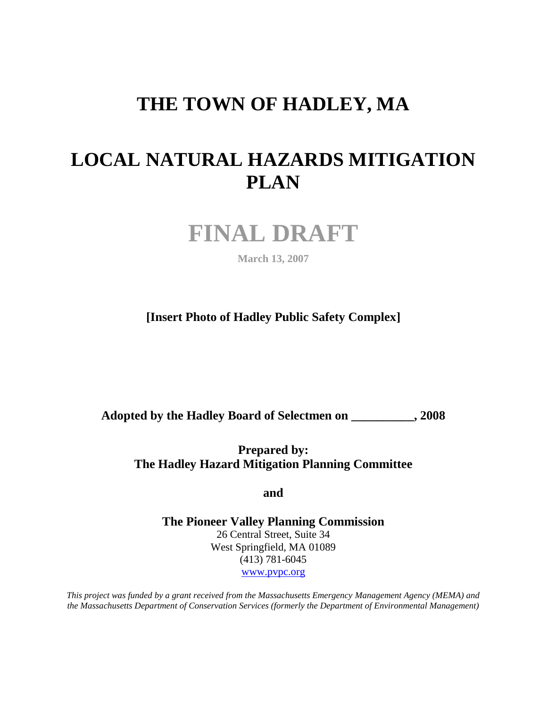# **THE TOWN OF HADLEY, MA**

# **LOCAL NATURAL HAZARDS MITIGATION PLAN**



**March 13, 2007**

**[Insert Photo of Hadley Public Safety Complex]**

**Adopted by the Hadley Board of Selectmen on \_\_\_\_\_\_\_\_\_\_, 2008**

**Prepared by: The Hadley Hazard Mitigation Planning Committee**

**and** 

**The Pioneer Valley Planning Commission** 26 Central Street, Suite 34 West Springfield, MA 01089 (413) 781-6045 [www.pvpc.org](http://www.pvpc.org/)

*This project was funded by a grant received from the Massachusetts Emergency Management Agency (MEMA) and the Massachusetts Department of Conservation Services (formerly the Department of Environmental Management)*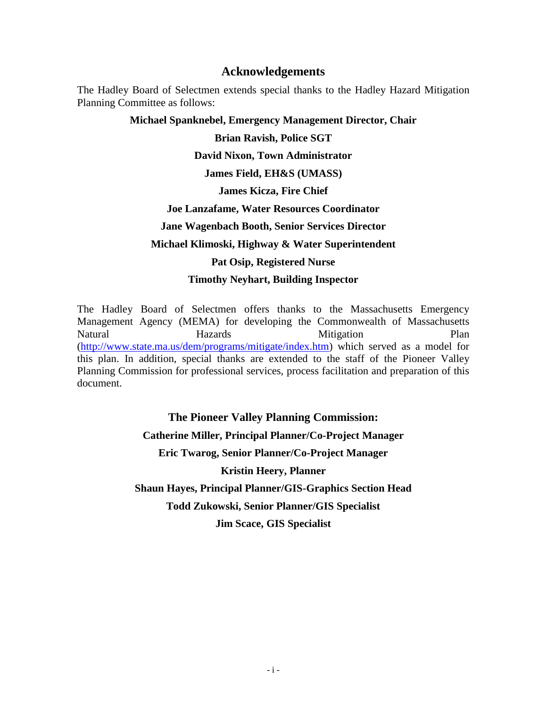### **Acknowledgements**

The Hadley Board of Selectmen extends special thanks to the Hadley Hazard Mitigation Planning Committee as follows:

#### **Michael Spanknebel, Emergency Management Director, Chair**

**Brian Ravish, Police SGT**

#### **David Nixon, Town Administrator**

**James Field, EH&S (UMASS)**

#### **James Kicza, Fire Chief**

#### **Joe Lanzafame, Water Resources Coordinator**

**Jane Wagenbach Booth, Senior Services Director**

#### **Michael Klimoski, Highway & Water Superintendent**

#### **Pat Osip, Registered Nurse**

### **Timothy Neyhart, Building Inspector**

The Hadley Board of Selectmen offers thanks to the Massachusetts Emergency Management Agency (MEMA) for developing the Commonwealth of Massachusetts Natural Hazards Mitigation Plan [\(http://www.state.ma.us/dem/programs/mitigate/index.htm\)](http://www.state.ma.us/dem/programs/mitigate/index.htm) which served as a model for this plan. In addition, special thanks are extended to the staff of the Pioneer Valley Planning Commission for professional services, process facilitation and preparation of this document.

> **The Pioneer Valley Planning Commission: Catherine Miller, Principal Planner/Co-Project Manager Eric Twarog, Senior Planner/Co-Project Manager Kristin Heery, Planner Shaun Hayes, Principal Planner/GIS-Graphics Section Head Todd Zukowski, Senior Planner/GIS Specialist Jim Scace, GIS Specialist**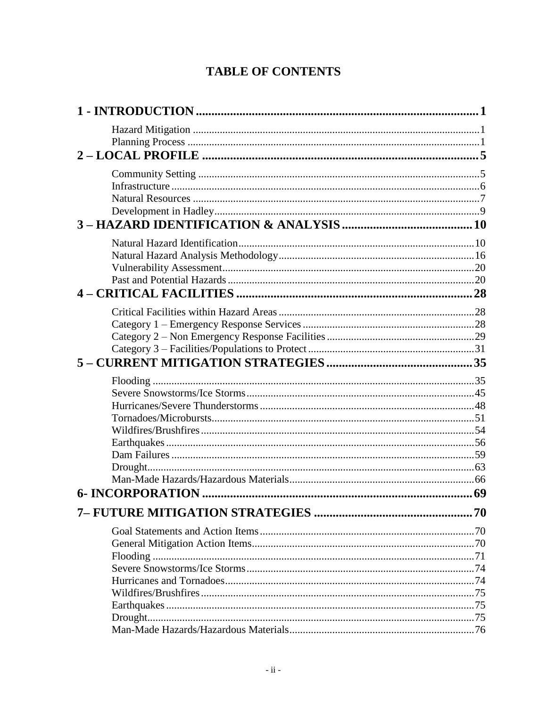# **TABLE OF CONTENTS**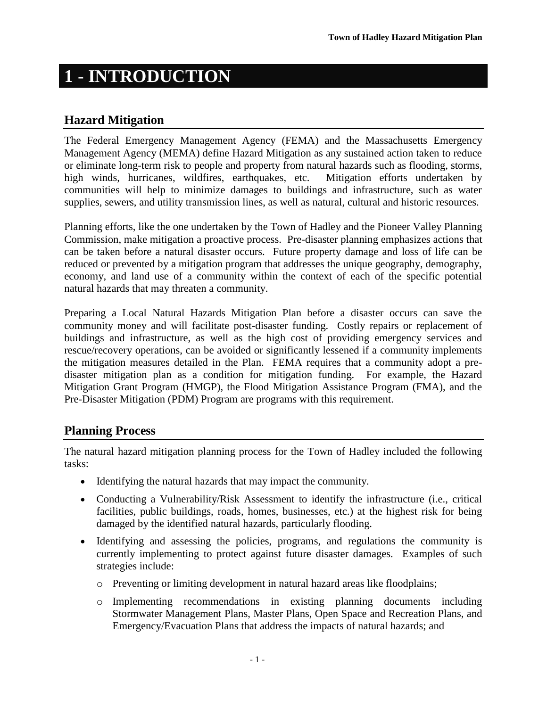# <span id="page-4-0"></span>**1** - **INTRODUCTION**

# <span id="page-4-1"></span>**Hazard Mitigation**

The Federal Emergency Management Agency (FEMA) and the Massachusetts Emergency Management Agency (MEMA) define Hazard Mitigation as any sustained action taken to reduce or eliminate long-term risk to people and property from natural hazards such as flooding, storms, high winds, hurricanes, wildfires, earthquakes, etc. Mitigation efforts undertaken by communities will help to minimize damages to buildings and infrastructure, such as water supplies, sewers, and utility transmission lines, as well as natural, cultural and historic resources.

Planning efforts, like the one undertaken by the Town of Hadley and the Pioneer Valley Planning Commission, make mitigation a proactive process. Pre-disaster planning emphasizes actions that can be taken before a natural disaster occurs. Future property damage and loss of life can be reduced or prevented by a mitigation program that addresses the unique geography, demography, economy, and land use of a community within the context of each of the specific potential natural hazards that may threaten a community.

Preparing a Local Natural Hazards Mitigation Plan before a disaster occurs can save the community money and will facilitate post-disaster funding. Costly repairs or replacement of buildings and infrastructure, as well as the high cost of providing emergency services and rescue/recovery operations, can be avoided or significantly lessened if a community implements the mitigation measures detailed in the Plan. FEMA requires that a community adopt a predisaster mitigation plan as a condition for mitigation funding. For example, the Hazard Mitigation Grant Program (HMGP), the Flood Mitigation Assistance Program (FMA), and the Pre-Disaster Mitigation (PDM) Program are programs with this requirement.

# <span id="page-4-2"></span>**Planning Process**

The natural hazard mitigation planning process for the Town of Hadley included the following tasks:

- Identifying the natural hazards that may impact the community.
- Conducting a Vulnerability/Risk Assessment to identify the infrastructure (i.e., critical facilities, public buildings, roads, homes, businesses, etc.) at the highest risk for being damaged by the identified natural hazards, particularly flooding.
- Identifying and assessing the policies, programs, and regulations the community is currently implementing to protect against future disaster damages. Examples of such strategies include:
	- o Preventing or limiting development in natural hazard areas like floodplains;
	- o Implementing recommendations in existing planning documents including Stormwater Management Plans, Master Plans, Open Space and Recreation Plans, and Emergency/Evacuation Plans that address the impacts of natural hazards; and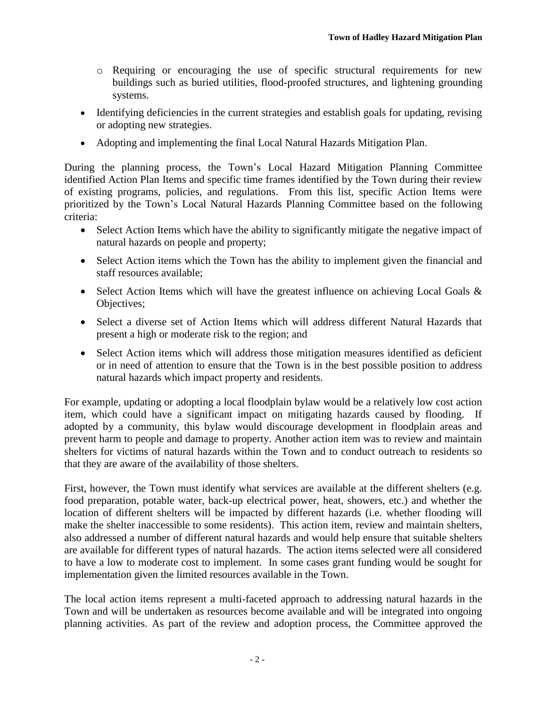- o Requiring or encouraging the use of specific structural requirements for new buildings such as buried utilities, flood-proofed structures, and lightening grounding systems.
- Identifying deficiencies in the current strategies and establish goals for updating, revising or adopting new strategies.
- Adopting and implementing the final Local Natural Hazards Mitigation Plan.

During the planning process, the Town's Local Hazard Mitigation Planning Committee identified Action Plan Items and specific time frames identified by the Town during their review of existing programs, policies, and regulations. From this list, specific Action Items were prioritized by the Town's Local Natural Hazards Planning Committee based on the following criteria:

- Select Action Items which have the ability to significantly mitigate the negative impact of natural hazards on people and property;
- Select Action items which the Town has the ability to implement given the financial and staff resources available;
- Select Action Items which will have the greatest influence on achieving Local Goals  $\&$ Objectives;
- Select a diverse set of Action Items which will address different Natural Hazards that present a high or moderate risk to the region; and
- Select Action items which will address those mitigation measures identified as deficient or in need of attention to ensure that the Town is in the best possible position to address natural hazards which impact property and residents.

For example, updating or adopting a local floodplain bylaw would be a relatively low cost action item, which could have a significant impact on mitigating hazards caused by flooding. If adopted by a community, this bylaw would discourage development in floodplain areas and prevent harm to people and damage to property. Another action item was to review and maintain shelters for victims of natural hazards within the Town and to conduct outreach to residents so that they are aware of the availability of those shelters.

First, however, the Town must identify what services are available at the different shelters (e.g. food preparation, potable water, back-up electrical power, heat, showers, etc.) and whether the location of different shelters will be impacted by different hazards (i.e. whether flooding will make the shelter inaccessible to some residents). This action item, review and maintain shelters, also addressed a number of different natural hazards and would help ensure that suitable shelters are available for different types of natural hazards. The action items selected were all considered to have a low to moderate cost to implement. In some cases grant funding would be sought for implementation given the limited resources available in the Town.

The local action items represent a multi-faceted approach to addressing natural hazards in the Town and will be undertaken as resources become available and will be integrated into ongoing planning activities. As part of the review and adoption process, the Committee approved the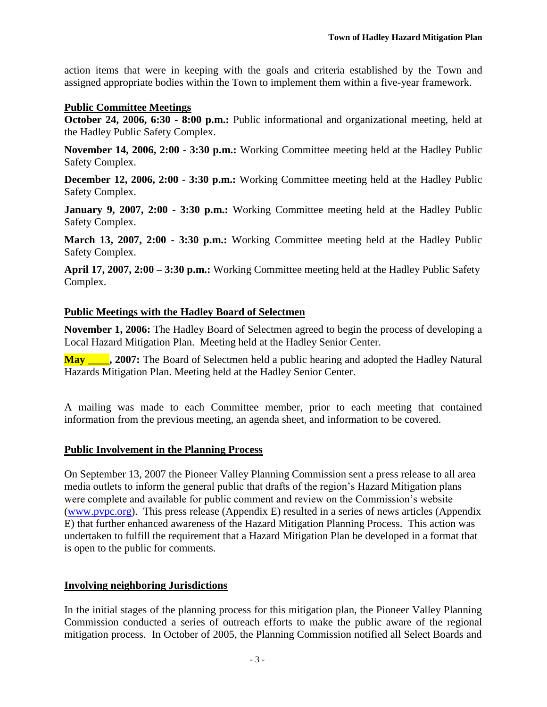action items that were in keeping with the goals and criteria established by the Town and assigned appropriate bodies within the Town to implement them within a five-year framework.

### **Public Committee Meetings**

**October 24, 2006, 6:30 - 8:00 p.m.:** Public informational and organizational meeting, held at the Hadley Public Safety Complex.

**November 14, 2006, 2:00 - 3:30 p.m.:** Working Committee meeting held at the Hadley Public Safety Complex.

**December 12, 2006, 2:00 - 3:30 p.m.:** Working Committee meeting held at the Hadley Public Safety Complex.

**January 9, 2007, 2:00 - 3:30 p.m.:** Working Committee meeting held at the Hadley Public Safety Complex.

**March 13, 2007, 2:00 - 3:30 p.m.:** Working Committee meeting held at the Hadley Public Safety Complex.

**April 17, 2007, 2:00 – 3:30 p.m.:** Working Committee meeting held at the Hadley Public Safety Complex.

### **Public Meetings with the Hadley Board of Selectmen**

**November 1, 2006:** The Hadley Board of Selectmen agreed to begin the process of developing a Local Hazard Mitigation Plan. Meeting held at the Hadley Senior Center.

**May \_\_\_\_, 2007:** The Board of Selectmen held a public hearing and adopted the Hadley Natural Hazards Mitigation Plan. Meeting held at the Hadley Senior Center.

A mailing was made to each Committee member, prior to each meeting that contained information from the previous meeting, an agenda sheet, and information to be covered.

### **Public Involvement in the Planning Process**

On September 13, 2007 the Pioneer Valley Planning Commission sent a press release to all area media outlets to inform the general public that drafts of the region's Hazard Mitigation plans were complete and available for public comment and review on the Commission's website [\(www.pvpc.org\)](http://www.pvpc.org/). This press release (Appendix E) resulted in a series of news articles (Appendix E) that further enhanced awareness of the Hazard Mitigation Planning Process. This action was undertaken to fulfill the requirement that a Hazard Mitigation Plan be developed in a format that is open to the public for comments.

### **Involving neighboring Jurisdictions**

In the initial stages of the planning process for this mitigation plan, the Pioneer Valley Planning Commission conducted a series of outreach efforts to make the public aware of the regional mitigation process. In October of 2005, the Planning Commission notified all Select Boards and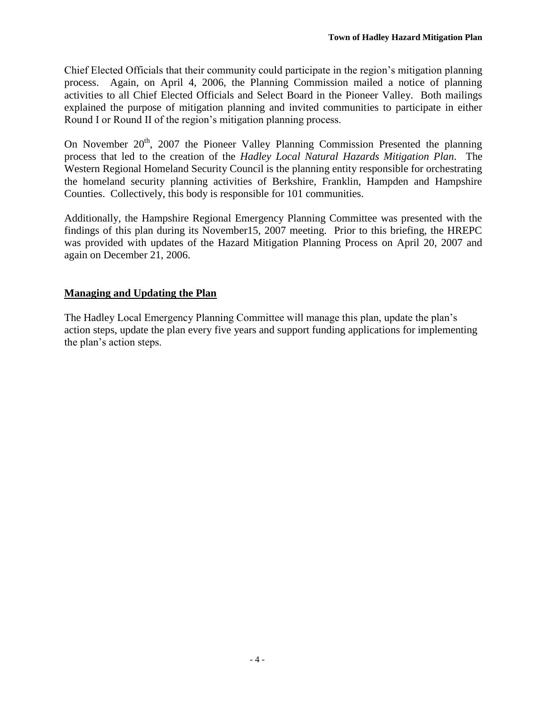Chief Elected Officials that their community could participate in the region's mitigation planning process. Again, on April 4, 2006, the Planning Commission mailed a notice of planning activities to all Chief Elected Officials and Select Board in the Pioneer Valley. Both mailings explained the purpose of mitigation planning and invited communities to participate in either Round I or Round II of the region's mitigation planning process.

On November  $20<sup>th</sup>$ , 2007 the Pioneer Valley Planning Commission Presented the planning process that led to the creation of the *Hadley Local Natural Hazards Mitigation Plan*. The Western Regional Homeland Security Council is the planning entity responsible for orchestrating the homeland security planning activities of Berkshire, Franklin, Hampden and Hampshire Counties. Collectively, this body is responsible for 101 communities.

Additionally, the Hampshire Regional Emergency Planning Committee was presented with the findings of this plan during its November15, 2007 meeting. Prior to this briefing, the HREPC was provided with updates of the Hazard Mitigation Planning Process on April 20, 2007 and again on December 21, 2006.

# **Managing and Updating the Plan**

The Hadley Local Emergency Planning Committee will manage this plan, update the plan's action steps, update the plan every five years and support funding applications for implementing the plan's action steps.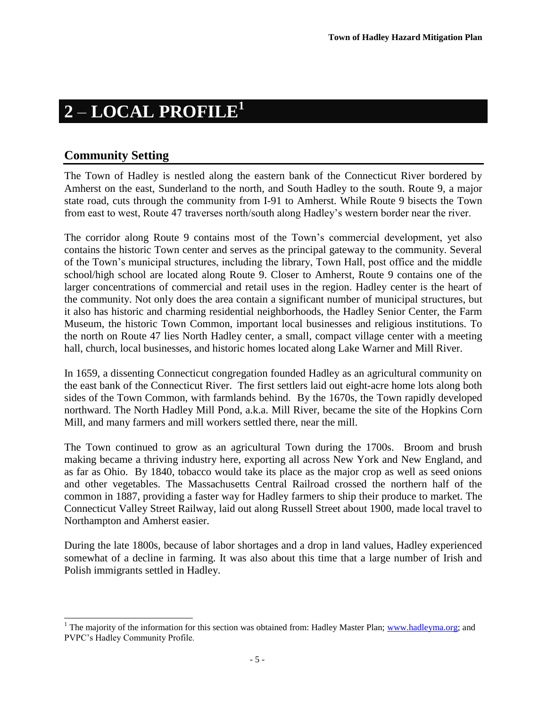# <span id="page-8-0"></span>**2** – **LOCAL PROFILE<sup>1</sup>**

# <span id="page-8-1"></span>**Community Setting**

The Town of Hadley is nestled along the eastern bank of the Connecticut River bordered by Amherst on the east, Sunderland to the north, and South Hadley to the south. Route 9, a major state road, cuts through the community from I-91 to Amherst. While Route 9 bisects the Town from east to west, Route 47 traverses north/south along Hadley's western border near the river.

The corridor along Route 9 contains most of the Town's commercial development, yet also contains the historic Town center and serves as the principal gateway to the community. Several of the Town's municipal structures, including the library, Town Hall, post office and the middle school/high school are located along Route 9. Closer to Amherst, Route 9 contains one of the larger concentrations of commercial and retail uses in the region. Hadley center is the heart of the community. Not only does the area contain a significant number of municipal structures, but it also has historic and charming residential neighborhoods, the Hadley Senior Center, the Farm Museum, the historic Town Common, important local businesses and religious institutions. To the north on Route 47 lies North Hadley center, a small, compact village center with a meeting hall, church, local businesses, and historic homes located along Lake Warner and Mill River.

In 1659, a dissenting Connecticut congregation founded Hadley as an agricultural community on the east bank of the Connecticut River. The first settlers laid out eight-acre home lots along both sides of the Town Common, with farmlands behind. By the 1670s, the Town rapidly developed northward. The North Hadley Mill Pond, a.k.a. Mill River, became the site of the Hopkins Corn Mill, and many farmers and mill workers settled there, near the mill.

The Town continued to grow as an agricultural Town during the 1700s. Broom and brush making became a thriving industry here, exporting all across New York and New England, and as far as Ohio. By 1840, tobacco would take its place as the major crop as well as seed onions and other vegetables. The Massachusetts Central Railroad crossed the northern half of the common in 1887, providing a faster way for Hadley farmers to ship their produce to market. The Connecticut Valley Street Railway, laid out along Russell Street about 1900, made local travel to Northampton and Amherst easier.

During the late 1800s, because of labor shortages and a drop in land values, Hadley experienced somewhat of a decline in farming. It was also about this time that a large number of Irish and Polish immigrants settled in Hadley.

 $\overline{a}$ <sup>1</sup> The majority of the information for this section was obtained from: Hadley Master Plan; [www.hadleyma.org;](http://www.hadleyma.org/) and PVPC's Hadley Community Profile.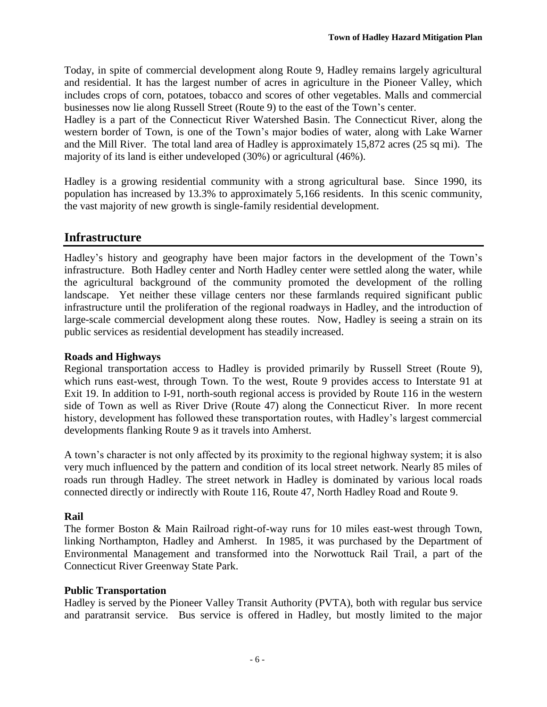Today, in spite of commercial development along Route 9, Hadley remains largely agricultural and residential. It has the largest number of acres in agriculture in the Pioneer Valley, which includes crops of corn, potatoes, tobacco and scores of other vegetables. Malls and commercial businesses now lie along Russell Street (Route 9) to the east of the Town's center.

Hadley is a part of the Connecticut River Watershed Basin. The Connecticut River, along the western border of Town, is one of the Town's major bodies of water, along with Lake Warner and the Mill River. The total land area of Hadley is approximately 15,872 acres (25 sq mi). The majority of its land is either undeveloped (30%) or agricultural (46%).

Hadley is a growing residential community with a strong agricultural base. Since 1990, its population has increased by 13.3% to approximately 5,166 residents. In this scenic community, the vast majority of new growth is single-family residential development.

# <span id="page-9-0"></span>**Infrastructure**

Hadley's history and geography have been major factors in the development of the Town's infrastructure. Both Hadley center and North Hadley center were settled along the water, while the agricultural background of the community promoted the development of the rolling landscape. Yet neither these village centers nor these farmlands required significant public infrastructure until the proliferation of the regional roadways in Hadley, and the introduction of large-scale commercial development along these routes. Now, Hadley is seeing a strain on its public services as residential development has steadily increased.

### **Roads and Highways**

Regional transportation access to Hadley is provided primarily by Russell Street (Route 9), which runs east-west, through Town. To the west, Route 9 provides access to Interstate 91 at Exit 19. In addition to I-91, north-south regional access is provided by Route 116 in the western side of Town as well as River Drive (Route 47) along the Connecticut River. In more recent history, development has followed these transportation routes, with Hadley's largest commercial developments flanking Route 9 as it travels into Amherst.

A town's character is not only affected by its proximity to the regional highway system; it is also very much influenced by the pattern and condition of its local street network. Nearly 85 miles of roads run through Hadley. The street network in Hadley is dominated by various local roads connected directly or indirectly with Route 116, Route 47, North Hadley Road and Route 9.

### **Rail**

The former Boston & Main Railroad right-of-way runs for 10 miles east-west through Town, linking Northampton, Hadley and Amherst. In 1985, it was purchased by the Department of Environmental Management and transformed into the Norwottuck Rail Trail, a part of the Connecticut River Greenway State Park.

### **Public Transportation**

Hadley is served by the Pioneer Valley Transit Authority (PVTA), both with regular bus service and paratransit service. Bus service is offered in Hadley, but mostly limited to the major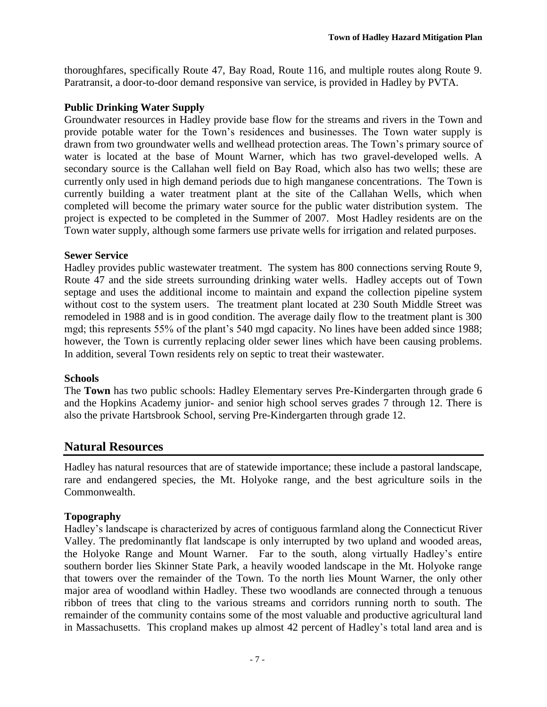thoroughfares, specifically Route 47, Bay Road, Route 116, and multiple routes along Route 9. Paratransit, a door-to-door demand responsive van service, is provided in Hadley by PVTA.

### **Public Drinking Water Supply**

Groundwater resources in Hadley provide base flow for the streams and rivers in the Town and provide potable water for the Town's residences and businesses. The Town water supply is drawn from two groundwater wells and wellhead protection areas. The Town's primary source of water is located at the base of Mount Warner, which has two gravel-developed wells. A secondary source is the Callahan well field on Bay Road, which also has two wells; these are currently only used in high demand periods due to high manganese concentrations. The Town is currently building a water treatment plant at the site of the Callahan Wells, which when completed will become the primary water source for the public water distribution system. The project is expected to be completed in the Summer of 2007. Most Hadley residents are on the Town water supply, although some farmers use private wells for irrigation and related purposes.

### **Sewer Service**

Hadley provides public wastewater treatment. The system has 800 connections serving Route 9, Route 47 and the side streets surrounding drinking water wells. Hadley accepts out of Town septage and uses the additional income to maintain and expand the collection pipeline system without cost to the system users. The treatment plant located at 230 South Middle Street was remodeled in 1988 and is in good condition. The average daily flow to the treatment plant is 300 mgd; this represents 55% of the plant's 540 mgd capacity. No lines have been added since 1988; however, the Town is currently replacing older sewer lines which have been causing problems. In addition, several Town residents rely on septic to treat their wastewater.

### **Schools**

The **Town** has two public schools: Hadley Elementary serves Pre-Kindergarten through grade 6 and the Hopkins Academy junior- and senior high school serves grades 7 through 12. There is also the private Hartsbrook School, serving Pre-Kindergarten through grade 12.

# <span id="page-10-0"></span>**Natural Resources**

Hadley has natural resources that are of statewide importance; these include a pastoral landscape, rare and endangered species, the Mt. Holyoke range, and the best agriculture soils in the Commonwealth.

### **Topography**

Hadley's landscape is characterized by acres of contiguous farmland along the Connecticut River Valley. The predominantly flat landscape is only interrupted by two upland and wooded areas, the Holyoke Range and Mount Warner. Far to the south, along virtually Hadley's entire southern border lies Skinner State Park, a heavily wooded landscape in the Mt. Holyoke range that towers over the remainder of the Town. To the north lies Mount Warner, the only other major area of woodland within Hadley. These two woodlands are connected through a tenuous ribbon of trees that cling to the various streams and corridors running north to south. The remainder of the community contains some of the most valuable and productive agricultural land in Massachusetts. This cropland makes up almost 42 percent of Hadley's total land area and is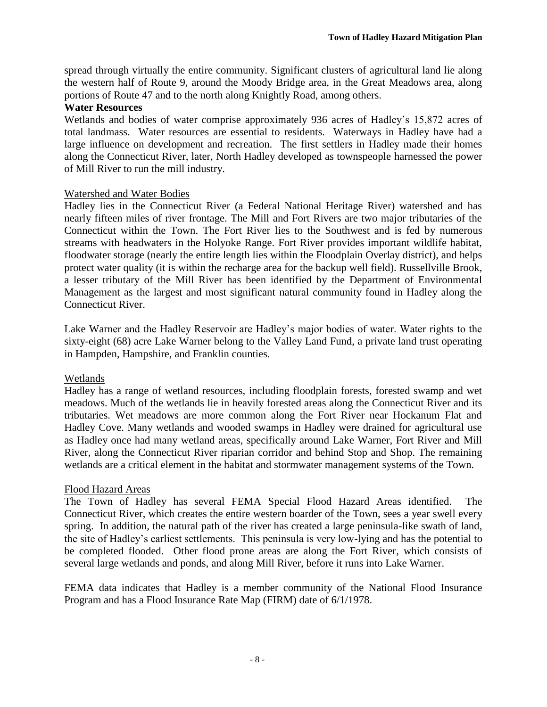spread through virtually the entire community. Significant clusters of agricultural land lie along the western half of Route 9, around the Moody Bridge area, in the Great Meadows area, along portions of Route 47 and to the north along Knightly Road, among others.

### **Water Resources**

Wetlands and bodies of water comprise approximately 936 acres of Hadley's 15,872 acres of total landmass. Water resources are essential to residents. Waterways in Hadley have had a large influence on development and recreation. The first settlers in Hadley made their homes along the Connecticut River, later, North Hadley developed as townspeople harnessed the power of Mill River to run the mill industry.

### Watershed and Water Bodies

Hadley lies in the Connecticut River (a Federal National Heritage River) watershed and has nearly fifteen miles of river frontage. The Mill and Fort Rivers are two major tributaries of the Connecticut within the Town. The Fort River lies to the Southwest and is fed by numerous streams with headwaters in the Holyoke Range. Fort River provides important wildlife habitat, floodwater storage (nearly the entire length lies within the Floodplain Overlay district), and helps protect water quality (it is within the recharge area for the backup well field). Russellville Brook, a lesser tributary of the Mill River has been identified by the Department of Environmental Management as the largest and most significant natural community found in Hadley along the Connecticut River.

Lake Warner and the Hadley Reservoir are Hadley's major bodies of water. Water rights to the sixty-eight (68) acre Lake Warner belong to the Valley Land Fund, a private land trust operating in Hampden, Hampshire, and Franklin counties.

### Wetlands

Hadley has a range of wetland resources, including floodplain forests, forested swamp and wet meadows. Much of the wetlands lie in heavily forested areas along the Connecticut River and its tributaries. Wet meadows are more common along the Fort River near Hockanum Flat and Hadley Cove. Many wetlands and wooded swamps in Hadley were drained for agricultural use as Hadley once had many wetland areas, specifically around Lake Warner, Fort River and Mill River, along the Connecticut River riparian corridor and behind Stop and Shop. The remaining wetlands are a critical element in the habitat and stormwater management systems of the Town.

### Flood Hazard Areas

The Town of Hadley has several FEMA Special Flood Hazard Areas identified. The Connecticut River, which creates the entire western boarder of the Town, sees a year swell every spring. In addition, the natural path of the river has created a large peninsula-like swath of land, the site of Hadley's earliest settlements. This peninsula is very low-lying and has the potential to be completed flooded. Other flood prone areas are along the Fort River, which consists of several large wetlands and ponds, and along Mill River, before it runs into Lake Warner.

FEMA data indicates that Hadley is a member community of the National Flood Insurance Program and has a Flood Insurance Rate Map (FIRM) date of 6/1/1978.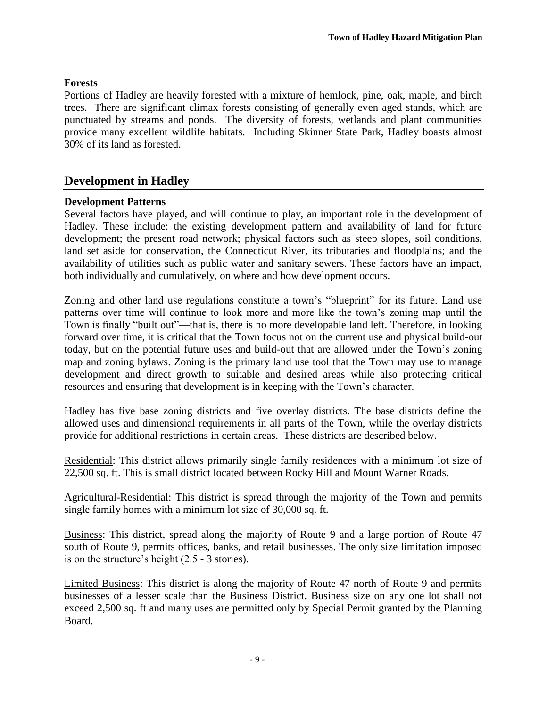### **Forests**

Portions of Hadley are heavily forested with a mixture of hemlock, pine, oak, maple, and birch trees. There are significant climax forests consisting of generally even aged stands, which are punctuated by streams and ponds. The diversity of forests, wetlands and plant communities provide many excellent wildlife habitats. Including Skinner State Park, Hadley boasts almost 30% of its land as forested.

# <span id="page-12-0"></span>**Development in Hadley**

### **Development Patterns**

Several factors have played, and will continue to play, an important role in the development of Hadley. These include: the existing development pattern and availability of land for future development; the present road network; physical factors such as steep slopes, soil conditions, land set aside for conservation, the Connecticut River, its tributaries and floodplains; and the availability of utilities such as public water and sanitary sewers. These factors have an impact, both individually and cumulatively, on where and how development occurs.

Zoning and other land use regulations constitute a town's "blueprint" for its future. Land use patterns over time will continue to look more and more like the town's zoning map until the Town is finally "built out"—that is, there is no more developable land left. Therefore, in looking forward over time, it is critical that the Town focus not on the current use and physical build-out today, but on the potential future uses and build-out that are allowed under the Town's zoning map and zoning bylaws. Zoning is the primary land use tool that the Town may use to manage development and direct growth to suitable and desired areas while also protecting critical resources and ensuring that development is in keeping with the Town's character.

Hadley has five base zoning districts and five overlay districts. The base districts define the allowed uses and dimensional requirements in all parts of the Town, while the overlay districts provide for additional restrictions in certain areas. These districts are described below.

Residential: This district allows primarily single family residences with a minimum lot size of 22,500 sq. ft. This is small district located between Rocky Hill and Mount Warner Roads.

Agricultural-Residential: This district is spread through the majority of the Town and permits single family homes with a minimum lot size of 30,000 sq. ft.

Business: This district, spread along the majority of Route 9 and a large portion of Route 47 south of Route 9, permits offices, banks, and retail businesses. The only size limitation imposed is on the structure's height (2.5 - 3 stories).

Limited Business: This district is along the majority of Route 47 north of Route 9 and permits businesses of a lesser scale than the Business District. Business size on any one lot shall not exceed 2,500 sq. ft and many uses are permitted only by Special Permit granted by the Planning Board.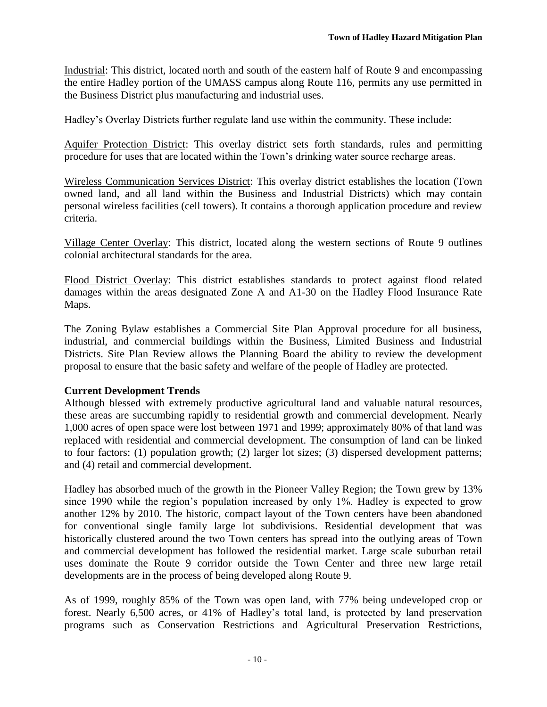Industrial: This district, located north and south of the eastern half of Route 9 and encompassing the entire Hadley portion of the UMASS campus along Route 116, permits any use permitted in the Business District plus manufacturing and industrial uses.

Hadley's Overlay Districts further regulate land use within the community. These include:

Aquifer Protection District: This overlay district sets forth standards, rules and permitting procedure for uses that are located within the Town's drinking water source recharge areas.

Wireless Communication Services District: This overlay district establishes the location (Town owned land, and all land within the Business and Industrial Districts) which may contain personal wireless facilities (cell towers). It contains a thorough application procedure and review criteria.

Village Center Overlay: This district, located along the western sections of Route 9 outlines colonial architectural standards for the area.

Flood District Overlay: This district establishes standards to protect against flood related damages within the areas designated Zone A and A1-30 on the Hadley Flood Insurance Rate Maps.

The Zoning Bylaw establishes a Commercial Site Plan Approval procedure for all business, industrial, and commercial buildings within the Business, Limited Business and Industrial Districts. Site Plan Review allows the Planning Board the ability to review the development proposal to ensure that the basic safety and welfare of the people of Hadley are protected.

### **Current Development Trends**

Although blessed with extremely productive agricultural land and valuable natural resources, these areas are succumbing rapidly to residential growth and commercial development. Nearly 1,000 acres of open space were lost between 1971 and 1999; approximately 80% of that land was replaced with residential and commercial development. The consumption of land can be linked to four factors: (1) population growth; (2) larger lot sizes; (3) dispersed development patterns; and (4) retail and commercial development.

Hadley has absorbed much of the growth in the Pioneer Valley Region; the Town grew by 13% since 1990 while the region's population increased by only 1%. Hadley is expected to grow another 12% by 2010. The historic, compact layout of the Town centers have been abandoned for conventional single family large lot subdivisions. Residential development that was historically clustered around the two Town centers has spread into the outlying areas of Town and commercial development has followed the residential market. Large scale suburban retail uses dominate the Route 9 corridor outside the Town Center and three new large retail developments are in the process of being developed along Route 9.

As of 1999, roughly 85% of the Town was open land, with 77% being undeveloped crop or forest. Nearly 6,500 acres, or 41% of Hadley's total land, is protected by land preservation programs such as Conservation Restrictions and Agricultural Preservation Restrictions,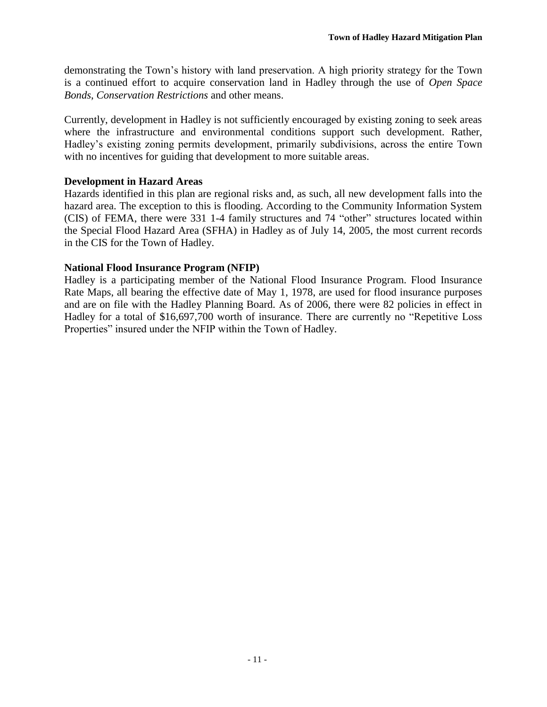demonstrating the Town's history with land preservation. A high priority strategy for the Town is a continued effort to acquire conservation land in Hadley through the use of *Open Space Bonds*, *Conservation Restrictions* and other means.

Currently, development in Hadley is not sufficiently encouraged by existing zoning to seek areas where the infrastructure and environmental conditions support such development. Rather, Hadley's existing zoning permits development, primarily subdivisions, across the entire Town with no incentives for guiding that development to more suitable areas.

### **Development in Hazard Areas**

Hazards identified in this plan are regional risks and, as such, all new development falls into the hazard area. The exception to this is flooding. According to the Community Information System (CIS) of FEMA, there were 331 1-4 family structures and 74 "other" structures located within the Special Flood Hazard Area (SFHA) in Hadley as of July 14, 2005, the most current records in the CIS for the Town of Hadley.

### **National Flood Insurance Program (NFIP)**

Hadley is a participating member of the National Flood Insurance Program. Flood Insurance Rate Maps, all bearing the effective date of May 1, 1978, are used for flood insurance purposes and are on file with the Hadley Planning Board. As of 2006, there were 82 policies in effect in Hadley for a total of \$16,697,700 worth of insurance. There are currently no "Repetitive Loss Properties" insured under the NFIP within the Town of Hadley.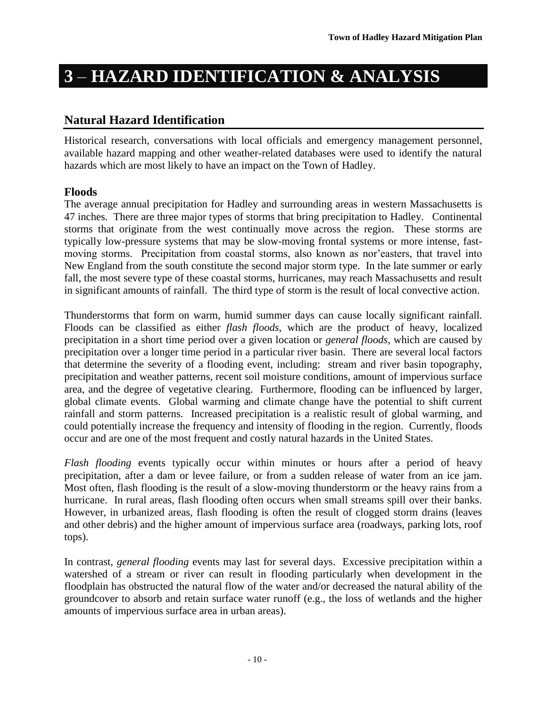# <span id="page-15-0"></span>**3** – **HAZARD IDENTIFICATION & ANALYSIS**

# <span id="page-15-1"></span>**Natural Hazard Identification**

Historical research, conversations with local officials and emergency management personnel, available hazard mapping and other weather-related databases were used to identify the natural hazards which are most likely to have an impact on the Town of Hadley.

# **Floods**

The average annual precipitation for Hadley and surrounding areas in western Massachusetts is 47 inches. There are three major types of storms that bring precipitation to Hadley. Continental storms that originate from the west continually move across the region. These storms are typically low-pressure systems that may be slow-moving frontal systems or more intense, fastmoving storms. Precipitation from coastal storms, also known as nor'easters, that travel into New England from the south constitute the second major storm type. In the late summer or early fall, the most severe type of these coastal storms, hurricanes, may reach Massachusetts and result in significant amounts of rainfall. The third type of storm is the result of local convective action.

Thunderstorms that form on warm, humid summer days can cause locally significant rainfall. Floods can be classified as either *flash floods*, which are the product of heavy, localized precipitation in a short time period over a given location or *general floods*, which are caused by precipitation over a longer time period in a particular river basin. There are several local factors that determine the severity of a flooding event, including: stream and river basin topography, precipitation and weather patterns, recent soil moisture conditions, amount of impervious surface area, and the degree of vegetative clearing. Furthermore, flooding can be influenced by larger, global climate events. Global warming and climate change have the potential to shift current rainfall and storm patterns. Increased precipitation is a realistic result of global warming, and could potentially increase the frequency and intensity of flooding in the region. Currently, floods occur and are one of the most frequent and costly natural hazards in the United States.

*Flash flooding* events typically occur within minutes or hours after a period of heavy precipitation, after a dam or levee failure, or from a sudden release of water from an ice jam. Most often, flash flooding is the result of a slow-moving thunderstorm or the heavy rains from a hurricane. In rural areas, flash flooding often occurs when small streams spill over their banks. However, in urbanized areas, flash flooding is often the result of clogged storm drains (leaves and other debris) and the higher amount of impervious surface area (roadways, parking lots, roof tops).

In contrast, *general flooding* events may last for several days. Excessive precipitation within a watershed of a stream or river can result in flooding particularly when development in the floodplain has obstructed the natural flow of the water and/or decreased the natural ability of the groundcover to absorb and retain surface water runoff (e.g., the loss of wetlands and the higher amounts of impervious surface area in urban areas).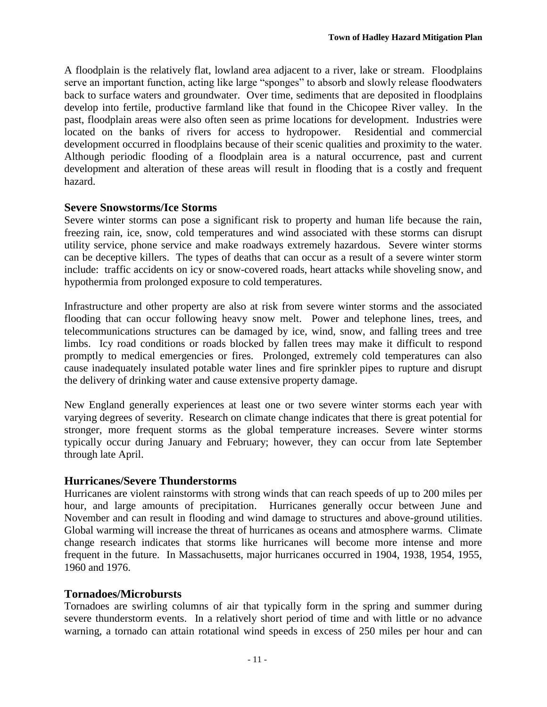A floodplain is the relatively flat, lowland area adjacent to a river, lake or stream. Floodplains serve an important function, acting like large "sponges" to absorb and slowly release floodwaters back to surface waters and groundwater. Over time, sediments that are deposited in floodplains develop into fertile, productive farmland like that found in the Chicopee River valley. In the past, floodplain areas were also often seen as prime locations for development. Industries were located on the banks of rivers for access to hydropower. Residential and commercial development occurred in floodplains because of their scenic qualities and proximity to the water. Although periodic flooding of a floodplain area is a natural occurrence, past and current development and alteration of these areas will result in flooding that is a costly and frequent hazard.

### **Severe Snowstorms/Ice Storms**

Severe winter storms can pose a significant risk to property and human life because the rain, freezing rain, ice, snow, cold temperatures and wind associated with these storms can disrupt utility service, phone service and make roadways extremely hazardous. Severe winter storms can be deceptive killers. The types of deaths that can occur as a result of a severe winter storm include: traffic accidents on icy or snow-covered roads, heart attacks while shoveling snow, and hypothermia from prolonged exposure to cold temperatures.

Infrastructure and other property are also at risk from severe winter storms and the associated flooding that can occur following heavy snow melt. Power and telephone lines, trees, and telecommunications structures can be damaged by ice, wind, snow, and falling trees and tree limbs. Icy road conditions or roads blocked by fallen trees may make it difficult to respond promptly to medical emergencies or fires. Prolonged, extremely cold temperatures can also cause inadequately insulated potable water lines and fire sprinkler pipes to rupture and disrupt the delivery of drinking water and cause extensive property damage.

New England generally experiences at least one or two severe winter storms each year with varying degrees of severity. Research on climate change indicates that there is great potential for stronger, more frequent storms as the global temperature increases. Severe winter storms typically occur during January and February; however, they can occur from late September through late April.

### **Hurricanes/Severe Thunderstorms**

Hurricanes are violent rainstorms with strong winds that can reach speeds of up to 200 miles per hour, and large amounts of precipitation. Hurricanes generally occur between June and November and can result in flooding and wind damage to structures and above-ground utilities. Global warming will increase the threat of hurricanes as oceans and atmosphere warms. Climate change research indicates that storms like hurricanes will become more intense and more frequent in the future. In Massachusetts, major hurricanes occurred in 1904, 1938, 1954, 1955, 1960 and 1976.

# **Tornadoes/Microbursts**

Tornadoes are swirling columns of air that typically form in the spring and summer during severe thunderstorm events. In a relatively short period of time and with little or no advance warning, a tornado can attain rotational wind speeds in excess of 250 miles per hour and can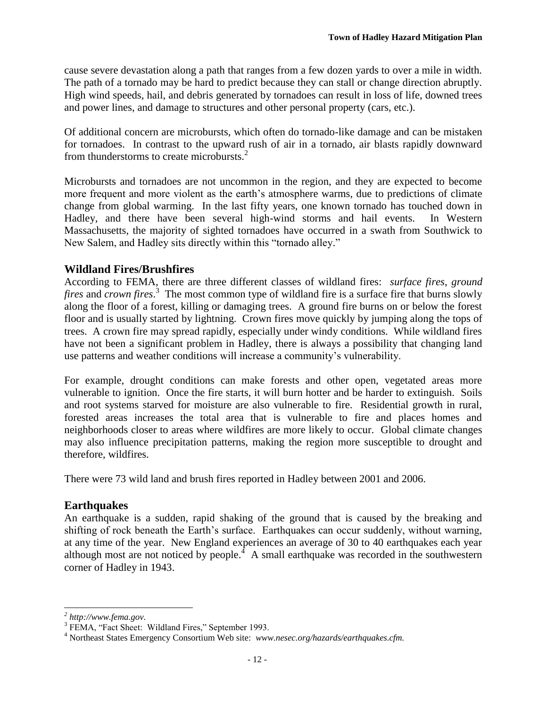cause severe devastation along a path that ranges from a few dozen yards to over a mile in width. The path of a tornado may be hard to predict because they can stall or change direction abruptly. High wind speeds, hail, and debris generated by tornadoes can result in loss of life, downed trees and power lines, and damage to structures and other personal property (cars, etc.).

Of additional concern are microbursts, which often do tornado-like damage and can be mistaken for tornadoes. In contrast to the upward rush of air in a tornado, air blasts rapidly downward from thunderstorms to create microbursts.<sup>2</sup>

Microbursts and tornadoes are not uncommon in the region, and they are expected to become more frequent and more violent as the earth's atmosphere warms, due to predictions of climate change from global warming. In the last fifty years, one known tornado has touched down in Hadley, and there have been several high-wind storms and hail events. In Western Massachusetts, the majority of sighted tornadoes have occurred in a swath from Southwick to New Salem, and Hadley sits directly within this "tornado alley."

# **Wildland Fires/Brushfires**

According to FEMA, there are three different classes of wildland fires: *surface fires*, *ground fires* and *crown fires*. 3 The most common type of wildland fire is a surface fire that burns slowly along the floor of a forest, killing or damaging trees. A ground fire burns on or below the forest floor and is usually started by lightning. Crown fires move quickly by jumping along the tops of trees. A crown fire may spread rapidly, especially under windy conditions. While wildland fires have not been a significant problem in Hadley, there is always a possibility that changing land use patterns and weather conditions will increase a community's vulnerability.

For example, drought conditions can make forests and other open, vegetated areas more vulnerable to ignition. Once the fire starts, it will burn hotter and be harder to extinguish. Soils and root systems starved for moisture are also vulnerable to fire. Residential growth in rural, forested areas increases the total area that is vulnerable to fire and places homes and neighborhoods closer to areas where wildfires are more likely to occur. Global climate changes may also influence precipitation patterns, making the region more susceptible to drought and therefore, wildfires.

There were 73 wild land and brush fires reported in Hadley between 2001 and 2006.

# **Earthquakes**

An earthquake is a sudden, rapid shaking of the ground that is caused by the breaking and shifting of rock beneath the Earth's surface. Earthquakes can occur suddenly, without warning, at any time of the year. New England experiences an average of 30 to 40 earthquakes each year although most are not noticed by people.<sup> $4$ </sup> A small earthquake was recorded in the southwestern corner of Hadley in 1943.

l

*<sup>2</sup> http://www.fema.gov.* 

<sup>&</sup>lt;sup>3</sup> FEMA, "Fact Sheet: Wildland Fires," September 1993.

<sup>4</sup> Northeast States Emergency Consortium Web site: *www.nesec.org/hazards/earthquakes.cfm.*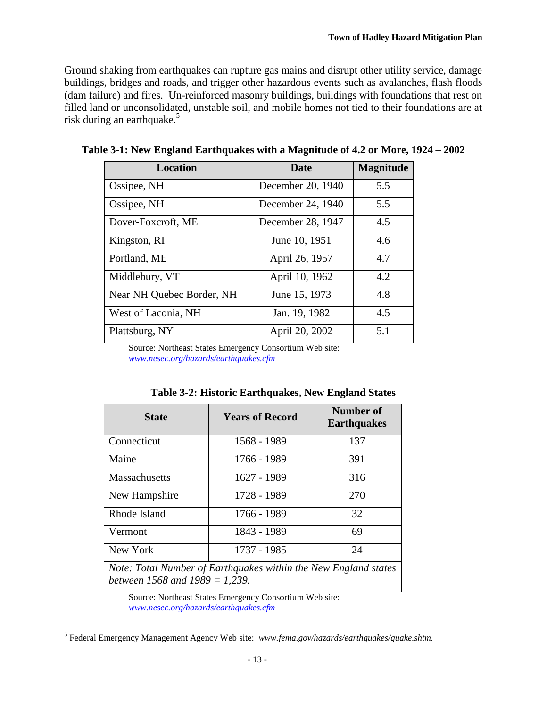Ground shaking from earthquakes can rupture gas mains and disrupt other utility service, damage buildings, bridges and roads, and trigger other hazardous events such as avalanches, flash floods (dam failure) and fires. Un-reinforced masonry buildings, buildings with foundations that rest on filled land or unconsolidated, unstable soil, and mobile homes not tied to their foundations are at risk during an earthquake.<sup>5</sup>

| <b>Location</b>           | <b>Date</b>       | <b>Magnitude</b> |
|---------------------------|-------------------|------------------|
| Ossipee, NH               | December 20, 1940 | 5.5              |
| Ossipee, NH               | December 24, 1940 | 5.5              |
| Dover-Foxcroft, ME        | December 28, 1947 | 4.5              |
| Kingston, RI              | June 10, 1951     | 4.6              |
| Portland, ME              | April 26, 1957    | 4.7              |
| Middlebury, VT            | April 10, 1962    | 4.2              |
| Near NH Quebec Border, NH | June 15, 1973     | 4.8              |
| West of Laconia, NH       | Jan. 19, 1982     | 4.5              |
| Plattsburg, NY            | April 20, 2002    | 5.1              |

**Table 3-1: New England Earthquakes with a Magnitude of 4.2 or More, 1924 – 2002**

Source: Northeast States Emergency Consortium Web site: *[www.nesec.org/hazards/earthquakes.cfm](http://www.nesec.org/hazards/earthquakes.cfm)*

| <b>State</b>                                                                                                                                                                                                                                                                  | <b>Years of Record</b> | Number of<br><b>Earthquakes</b> |  |  |
|-------------------------------------------------------------------------------------------------------------------------------------------------------------------------------------------------------------------------------------------------------------------------------|------------------------|---------------------------------|--|--|
| Connecticut                                                                                                                                                                                                                                                                   | 1568 - 1989            | 137                             |  |  |
| Maine                                                                                                                                                                                                                                                                         | 1766 - 1989            | 391                             |  |  |
| <b>Massachusetts</b>                                                                                                                                                                                                                                                          | 1627 - 1989            | 316                             |  |  |
| New Hampshire                                                                                                                                                                                                                                                                 | 1728 - 1989            | 270                             |  |  |
| Rhode Island                                                                                                                                                                                                                                                                  | 1766 - 1989            | 32                              |  |  |
| Vermont                                                                                                                                                                                                                                                                       | 1843 - 1989            | 69                              |  |  |
| New York                                                                                                                                                                                                                                                                      | 1737 - 1985            | 24                              |  |  |
| $\mathbf{1}$ $\mathbf{1}$ $\mathbf{1}$ $\mathbf{1}$ $\mathbf{1}$ $\mathbf{1}$ $\mathbf{1}$ $\mathbf{1}$<br>$\mathbf{v}$ $\mathbf{v}$ $\mathbf{v}$ $\mathbf{v}$<br>$\mathbf{r}$<br>$\alpha$ $\blacksquare$<br>$\mathbf{r}$ $\mathbf{r}$ $\mathbf{r}$ $\mathbf{r}$ $\mathbf{r}$ |                        |                                 |  |  |

**Table 3-2: Historic Earthquakes, New England States**

*Note: Total Number of Earthquakes within the New England states between 1568 and 1989 = 1,239.*

Source: Northeast States Emergency Consortium Web site: *[www.nesec.org/hazards/earthquakes.cfm](http://www.nesec.org/hazards/earthquakes.cfm)*

l

<sup>5</sup> Federal Emergency Management Agency Web site: *www.fema.gov/hazards/earthquakes/quake.shtm.*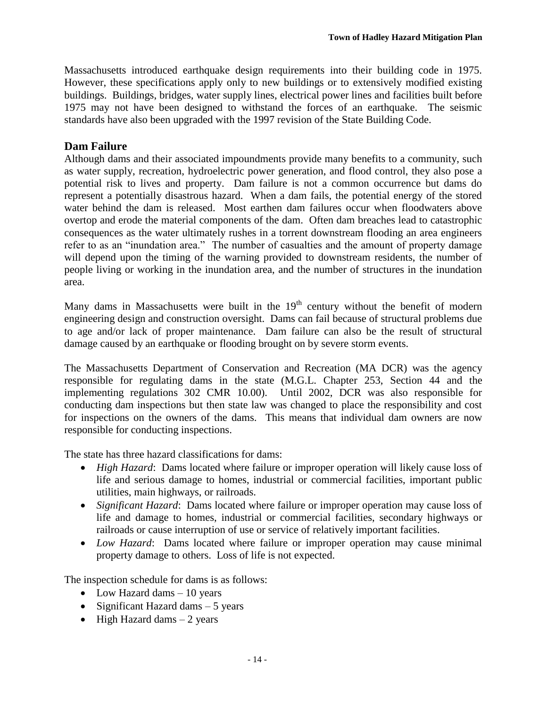Massachusetts introduced earthquake design requirements into their building code in 1975. However, these specifications apply only to new buildings or to extensively modified existing buildings. Buildings, bridges, water supply lines, electrical power lines and facilities built before 1975 may not have been designed to withstand the forces of an earthquake. The seismic standards have also been upgraded with the 1997 revision of the State Building Code.

# **Dam Failure**

Although dams and their associated impoundments provide many benefits to a community, such as water supply, recreation, hydroelectric power generation, and flood control, they also pose a potential risk to lives and property. Dam failure is not a common occurrence but dams do represent a potentially disastrous hazard. When a dam fails, the potential energy of the stored water behind the dam is released. Most earthen dam failures occur when floodwaters above overtop and erode the material components of the dam. Often dam breaches lead to catastrophic consequences as the water ultimately rushes in a torrent downstream flooding an area engineers refer to as an "inundation area." The number of casualties and the amount of property damage will depend upon the timing of the warning provided to downstream residents, the number of people living or working in the inundation area, and the number of structures in the inundation area.

Many dams in Massachusetts were built in the  $19<sup>th</sup>$  century without the benefit of modern engineering design and construction oversight. Dams can fail because of structural problems due to age and/or lack of proper maintenance. Dam failure can also be the result of structural damage caused by an earthquake or flooding brought on by severe storm events.

The Massachusetts Department of Conservation and Recreation (MA DCR) was the agency responsible for regulating dams in the state (M.G.L. Chapter 253, Section 44 and the implementing regulations 302 CMR 10.00). Until 2002, DCR was also responsible for conducting dam inspections but then state law was changed to place the responsibility and cost for inspections on the owners of the dams. This means that individual dam owners are now responsible for conducting inspections.

The state has three hazard classifications for dams:

- *High Hazard*: Dams located where failure or improper operation will likely cause loss of life and serious damage to homes, industrial or commercial facilities, important public utilities, main highways, or railroads.
- *Significant Hazard*: Dams located where failure or improper operation may cause loss of life and damage to homes, industrial or commercial facilities, secondary highways or railroads or cause interruption of use or service of relatively important facilities.
- *Low Hazard*: Dams located where failure or improper operation may cause minimal property damage to others. Loss of life is not expected.

The inspection schedule for dams is as follows:

- Low Hazard dams 10 years
- Significant Hazard dams  $-5$  years
- $\bullet$  High Hazard dams  $-2$  years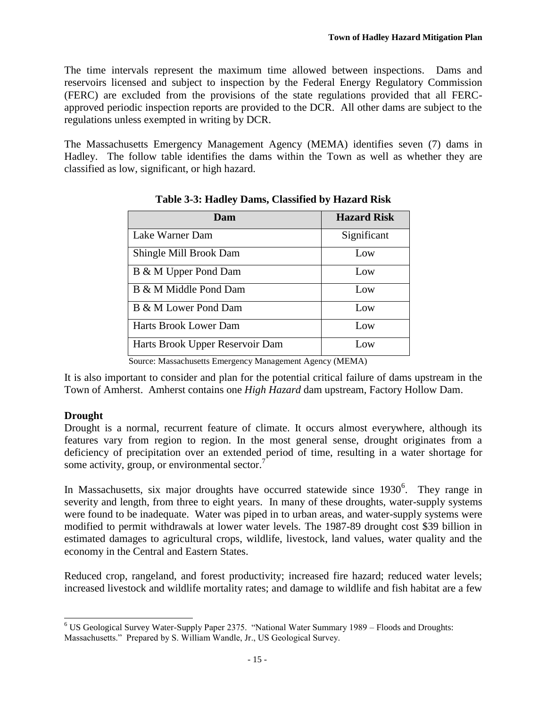The time intervals represent the maximum time allowed between inspections. Dams and reservoirs licensed and subject to inspection by the Federal Energy Regulatory Commission (FERC) are excluded from the provisions of the state regulations provided that all FERCapproved periodic inspection reports are provided to the DCR. All other dams are subject to the regulations unless exempted in writing by DCR.

The Massachusetts Emergency Management Agency (MEMA) identifies seven (7) dams in Hadley. The follow table identifies the dams within the Town as well as whether they are classified as low, significant, or high hazard.

| Dam                             | <b>Hazard Risk</b> |
|---------------------------------|--------------------|
| Lake Warner Dam                 | Significant        |
| Shingle Mill Brook Dam          | Low                |
| B & M Upper Pond Dam            | Low                |
| B & M Middle Pond Dam           | Low                |
| B & M Lower Pond Dam            | Low                |
| Harts Brook Lower Dam           | Low                |
| Harts Brook Upper Reservoir Dam | Low                |

**Table 3-3: Hadley Dams, Classified by Hazard Risk**

Source: Massachusetts Emergency Management Agency (MEMA)

It is also important to consider and plan for the potential critical failure of dams upstream in the Town of Amherst. Amherst contains one *High Hazard* dam upstream, Factory Hollow Dam.

### **Drought**

Drought is a normal, recurrent feature of climate. It occurs almost everywhere, although its features vary from region to region. In the most general sense, drought originates from a deficiency of precipitation over an extended period of time, resulting in a water shortage for some activity, group, or environmental sector.

In Massachusetts, six major droughts have occurred statewide since  $1930^6$ . They range in severity and length, from three to eight years. In many of these droughts, water-supply systems were found to be inadequate. Water was piped in to urban areas, and water-supply systems were modified to permit withdrawals at lower water levels. The 1987-89 drought cost \$39 billion in estimated damages to agricultural crops, wildlife, livestock, land values, water quality and the economy in the Central and Eastern States.

Reduced crop, rangeland, and forest productivity; increased fire hazard; reduced water levels; increased livestock and wildlife mortality rates; and damage to wildlife and fish habitat are a few

 $\overline{a}$  $6$  US Geological Survey Water-Supply Paper 2375. "National Water Summary 1989 – Floods and Droughts: Massachusetts." Prepared by S. William Wandle, Jr., US Geological Survey.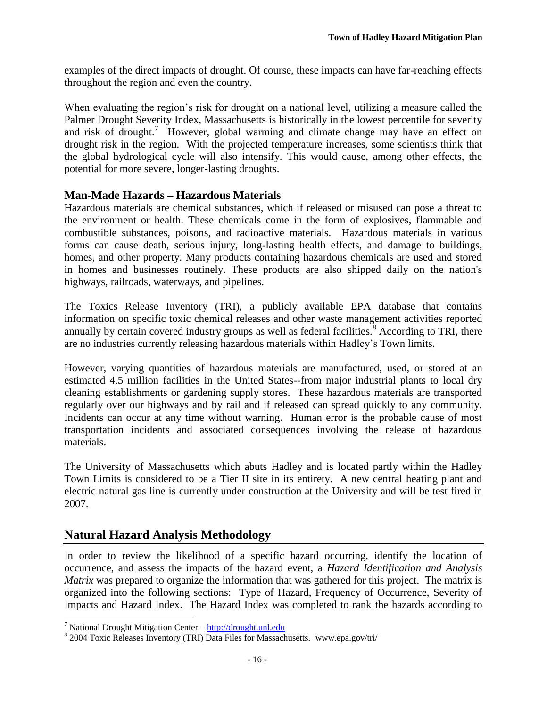examples of the direct impacts of drought. Of course, these impacts can have far-reaching effects throughout the region and even the country.

<span id="page-21-1"></span>When evaluating the region's risk for drought on a national level, utilizing a measure called the Palmer Drought Severity Index, Massachusetts is historically in the lowest percentile for severity and risk of drought.<sup>7</sup> However, global warming and climate change may have an effect on drought risk in the region. With the projected temperature increases, some scientists think that the global hydrological cycle will also intensify. This would cause, among other effects, the potential for more severe, longer-lasting droughts.

### **Man-Made Hazards – Hazardous Materials**

Hazardous materials are chemical substances, which if released or misused can pose a threat to the environment or health. These chemicals come in the form of explosives, flammable and combustible substances, poisons, and radioactive materials. Hazardous materials in various forms can cause death, serious injury, long-lasting health effects, and damage to buildings, homes, and other property. Many products containing hazardous chemicals are used and stored in homes and businesses routinely. These products are also shipped daily on the nation's highways, railroads, waterways, and pipelines.

The Toxics Release Inventory (TRI), a publicly available EPA database that contains information on specific toxic chemical releases and other waste management activities reported annually by certain covered industry groups as well as federal facilities.<sup>8</sup> According to TRI, there are no industries currently releasing hazardous materials within Hadley's Town limits.

However, varying quantities of hazardous materials are manufactured, used, or stored at an estimated 4.5 million facilities in the United States--from major industrial plants to local dry cleaning establishments or gardening supply stores. These hazardous materials are transported regularly over our highways and by rail and if released can spread quickly to any community. Incidents can occur at any time without warning. Human error is the probable cause of most transportation incidents and associated consequences involving the release of hazardous materials.

The University of Massachusetts which abuts Hadley and is located partly within the Hadley Town Limits is considered to be a Tier II site in its entirety. A new central heating plant and electric natural gas line is currently under construction at the University and will be test fired in 2007.

# <span id="page-21-0"></span>**Natural Hazard Analysis Methodology**

In order to review the likelihood of a specific hazard occurring, identify the location of occurrence, and assess the impacts of the hazard event, a *Hazard Identification and Analysis Matrix* was prepared to organize the information that was gathered for this project. The matrix is organized into the following sections: Type of Hazard, Frequency of Occurrence, Severity of Impacts and Hazard Index. The Hazard Index was completed to rank the hazards according to

 $\overline{a}$ 

<sup>&</sup>lt;sup>7</sup> National Drought Mitigation Center – [http://drought.unl.edu](http://drought.unl.edu/)

<sup>&</sup>lt;sup>8</sup> 2004 Toxic Releases Inventory (TRI) Data Files for Massachusetts. www.epa.gov/tri/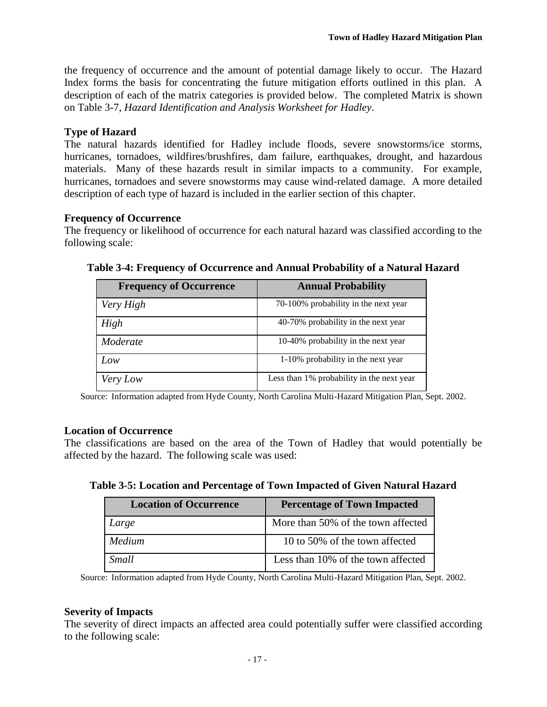the frequency of occurrence and the amount of potential damage likely to occur. The Hazard Index forms the basis for concentrating the future mitigation efforts outlined in this plan. A description of each of the matrix categories is provided below. The completed Matrix is shown on Table 3-7, *Hazard Identification and Analysis Worksheet for Hadley*.

### **Type of Hazard**

The natural hazards identified for Hadley include floods, severe snowstorms/ice storms, hurricanes, tornadoes, wildfires/brushfires, dam failure, earthquakes, drought, and hazardous materials. Many of these hazards result in similar impacts to a community. For example, hurricanes, tornadoes and severe snowstorms may cause wind-related damage. A more detailed description of each type of hazard is included in the earlier section of this chapter.

# **Frequency of Occurrence**

The frequency or likelihood of occurrence for each natural hazard was classified according to the following scale:

| <b>Frequency of Occurrence</b> | <b>Annual Probability</b>                 |
|--------------------------------|-------------------------------------------|
| Very High                      | 70-100% probability in the next year      |
| High                           | 40-70% probability in the next year       |
| Moderate                       | 10-40% probability in the next year       |
| Low                            | 1-10% probability in the next year        |
| Very Low                       | Less than 1% probability in the next year |

**Table 3-4: Frequency of Occurrence and Annual Probability of a Natural Hazard**

Source: Information adapted from Hyde County, North Carolina Multi-Hazard Mitigation Plan, Sept. 2002.

### **Location of Occurrence**

The classifications are based on the area of the Town of Hadley that would potentially be affected by the hazard. The following scale was used:

| Table 3-5: Location and Percentage of Town Impacted of Given Natural Hazard |  |
|-----------------------------------------------------------------------------|--|
|-----------------------------------------------------------------------------|--|

| <b>Location of Occurrence</b> | <b>Percentage of Town Impacted</b> |
|-------------------------------|------------------------------------|
| Large                         | More than 50% of the town affected |
| <b>Medium</b>                 | 10 to 50% of the town affected     |
| Small                         | Less than 10% of the town affected |

Source: Information adapted from Hyde County, North Carolina Multi-Hazard Mitigation Plan, Sept. 2002.

### **Severity of Impacts**

The severity of direct impacts an affected area could potentially suffer were classified according to the following scale: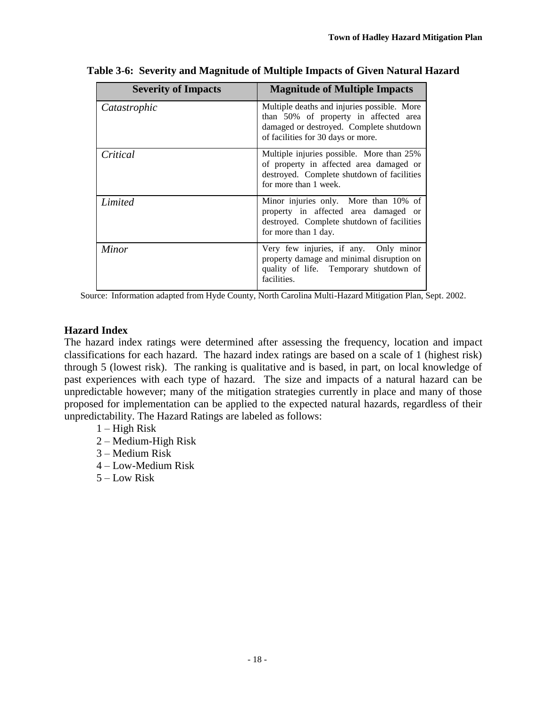| <b>Severity of Impacts</b> | <b>Magnitude of Multiple Impacts</b>                                                                                                                                  |
|----------------------------|-----------------------------------------------------------------------------------------------------------------------------------------------------------------------|
| Catastrophic               | Multiple deaths and injuries possible. More<br>than 50% of property in affected area<br>damaged or destroyed. Complete shutdown<br>of facilities for 30 days or more. |
| Critical                   | Multiple injuries possible. More than 25%<br>of property in affected area damaged or<br>destroyed. Complete shutdown of facilities<br>for more than 1 week.           |
| Limited                    | Minor injuries only. More than 10% of<br>property in affected area damaged or<br>destroyed. Complete shutdown of facilities<br>for more than 1 day.                   |
| Minor                      | Very few injuries, if any. Only minor<br>property damage and minimal disruption on<br>quality of life. Temporary shutdown of<br>facilities.                           |

**Table 3-6: Severity and Magnitude of Multiple Impacts of Given Natural Hazard**

Source: Information adapted from Hyde County, North Carolina Multi-Hazard Mitigation Plan, Sept. 2002.

### **Hazard Index**

The hazard index ratings were determined after assessing the frequency, location and impact classifications for each hazard. The hazard index ratings are based on a scale of 1 (highest risk) through 5 (lowest risk). The ranking is qualitative and is based, in part, on local knowledge of past experiences with each type of hazard. The size and impacts of a natural hazard can be unpredictable however; many of the mitigation strategies currently in place and many of those proposed for implementation can be applied to the expected natural hazards, regardless of their unpredictability. The Hazard Ratings are labeled as follows:

- 1 High Risk
- 2 Medium-High Risk
- 3 Medium Risk
- 4 Low-Medium Risk
- 5 Low Risk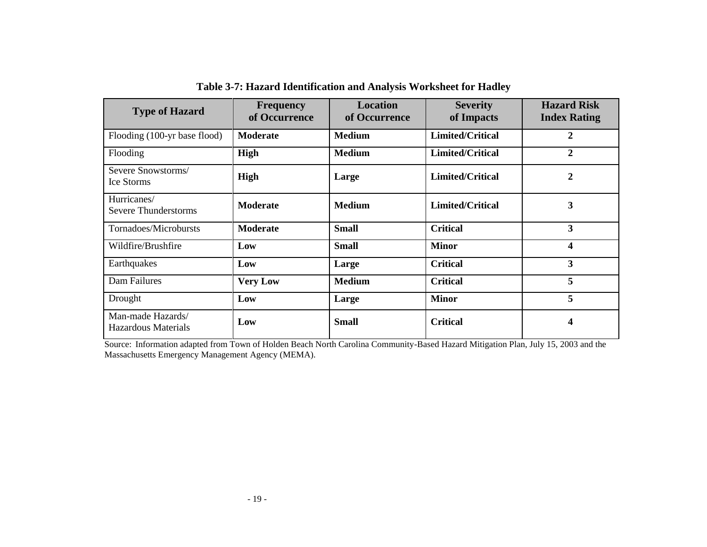| <b>Type of Hazard</b>                           | <b>Frequency</b><br>of Occurrence | <b>Location</b><br>of Occurrence | <b>Severity</b><br>of Impacts | <b>Hazard Risk</b><br><b>Index Rating</b> |
|-------------------------------------------------|-----------------------------------|----------------------------------|-------------------------------|-------------------------------------------|
| Flooding (100-yr base flood)                    | <b>Moderate</b>                   | <b>Medium</b>                    | Limited/Critical              | $\overline{2}$                            |
| Flooding                                        | High                              | <b>Medium</b>                    | Limited/Critical              | $\mathbf{2}$                              |
| Severe Snowstorms/<br>Ice Storms                | High                              | Large                            | <b>Limited/Critical</b>       | 2                                         |
| Hurricanes/<br><b>Severe Thunderstorms</b>      | <b>Moderate</b>                   | <b>Medium</b>                    | Limited/Critical              | 3                                         |
| Tornadoes/Microbursts                           | <b>Moderate</b>                   | <b>Small</b>                     | <b>Critical</b>               | 3                                         |
| Wildfire/Brushfire                              | Low                               | <b>Small</b>                     | <b>Minor</b>                  | $\overline{\mathbf{4}}$                   |
| Earthquakes                                     | Low                               | Large                            | <b>Critical</b>               | 3                                         |
| Dam Failures                                    | <b>Very Low</b>                   | <b>Medium</b>                    | <b>Critical</b>               | 5                                         |
| Drought                                         | Low                               | Large                            | <b>Minor</b>                  | 5                                         |
| Man-made Hazards/<br><b>Hazardous Materials</b> | Low                               | <b>Small</b>                     | <b>Critical</b>               | 4                                         |

**Table 3-7: Hazard Identification and Analysis Worksheet for Hadley**

Source: Information adapted from Town of Holden Beach North Carolina Community-Based Hazard Mitigation Plan, July 15, 2003 and the Massachusetts Emergency Management Agency (MEMA).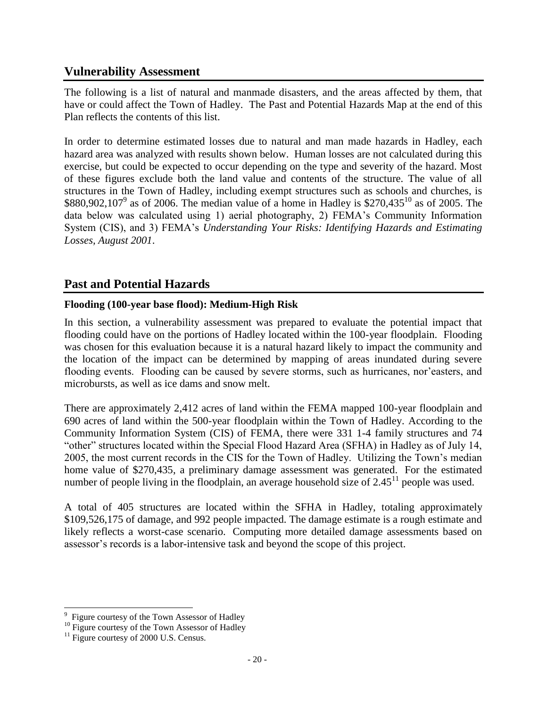# <span id="page-25-0"></span>**Vulnerability Assessment**

The following is a list of natural and manmade disasters, and the areas affected by them, that have or could affect the Town of Hadley. The Past and Potential Hazards Map at the end of this Plan reflects the contents of this list.

In order to determine estimated losses due to natural and man made hazards in Hadley, each hazard area was analyzed with results shown below. Human losses are not calculated during this exercise, but could be expected to occur depending on the type and severity of the hazard. Most of these figures exclude both the land value and contents of the structure. The value of all structures in the Town of Hadley, including exempt structures such as schools and churches, is \$880,902,107<sup>9</sup> as of 2006. The median value of a home in Hadley is \$270,435<sup>10</sup> as of 2005. The data below was calculated using 1) aerial photography, 2) FEMA's Community Information System (CIS), and 3) FEMA's *Understanding Your Risks: Identifying Hazards and Estimating Losses, August 2001*.

# <span id="page-25-1"></span>**Past and Potential Hazards**

# **Flooding (100-year base flood): Medium-High Risk**

In this section, a vulnerability assessment was prepared to evaluate the potential impact that flooding could have on the portions of Hadley located within the 100-year floodplain. Flooding was chosen for this evaluation because it is a natural hazard likely to impact the community and the location of the impact can be determined by mapping of areas inundated during severe flooding events. Flooding can be caused by severe storms, such as hurricanes, nor'easters, and microbursts, as well as ice dams and snow melt.

There are approximately 2,412 acres of land within the FEMA mapped 100-year floodplain and 690 acres of land within the 500-year floodplain within the Town of Hadley. According to the Community Information System (CIS) of FEMA, there were 331 1-4 family structures and 74 "other" structures located within the Special Flood Hazard Area (SFHA) in Hadley as of July 14, 2005, the most current records in the CIS for the Town of Hadley. Utilizing the Town's median home value of \$270,435, a preliminary damage assessment was generated. For the estimated number of people living in the floodplain, an average household size of  $2.45<sup>11</sup>$  people was used.

A total of 405 structures are located within the SFHA in Hadley, totaling approximately \$109,526,175 of damage, and 992 people impacted. The damage estimate is a rough estimate and likely reflects a worst-case scenario. Computing more detailed damage assessments based on assessor's records is a labor-intensive task and beyond the scope of this project.

<sup>&</sup>lt;sup>9</sup> Figure courtesy of the Town Assessor of Hadley

 $^{10}$  Figure courtesy of the Town Assessor of Hadley

 $11$  Figure courtesy of 2000 U.S. Census.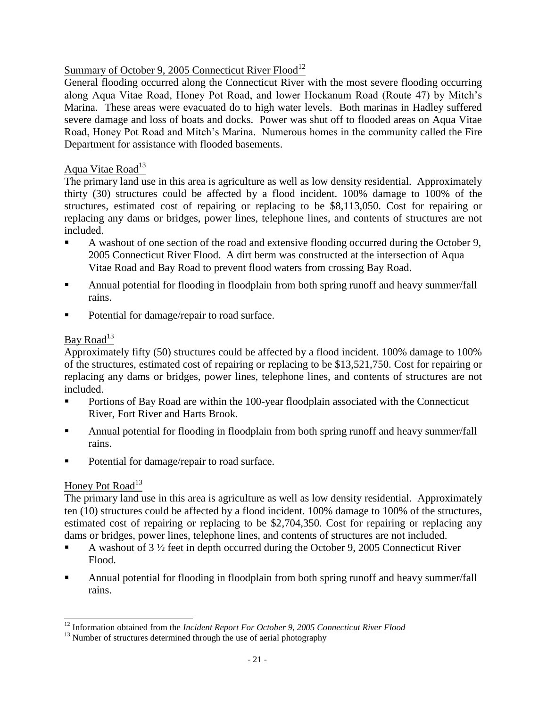### Summary of October 9, 2005 Connecticut River Flood<sup>12</sup>

General flooding occurred along the Connecticut River with the most severe flooding occurring along Aqua Vitae Road, Honey Pot Road, and lower Hockanum Road (Route 47) by Mitch's Marina. These areas were evacuated do to high water levels. Both marinas in Hadley suffered severe damage and loss of boats and docks. Power was shut off to flooded areas on Aqua Vitae Road, Honey Pot Road and Mitch's Marina. Numerous homes in the community called the Fire Department for assistance with flooded basements.

# Aqua Vitae Road $13$

The primary land use in this area is agriculture as well as low density residential. Approximately thirty (30) structures could be affected by a flood incident. 100% damage to 100% of the structures, estimated cost of repairing or replacing to be \$8,113,050. Cost for repairing or replacing any dams or bridges, power lines, telephone lines, and contents of structures are not included.

- A washout of one section of the road and extensive flooding occurred during the October 9, 2005 Connecticut River Flood. A dirt berm was constructed at the intersection of Aqua Vitae Road and Bay Road to prevent flood waters from crossing Bay Road.
- Annual potential for flooding in floodplain from both spring runoff and heavy summer/fall rains.
- Potential for damage/repair to road surface.

# Bay Road<sup>13</sup>

Approximately fifty (50) structures could be affected by a flood incident. 100% damage to 100% of the structures, estimated cost of repairing or replacing to be \$13,521,750. Cost for repairing or replacing any dams or bridges, power lines, telephone lines, and contents of structures are not included.

- **Portions of Bay Road are within the 100-year floodplain associated with the Connecticut** River, Fort River and Harts Brook.
- **•** Annual potential for flooding in floodplain from both spring runoff and heavy summer/fall rains.
- Potential for damage/repair to road surface.

# Honey Pot Road<sup>13</sup>

The primary land use in this area is agriculture as well as low density residential. Approximately ten (10) structures could be affected by a flood incident. 100% damage to 100% of the structures, estimated cost of repairing or replacing to be \$2,704,350. Cost for repairing or replacing any dams or bridges, power lines, telephone lines, and contents of structures are not included.

- A washout of 3 ½ feet in depth occurred during the October 9, 2005 Connecticut River Flood.
- Annual potential for flooding in floodplain from both spring runoff and heavy summer/fall rains.

 $\overline{a}$ <sup>12</sup> Information obtained from the *Incident Report For October 9, 2005 Connecticut River Flood*

 $13$  Number of structures determined through the use of aerial photography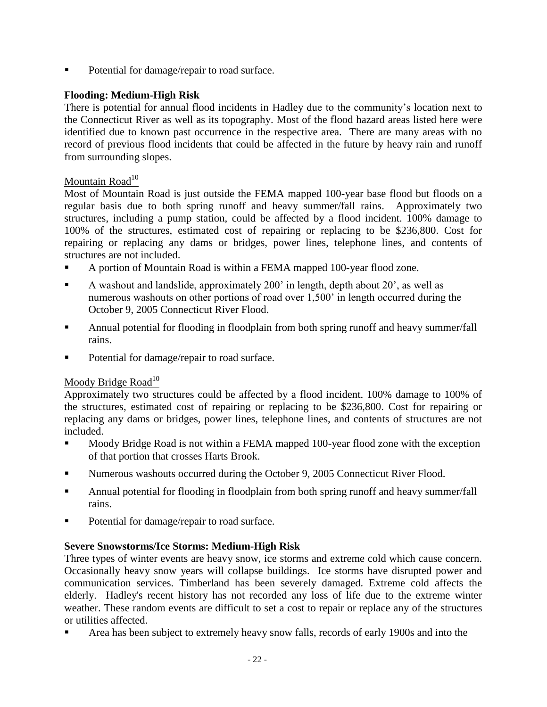Potential for damage/repair to road surface.

# **Flooding: Medium-High Risk**

There is potential for annual flood incidents in Hadley due to the community's location next to the Connecticut River as well as its topography. Most of the flood hazard areas listed here were identified due to known past occurrence in the respective area. There are many areas with no record of previous flood incidents that could be affected in the future by heavy rain and runoff from surrounding slopes.

# Mountain Road $10<sup>10</sup>$

Most of Mountain Road is just outside the FEMA mapped 100-year base flood but floods on a regular basis due to both spring runoff and heavy summer/fall rains. Approximately two structures, including a pump station, could be affected by a flood incident. 100% damage to 100% of the structures, estimated cost of repairing or replacing to be \$236,800. Cost for repairing or replacing any dams or bridges, power lines, telephone lines, and contents of structures are not included.

- A portion of Mountain Road is within a FEMA mapped 100-year flood zone.
- A washout and landslide, approximately 200' in length, depth about 20', as well as numerous washouts on other portions of road over 1,500' in length occurred during the October 9, 2005 Connecticut River Flood.
- Annual potential for flooding in floodplain from both spring runoff and heavy summer/fall rains.
- Potential for damage/repair to road surface.

### Moody Bridge Road<sup>10</sup>

Approximately two structures could be affected by a flood incident. 100% damage to 100% of the structures, estimated cost of repairing or replacing to be \$236,800. Cost for repairing or replacing any dams or bridges, power lines, telephone lines, and contents of structures are not included.

- Moody Bridge Road is not within a FEMA mapped 100-year flood zone with the exception of that portion that crosses Harts Brook.
- Numerous washouts occurred during the October 9, 2005 Connecticut River Flood.
- Annual potential for flooding in floodplain from both spring runoff and heavy summer/fall rains.
- Potential for damage/repair to road surface.

# **Severe Snowstorms/Ice Storms: Medium-High Risk**

Three types of winter events are heavy snow, ice storms and extreme cold which cause concern. Occasionally heavy snow years will collapse buildings. Ice storms have disrupted power and communication services. Timberland has been severely damaged. Extreme cold affects the elderly. Hadley's recent history has not recorded any loss of life due to the extreme winter weather. These random events are difficult to set a cost to repair or replace any of the structures or utilities affected.

Area has been subject to extremely heavy snow falls, records of early 1900s and into the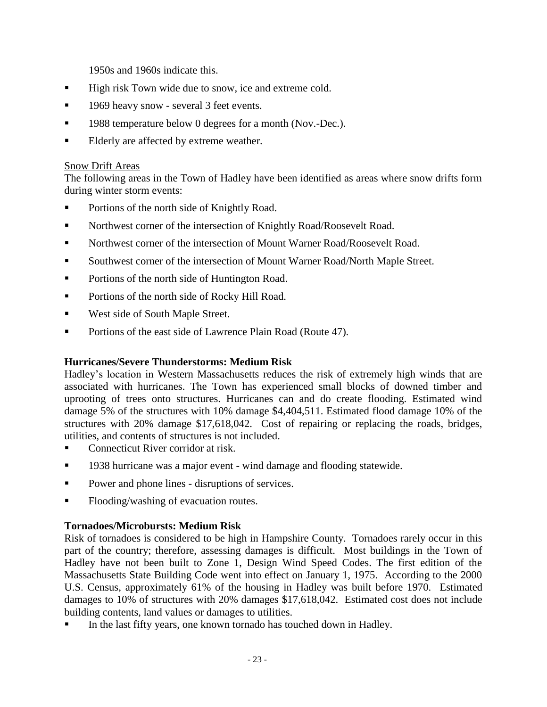1950s and 1960s indicate this.

- **High risk Town wide due to snow, ice and extreme cold.**
- **1969 heavy snow several 3 feet events.**
- **1988 temperature below 0 degrees for a month (Nov.-Dec.).**
- Elderly are affected by extreme weather.

### Snow Drift Areas

The following areas in the Town of Hadley have been identified as areas where snow drifts form during winter storm events:

- Portions of the north side of Knightly Road.
- Northwest corner of the intersection of Knightly Road/Roosevelt Road.
- Northwest corner of the intersection of Mount Warner Road/Roosevelt Road.
- Southwest corner of the intersection of Mount Warner Road/North Maple Street.
- Portions of the north side of Huntington Road.
- **Portions of the north side of Rocky Hill Road.**
- **West side of South Maple Street.**
- **Portions of the east side of Lawrence Plain Road (Route 47).**

### **Hurricanes/Severe Thunderstorms: Medium Risk**

Hadley's location in Western Massachusetts reduces the risk of extremely high winds that are associated with hurricanes. The Town has experienced small blocks of downed timber and uprooting of trees onto structures. Hurricanes can and do create flooding. Estimated wind damage 5% of the structures with 10% damage \$4,404,511. Estimated flood damage 10% of the structures with 20% damage \$17,618,042. Cost of repairing or replacing the roads, bridges, utilities, and contents of structures is not included.

- Connecticut River corridor at risk.
- **1938 hurricane was a major event wind damage and flooding statewide.**
- Power and phone lines disruptions of services.
- Flooding/washing of evacuation routes.

# **Tornadoes/Microbursts: Medium Risk**

Risk of tornadoes is considered to be high in Hampshire County. Tornadoes rarely occur in this part of the country; therefore, assessing damages is difficult. Most buildings in the Town of Hadley have not been built to Zone 1, Design Wind Speed Codes. The first edition of the Massachusetts State Building Code went into effect on January 1, 1975. According to the 2000 U.S. Census, approximately 61% of the housing in Hadley was built before 1970. Estimated damages to 10% of structures with 20% damages \$17,618,042. Estimated cost does not include building contents, land values or damages to utilities.

In the last fifty years, one known tornado has touched down in Hadley.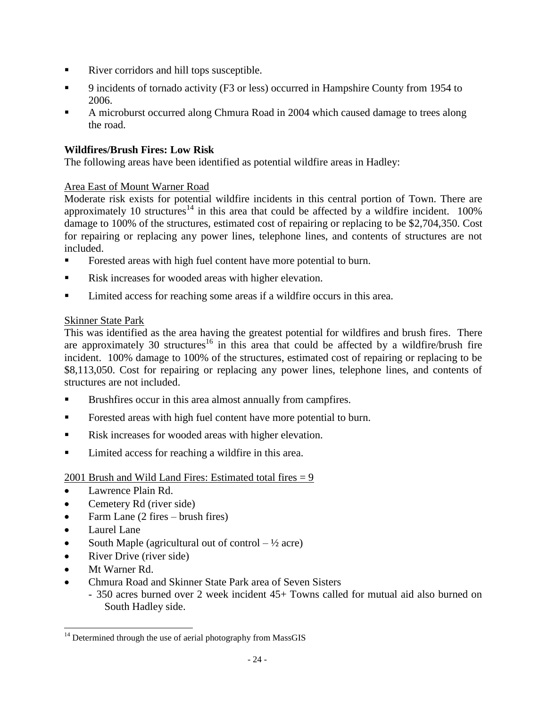- River corridors and hill tops susceptible.
- 9 incidents of tornado activity (F3 or less) occurred in Hampshire County from 1954 to 2006.
- A microburst occurred along Chmura Road in 2004 which caused damage to trees along the road.

### **Wildfires/Brush Fires: Low Risk**

The following areas have been identified as potential wildfire areas in Hadley:

# Area East of Mount Warner Road

Moderate risk exists for potential wildfire incidents in this central portion of Town. There are approximately 10 structures<sup>14</sup> in this area that could be affected by a wildfire incident.  $100\%$ damage to 100% of the structures, estimated cost of repairing or replacing to be \$2,704,350. Cost for repairing or replacing any power lines, telephone lines, and contents of structures are not included.

- Forested areas with high fuel content have more potential to burn.
- Risk increases for wooded areas with higher elevation.
- Limited access for reaching some areas if a wildfire occurs in this area.

# Skinner State Park

This was identified as the area having the greatest potential for wildfires and brush fires. There are approximately 30 structures<sup>16</sup> in this area that could be affected by a wildfire/brush fire incident. 100% damage to 100% of the structures, estimated cost of repairing or replacing to be \$8,113,050. Cost for repairing or replacing any power lines, telephone lines, and contents of structures are not included.

- Brushfires occur in this area almost annually from campfires.
- Forested areas with high fuel content have more potential to burn.
- **Risk increases for wooded areas with higher elevation.**
- **Limited access for reaching a wildfire in this area.**

### 2001 Brush and Wild Land Fires: Estimated total fires  $= 9$

- Lawrence Plain Rd.
- Cemetery Rd (river side)
- Farm Lane  $(2$  fires brush fires)
- Laurel Lane
- South Maple (agricultural out of control  $\frac{1}{2}$  acre)
- River Drive (river side)
- Mt Warner Rd.

l

- Chmura Road and Skinner State Park area of Seven Sisters
	- 350 acres burned over 2 week incident 45+ Towns called for mutual aid also burned on South Hadley side.

 $14$  Determined through the use of aerial photography from MassGIS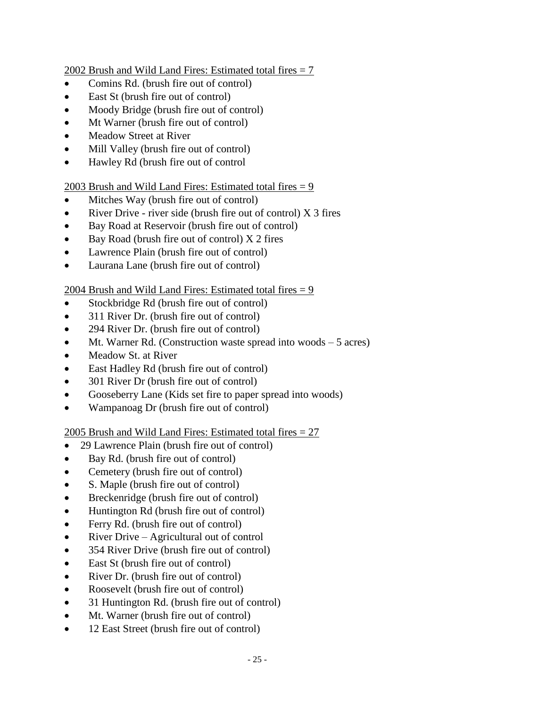2002 Brush and Wild Land Fires: Estimated total fires  $= 7$ 

- Comins Rd. (brush fire out of control)
- East St (brush fire out of control)
- Moody Bridge (brush fire out of control)
- Mt Warner (brush fire out of control)
- Meadow Street at River
- Mill Valley (brush fire out of control)
- Hawley Rd (brush fire out of control

2003 Brush and Wild Land Fires: Estimated total fires  $= 9$ 

- Mitches Way (brush fire out of control)
- River Drive river side (brush fire out of control)  $X_3$  fires
- Bay Road at Reservoir (brush fire out of control)
- $\bullet$  Bay Road (brush fire out of control) X 2 fires
- Lawrence Plain (brush fire out of control)
- Laurana Lane (brush fire out of control)

# 2004 Brush and Wild Land Fires: Estimated total fires = 9

- Stockbridge Rd (brush fire out of control)
- 311 River Dr. (brush fire out of control)
- 294 River Dr. (brush fire out of control)
- Mt. Warner Rd. (Construction waste spread into woods 5 acres)
- Meadow St. at River
- East Hadley Rd (brush fire out of control)
- 301 River Dr (brush fire out of control)
- Gooseberry Lane (Kids set fire to paper spread into woods)
- Wampanoag Dr (brush fire out of control)

### 2005 Brush and Wild Land Fires: Estimated total fires  $= 27$

- 29 Lawrence Plain (brush fire out of control)
- Bay Rd. (brush fire out of control)
- Cemetery (brush fire out of control)
- S. Maple (brush fire out of control)
- Breckenridge (brush fire out of control)
- Huntington Rd (brush fire out of control)
- Ferry Rd. (brush fire out of control)
- River Drive Agricultural out of control
- 354 River Drive (brush fire out of control)
- East St (brush fire out of control)
- River Dr. (brush fire out of control)
- Roosevelt (brush fire out of control)
- 31 Huntington Rd. (brush fire out of control)
- Mt. Warner (brush fire out of control)
- 12 East Street (brush fire out of control)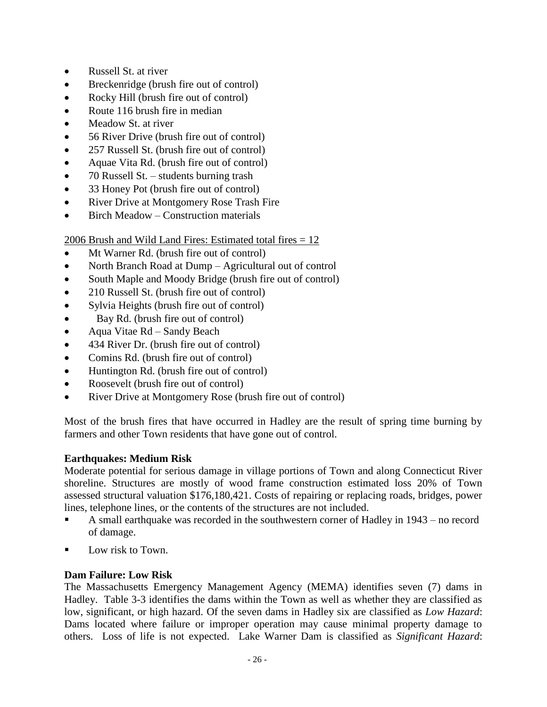- Russell St. at river
- Breckenridge (brush fire out of control)
- Rocky Hill (brush fire out of control)
- Route 116 brush fire in median
- Meadow St. at river
- 56 River Drive (brush fire out of control)
- 257 Russell St. (brush fire out of control)
- Aquae Vita Rd. (brush fire out of control)
- 70 Russell St. students burning trash
- 33 Honey Pot (brush fire out of control)
- River Drive at Montgomery Rose Trash Fire
- Birch Meadow Construction materials

### 2006 Brush and Wild Land Fires: Estimated total fires = 12

- Mt Warner Rd. (brush fire out of control)
- North Branch Road at Dump Agricultural out of control
- South Maple and Moody Bridge (brush fire out of control)
- 210 Russell St. (brush fire out of control)
- Sylvia Heights (brush fire out of control)
- Bay Rd. (brush fire out of control)
- Aqua Vitae Rd Sandy Beach
- 434 River Dr. (brush fire out of control)
- Comins Rd. (brush fire out of control)
- Huntington Rd. (brush fire out of control)
- Roosevelt (brush fire out of control)
- River Drive at Montgomery Rose (brush fire out of control)

Most of the brush fires that have occurred in Hadley are the result of spring time burning by farmers and other Town residents that have gone out of control.

### **Earthquakes: Medium Risk**

Moderate potential for serious damage in village portions of Town and along Connecticut River shoreline. Structures are mostly of wood frame construction estimated loss 20% of Town assessed structural valuation \$176,180,421. Costs of repairing or replacing roads, bridges, power lines, telephone lines, or the contents of the structures are not included.

- A small earthquake was recorded in the southwestern corner of Hadley in 1943 no record of damage.
- Low risk to Town.

### **Dam Failure: Low Risk**

The Massachusetts Emergency Management Agency (MEMA) identifies seven (7) dams in Hadley. Table 3-3 identifies the dams within the Town as well as whether they are classified as low, significant, or high hazard. Of the seven dams in Hadley six are classified as *Low Hazard*: Dams located where failure or improper operation may cause minimal property damage to others. Loss of life is not expected. Lake Warner Dam is classified as *Significant Hazard*: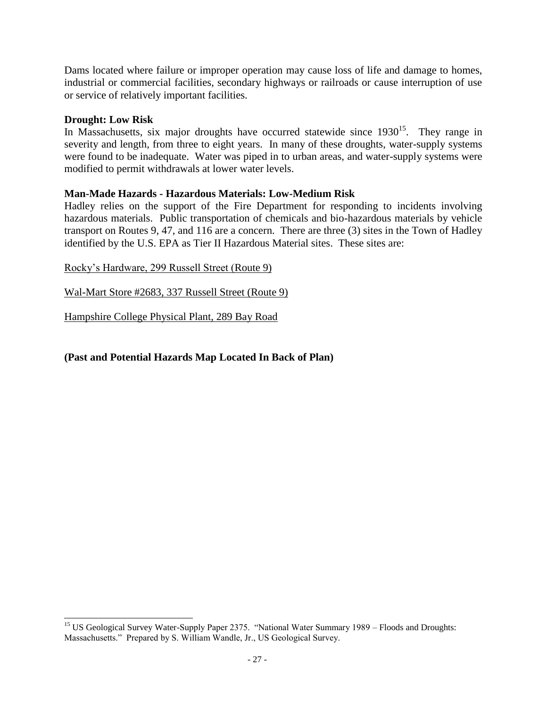Dams located where failure or improper operation may cause loss of life and damage to homes, industrial or commercial facilities, secondary highways or railroads or cause interruption of use or service of relatively important facilities.

# **Drought: Low Risk**

In Massachusetts, six major droughts have occurred statewide since  $1930^{15}$ . They range in severity and length, from three to eight years. In many of these droughts, water-supply systems were found to be inadequate. Water was piped in to urban areas, and water-supply systems were modified to permit withdrawals at lower water levels.

# **Man-Made Hazards - Hazardous Materials: Low-Medium Risk**

Hadley relies on the support of the Fire Department for responding to incidents involving hazardous materials. Public transportation of chemicals and bio-hazardous materials by vehicle transport on Routes 9, 47, and 116 are a concern. There are three (3) sites in the Town of Hadley identified by the U.S. EPA as Tier II Hazardous Material sites. These sites are:

Rocky's Hardware, 299 Russell Street (Route 9)

Wal-Mart Store #2683, 337 Russell Street (Route 9)

Hampshire College Physical Plant, 289 Bay Road

# **(Past and Potential Hazards Map Located In Back of Plan)**

 $\overline{a}$ <sup>15</sup> US Geological Survey Water-Supply Paper 2375. "National Water Summary 1989 – Floods and Droughts: Massachusetts." Prepared by S. William Wandle, Jr., US Geological Survey.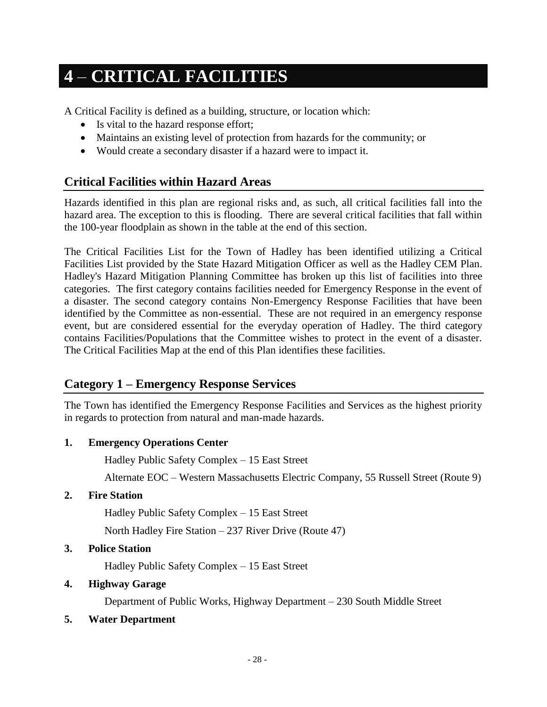# <span id="page-33-0"></span>**4** – **CRITICAL FACILITIES**

A Critical Facility is defined as a building, structure, or location which:

- Is vital to the hazard response effort;
- Maintains an existing level of protection from hazards for the community; or
- Would create a secondary disaster if a hazard were to impact it.

# <span id="page-33-1"></span>**Critical Facilities within Hazard Areas**

Hazards identified in this plan are regional risks and, as such, all critical facilities fall into the hazard area. The exception to this is flooding. There are several critical facilities that fall within the 100-year floodplain as shown in the table at the end of this section.

The Critical Facilities List for the Town of Hadley has been identified utilizing a Critical Facilities List provided by the State Hazard Mitigation Officer as well as the Hadley CEM Plan. Hadley's Hazard Mitigation Planning Committee has broken up this list of facilities into three categories. The first category contains facilities needed for Emergency Response in the event of a disaster. The second category contains Non-Emergency Response Facilities that have been identified by the Committee as non-essential. These are not required in an emergency response event, but are considered essential for the everyday operation of Hadley. The third category contains Facilities/Populations that the Committee wishes to protect in the event of a disaster. The Critical Facilities Map at the end of this Plan identifies these facilities.

# <span id="page-33-2"></span>**Category 1 – Emergency Response Services**

The Town has identified the Emergency Response Facilities and Services as the highest priority in regards to protection from natural and man-made hazards.

### **1. Emergency Operations Center**

Hadley Public Safety Complex – 15 East Street

Alternate EOC – Western Massachusetts Electric Company, 55 Russell Street (Route 9)

### **2. Fire Station**

Hadley Public Safety Complex – 15 East Street

North Hadley Fire Station – 237 River Drive (Route 47)

### **3. Police Station**

Hadley Public Safety Complex – 15 East Street

### **4. Highway Garage**

Department of Public Works, Highway Department – 230 South Middle Street

### **5. Water Department**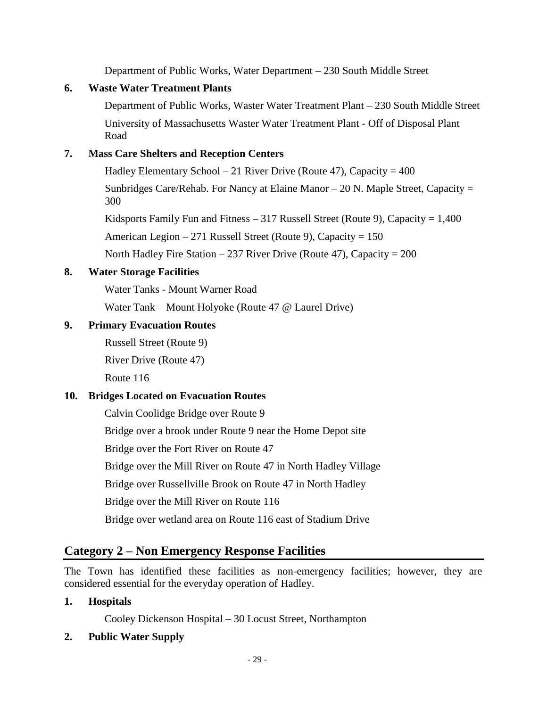Department of Public Works, Water Department – 230 South Middle Street

### **6. Waste Water Treatment Plants**

Department of Public Works, Waster Water Treatment Plant – 230 South Middle Street University of Massachusetts Waster Water Treatment Plant - Off of Disposal Plant Road

# **7. Mass Care Shelters and Reception Centers**

Hadley Elementary School – 21 River Drive (Route 47), Capacity =  $400$ 

Sunbridges Care/Rehab. For Nancy at Elaine Manor – 20 N. Maple Street, Capacity = 300

Kidsports Family Fun and Fitness  $-317$  Russell Street (Route 9), Capacity  $= 1,400$ 

American Legion – 271 Russell Street (Route 9), Capacity =  $150$ 

North Hadley Fire Station – 237 River Drive (Route 47), Capacity =  $200$ 

# **8. Water Storage Facilities**

Water Tanks - Mount Warner Road

Water Tank – Mount Holyoke (Route 47 @ Laurel Drive)

### **9. Primary Evacuation Routes**

Russell Street (Route 9)

River Drive (Route 47)

Route 116

### **10. Bridges Located on Evacuation Routes**

Calvin Coolidge Bridge over Route 9

Bridge over a brook under Route 9 near the Home Depot site

Bridge over the Fort River on Route 47

Bridge over the Mill River on Route 47 in North Hadley Village

Bridge over Russellville Brook on Route 47 in North Hadley

Bridge over the Mill River on Route 116

Bridge over wetland area on Route 116 east of Stadium Drive

# <span id="page-34-0"></span>**Category 2 – Non Emergency Response Facilities**

The Town has identified these facilities as non-emergency facilities; however, they are considered essential for the everyday operation of Hadley.

### **1. Hospitals**

Cooley Dickenson Hospital – 30 Locust Street, Northampton

### **2. Public Water Supply**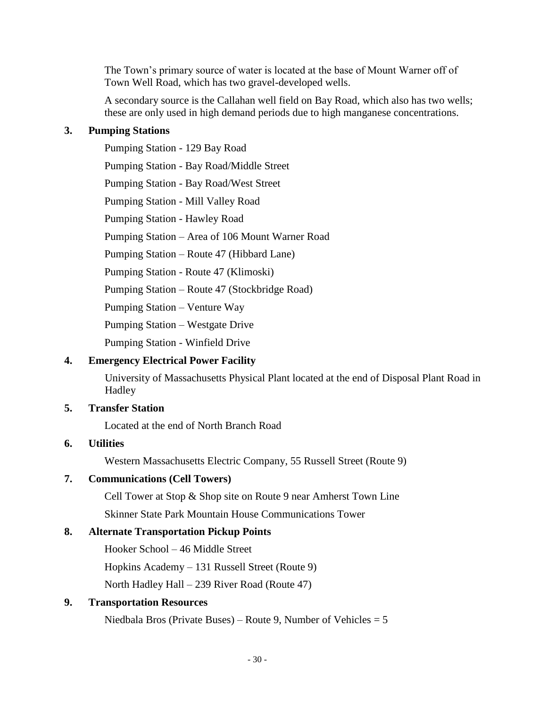The Town's primary source of water is located at the base of Mount Warner off of Town Well Road, which has two gravel-developed wells.

A secondary source is the Callahan well field on Bay Road, which also has two wells; these are only used in high demand periods due to high manganese concentrations.

### **3. Pumping Stations**

Pumping Station - 129 Bay Road Pumping Station - Bay Road/Middle Street Pumping Station - Bay Road/West Street Pumping Station - Mill Valley Road Pumping Station - Hawley Road Pumping Station – Area of 106 Mount Warner Road Pumping Station – Route 47 (Hibbard Lane) Pumping Station - Route 47 (Klimoski) Pumping Station – Route 47 (Stockbridge Road) Pumping Station – Venture Way Pumping Station – Westgate Drive Pumping Station - Winfield Drive

### **4. Emergency Electrical Power Facility**

University of Massachusetts Physical Plant located at the end of Disposal Plant Road in Hadley

### **5. Transfer Station**

Located at the end of North Branch Road

### **6. Utilities**

Western Massachusetts Electric Company, 55 Russell Street (Route 9)

### **7. Communications (Cell Towers)**

Cell Tower at Stop & Shop site on Route 9 near Amherst Town Line

Skinner State Park Mountain House Communications Tower

### **8. Alternate Transportation Pickup Points**

Hooker School – 46 Middle Street

Hopkins Academy – 131 Russell Street (Route 9)

North Hadley Hall – 239 River Road (Route 47)

### **9. Transportation Resources**

Niedbala Bros (Private Buses) – Route 9, Number of Vehicles  $= 5$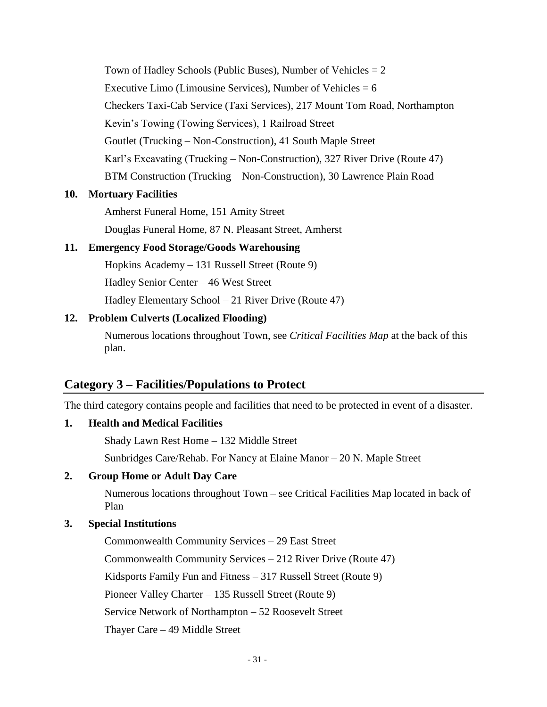Town of Hadley Schools (Public Buses), Number of Vehicles  $= 2$ Executive Limo (Limousine Services), Number of Vehicles  $= 6$ Checkers Taxi-Cab Service (Taxi Services), 217 Mount Tom Road, Northampton Kevin's Towing (Towing Services), 1 Railroad Street Goutlet (Trucking – Non-Construction), 41 South Maple Street Karl's Excavating (Trucking – Non-Construction), 327 River Drive (Route 47) BTM Construction (Trucking – Non-Construction), 30 Lawrence Plain Road

#### **10. Mortuary Facilities**

Amherst Funeral Home, 151 Amity Street

Douglas Funeral Home, 87 N. Pleasant Street, Amherst

### **11. Emergency Food Storage/Goods Warehousing**

Hopkins Academy – 131 Russell Street (Route 9) Hadley Senior Center – 46 West Street

Hadley Elementary School – 21 River Drive (Route 47)

### **12. Problem Culverts (Localized Flooding)**

Numerous locations throughout Town, see *Critical Facilities Map* at the back of this plan.

### **Category 3 – Facilities/Populations to Protect**

The third category contains people and facilities that need to be protected in event of a disaster.

### **1. Health and Medical Facilities**

Shady Lawn Rest Home – 132 Middle Street

Sunbridges Care/Rehab. For Nancy at Elaine Manor – 20 N. Maple Street

### **2. Group Home or Adult Day Care**

Numerous locations throughout Town – see Critical Facilities Map located in back of Plan

### **3. Special Institutions**

Commonwealth Community Services – 29 East Street Commonwealth Community Services – 212 River Drive (Route 47) Kidsports Family Fun and Fitness – 317 Russell Street (Route 9) Pioneer Valley Charter – 135 Russell Street (Route 9) Service Network of Northampton – 52 Roosevelt Street Thayer Care – 49 Middle Street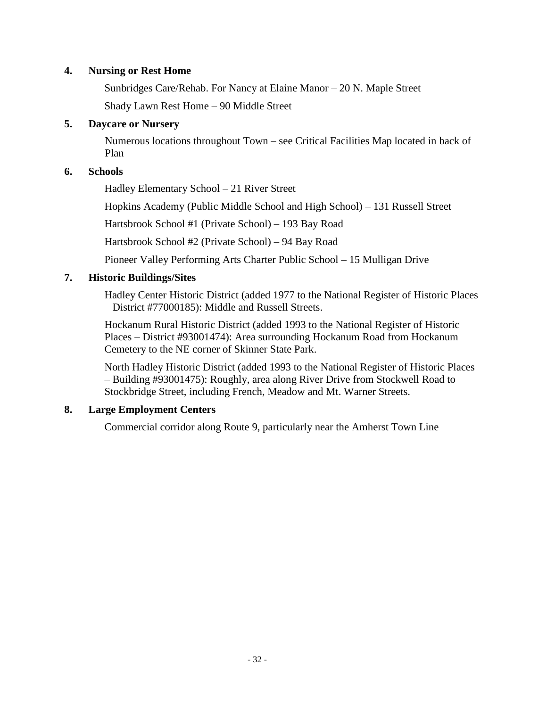### **4. Nursing or Rest Home**

Sunbridges Care/Rehab. For Nancy at Elaine Manor – 20 N. Maple Street Shady Lawn Rest Home – 90 Middle Street

### **5. Daycare or Nursery**

Numerous locations throughout Town – see Critical Facilities Map located in back of Plan

### **6. Schools**

Hadley Elementary School – 21 River Street

Hopkins Academy (Public Middle School and High School) – 131 Russell Street

Hartsbrook School #1 (Private School) – 193 Bay Road

Hartsbrook School #2 (Private School) – 94 Bay Road

Pioneer Valley Performing Arts Charter Public School – 15 Mulligan Drive

### **7. Historic Buildings/Sites**

Hadley Center Historic District (added 1977 to the National Register of Historic Places – District #77000185): Middle and Russell Streets.

Hockanum Rural Historic District (added 1993 to the National Register of Historic Places – District #93001474): Area surrounding Hockanum Road from Hockanum Cemetery to the NE corner of Skinner State Park.

North Hadley Historic District (added 1993 to the National Register of Historic Places – Building #93001475): Roughly, area along River Drive from Stockwell Road to Stockbridge Street, including French, Meadow and Mt. Warner Streets.

### **8. Large Employment Centers**

Commercial corridor along Route 9, particularly near the Amherst Town Line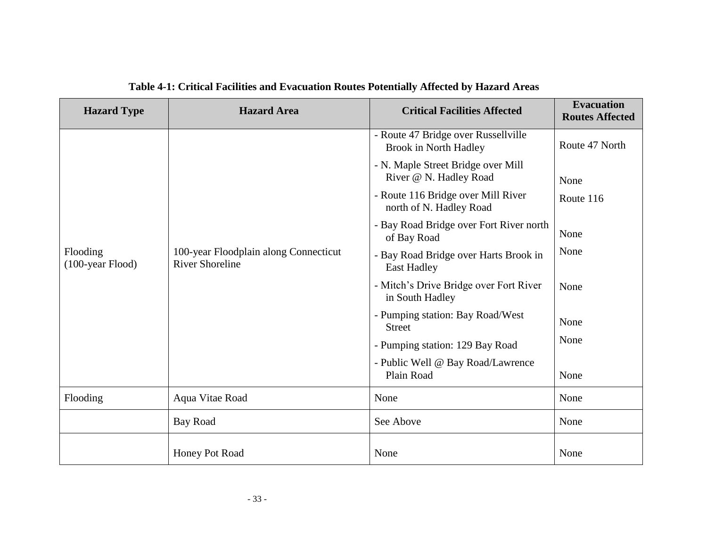| <b>Hazard Type</b>              | <b>Hazard Area</b>                                              | <b>Critical Facilities Affected</b>                           | <b>Evacuation</b><br><b>Routes Affected</b> |
|---------------------------------|-----------------------------------------------------------------|---------------------------------------------------------------|---------------------------------------------|
|                                 |                                                                 | - Route 47 Bridge over Russellville<br>Brook in North Hadley  | Route 47 North                              |
|                                 | 100-year Floodplain along Connecticut<br><b>River Shoreline</b> | - N. Maple Street Bridge over Mill<br>River @ N. Hadley Road  | None                                        |
|                                 |                                                                 | - Route 116 Bridge over Mill River<br>north of N. Hadley Road | Route 116                                   |
|                                 |                                                                 | - Bay Road Bridge over Fort River north<br>of Bay Road        | None                                        |
| Flooding<br>$(100$ -year Flood) |                                                                 | - Bay Road Bridge over Harts Brook in<br><b>East Hadley</b>   | None                                        |
|                                 |                                                                 | - Mitch's Drive Bridge over Fort River<br>in South Hadley     | None                                        |
|                                 |                                                                 | - Pumping station: Bay Road/West<br><b>Street</b>             | None                                        |
|                                 |                                                                 | - Pumping station: 129 Bay Road                               | None                                        |
|                                 |                                                                 | - Public Well @ Bay Road/Lawrence<br>Plain Road               | None                                        |
| Flooding                        | Aqua Vitae Road                                                 | None                                                          | None                                        |
|                                 | <b>Bay Road</b>                                                 | See Above                                                     | None                                        |
|                                 | Honey Pot Road                                                  | None                                                          | None                                        |

### **Table 4-1: Critical Facilities and Evacuation Routes Potentially Affected by Hazard Areas**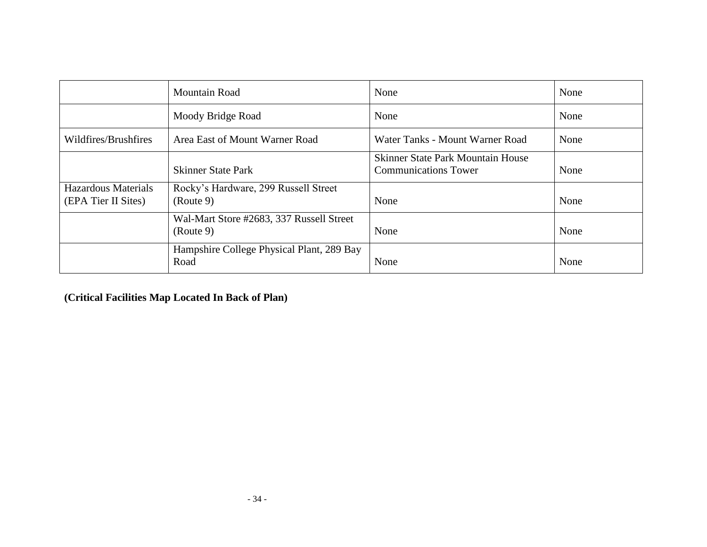|                                                   | Mountain Road                                         | None                                                                    | None |
|---------------------------------------------------|-------------------------------------------------------|-------------------------------------------------------------------------|------|
|                                                   | Moody Bridge Road                                     | None                                                                    | None |
| Wildfires/Brushfires                              | Area East of Mount Warner Road                        | Water Tanks - Mount Warner Road                                         | None |
|                                                   | <b>Skinner State Park</b>                             | <b>Skinner State Park Mountain House</b><br><b>Communications Tower</b> | None |
| <b>Hazardous Materials</b><br>(EPA Tier II Sites) | Rocky's Hardware, 299 Russell Street<br>(Route 9)     | None                                                                    | None |
|                                                   | Wal-Mart Store #2683, 337 Russell Street<br>(Route 9) | None                                                                    | None |
|                                                   | Hampshire College Physical Plant, 289 Bay<br>Road     | None                                                                    | None |

**(Critical Facilities Map Located In Back of Plan)**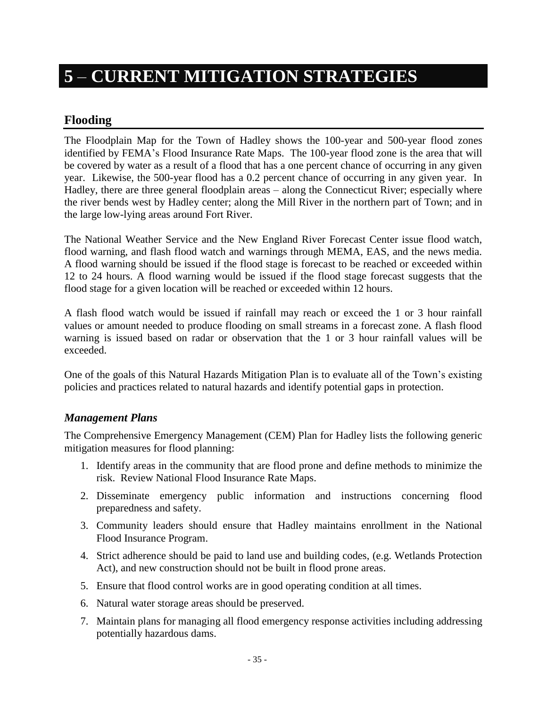# **5** – **CURRENT MITIGATION STRATEGIES**

### **Flooding**

The Floodplain Map for the Town of Hadley shows the 100-year and 500-year flood zones identified by FEMA's Flood Insurance Rate Maps. The 100-year flood zone is the area that will be covered by water as a result of a flood that has a one percent chance of occurring in any given year. Likewise, the 500-year flood has a 0.2 percent chance of occurring in any given year. In Hadley, there are three general floodplain areas – along the Connecticut River; especially where the river bends west by Hadley center; along the Mill River in the northern part of Town; and in the large low-lying areas around Fort River.

The National Weather Service and the New England River Forecast Center issue flood watch, flood warning, and flash flood watch and warnings through MEMA, EAS, and the news media. A flood warning should be issued if the flood stage is forecast to be reached or exceeded within 12 to 24 hours. A flood warning would be issued if the flood stage forecast suggests that the flood stage for a given location will be reached or exceeded within 12 hours.

A flash flood watch would be issued if rainfall may reach or exceed the 1 or 3 hour rainfall values or amount needed to produce flooding on small streams in a forecast zone. A flash flood warning is issued based on radar or observation that the 1 or 3 hour rainfall values will be exceeded.

One of the goals of this Natural Hazards Mitigation Plan is to evaluate all of the Town's existing policies and practices related to natural hazards and identify potential gaps in protection.

### *Management Plans*

The Comprehensive Emergency Management (CEM) Plan for Hadley lists the following generic mitigation measures for flood planning:

- 1. Identify areas in the community that are flood prone and define methods to minimize the risk. Review National Flood Insurance Rate Maps.
- 2. Disseminate emergency public information and instructions concerning flood preparedness and safety.
- 3. Community leaders should ensure that Hadley maintains enrollment in the National Flood Insurance Program.
- 4. Strict adherence should be paid to land use and building codes, (e.g. Wetlands Protection Act), and new construction should not be built in flood prone areas.
- 5. Ensure that flood control works are in good operating condition at all times.
- 6. Natural water storage areas should be preserved.
- 7. Maintain plans for managing all flood emergency response activities including addressing potentially hazardous dams.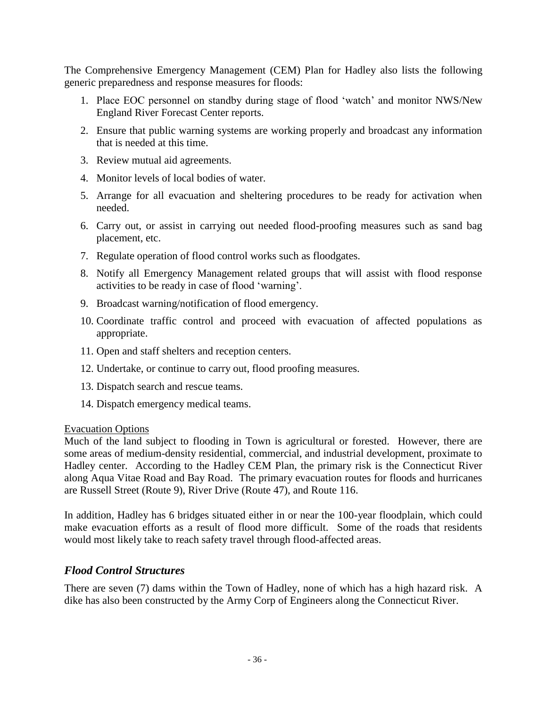The Comprehensive Emergency Management (CEM) Plan for Hadley also lists the following generic preparedness and response measures for floods:

- 1. Place EOC personnel on standby during stage of flood 'watch' and monitor NWS/New England River Forecast Center reports.
- 2. Ensure that public warning systems are working properly and broadcast any information that is needed at this time.
- 3. Review mutual aid agreements.
- 4. Monitor levels of local bodies of water.
- 5. Arrange for all evacuation and sheltering procedures to be ready for activation when needed.
- 6. Carry out, or assist in carrying out needed flood-proofing measures such as sand bag placement, etc.
- 7. Regulate operation of flood control works such as floodgates.
- 8. Notify all Emergency Management related groups that will assist with flood response activities to be ready in case of flood 'warning'.
- 9. Broadcast warning/notification of flood emergency.
- 10. Coordinate traffic control and proceed with evacuation of affected populations as appropriate.
- 11. Open and staff shelters and reception centers.
- 12. Undertake, or continue to carry out, flood proofing measures.
- 13. Dispatch search and rescue teams.
- 14. Dispatch emergency medical teams.

#### Evacuation Options

Much of the land subject to flooding in Town is agricultural or forested. However, there are some areas of medium-density residential, commercial, and industrial development, proximate to Hadley center. According to the Hadley CEM Plan, the primary risk is the Connecticut River along Aqua Vitae Road and Bay Road.The primary evacuation routes for floods and hurricanes are Russell Street (Route 9), River Drive (Route 47), and Route 116.

In addition, Hadley has 6 bridges situated either in or near the 100-year floodplain, which could make evacuation efforts as a result of flood more difficult. Some of the roads that residents would most likely take to reach safety travel through flood-affected areas.

### *Flood Control Structures*

There are seven (7) dams within the Town of Hadley, none of which has a high hazard risk. A dike has also been constructed by the Army Corp of Engineers along the Connecticut River.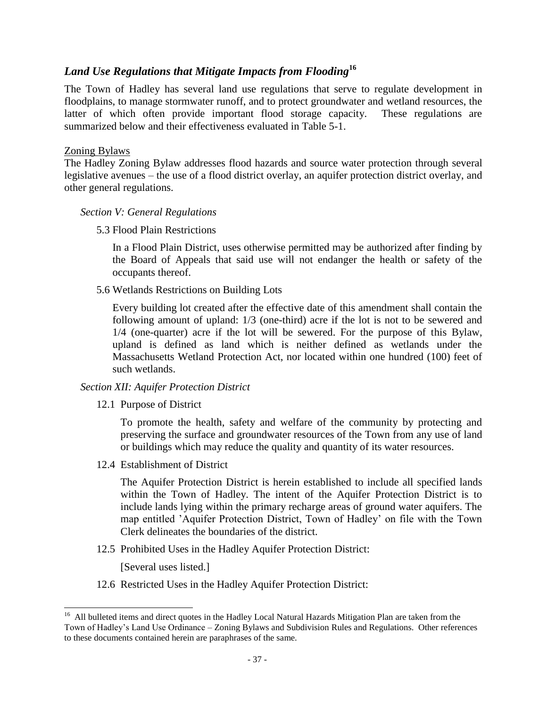### *Land Use Regulations that Mitigate Impacts from Flooding***<sup>16</sup>**

The Town of Hadley has several land use regulations that serve to regulate development in floodplains, to manage stormwater runoff, and to protect groundwater and wetland resources, the latter of which often provide important flood storage capacity. These regulations are summarized below and their effectiveness evaluated in Table 5-1.

#### Zoning Bylaws

The Hadley Zoning Bylaw addresses flood hazards and source water protection through several legislative avenues – the use of a flood district overlay, an aquifer protection district overlay, and other general regulations.

### *Section V: General Regulations*

5.3 Flood Plain Restrictions

In a Flood Plain District, uses otherwise permitted may be authorized after finding by the Board of Appeals that said use will not endanger the health or safety of the occupants thereof.

5.6 Wetlands Restrictions on Building Lots

Every building lot created after the effective date of this amendment shall contain the following amount of upland: 1/3 (one-third) acre if the lot is not to be sewered and 1/4 (one-quarter) acre if the lot will be sewered. For the purpose of this Bylaw, upland is defined as land which is neither defined as wetlands under the Massachusetts Wetland Protection Act, nor located within one hundred (100) feet of such wetlands.

### *Section XII: Aquifer Protection District*

12.1 Purpose of District

To promote the health, safety and welfare of the community by protecting and preserving the surface and groundwater resources of the Town from any use of land or buildings which may reduce the quality and quantity of its water resources.

12.4 Establishment of District

The Aquifer Protection District is herein established to include all specified lands within the Town of Hadley. The intent of the Aquifer Protection District is to include lands lying within the primary recharge areas of ground water aquifers. The map entitled 'Aquifer Protection District, Town of Hadley' on file with the Town Clerk delineates the boundaries of the district.

12.5 Prohibited Uses in the Hadley Aquifer Protection District:

[Several uses listed.]

12.6 Restricted Uses in the Hadley Aquifer Protection District:

<sup>&</sup>lt;sup>16</sup> All bulleted items and direct quotes in the Hadley Local Natural Hazards Mitigation Plan are taken from the Town of Hadley's Land Use Ordinance – Zoning Bylaws and Subdivision Rules and Regulations. Other references to these documents contained herein are paraphrases of the same.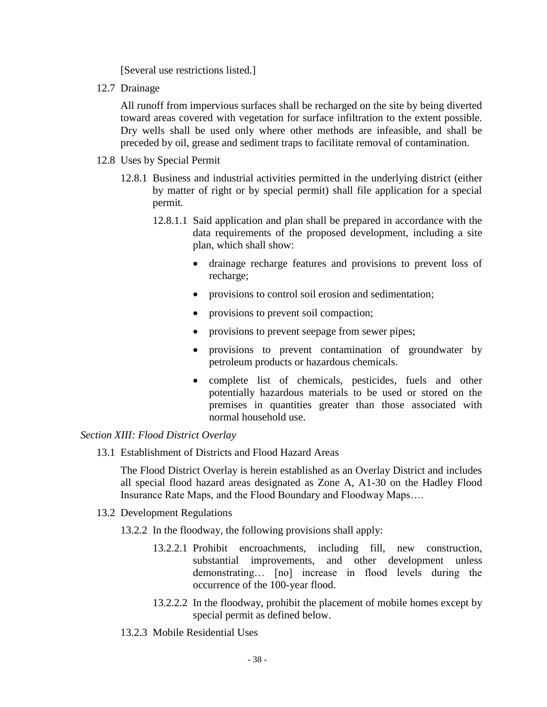[Several use restrictions listed.]

12.7 Drainage

All runoff from impervious surfaces shall be recharged on the site by being diverted toward areas covered with vegetation for surface infiltration to the extent possible. Dry wells shall be used only where other methods are infeasible, and shall be preceded by oil, grease and sediment traps to facilitate removal of contamination.

- 12.8 Uses by Special Permit
	- 12.8.1 Business and industrial activities permitted in the underlying district (either by matter of right or by special permit) shall file application for a special permit.
		- 12.8.1.1 Said application and plan shall be prepared in accordance with the data requirements of the proposed development, including a site plan, which shall show:
			- drainage recharge features and provisions to prevent loss of recharge;
			- provisions to control soil erosion and sedimentation;
			- provisions to prevent soil compaction;
			- provisions to prevent seepage from sewer pipes;
			- provisions to prevent contamination of groundwater by petroleum products or hazardous chemicals.
			- complete list of chemicals, pesticides, fuels and other potentially hazardous materials to be used or stored on the premises in quantities greater than those associated with normal household use.

#### *Section XIII: Flood District Overlay*

13.1 Establishment of Districts and Flood Hazard Areas

The Flood District Overlay is herein established as an Overlay District and includes all special flood hazard areas designated as Zone A, A1-30 on the Hadley Flood Insurance Rate Maps, and the Flood Boundary and Floodway Maps….

- 13.2 Development Regulations
	- 13.2.2 In the floodway, the following provisions shall apply:
		- 13.2.2.1 Prohibit encroachments, including fill, new construction, substantial improvements, and other development unless demonstrating… [no] increase in flood levels during the occurrence of the 100-year flood.
		- 13.2.2.2 In the floodway, prohibit the placement of mobile homes except by special permit as defined below.
	- 13.2.3 Mobile Residential Uses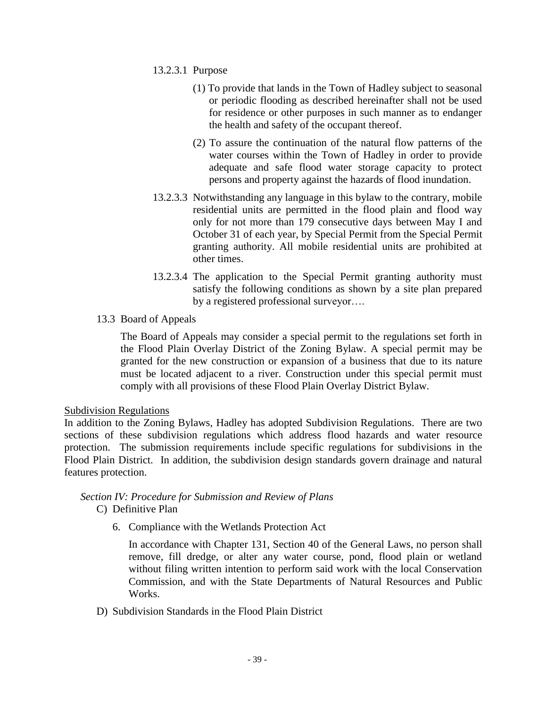- 13.2.3.1 Purpose
	- (1) To provide that lands in the Town of Hadley subject to seasonal or periodic flooding as described hereinafter shall not be used for residence or other purposes in such manner as to endanger the health and safety of the occupant thereof.
	- (2) To assure the continuation of the natural flow patterns of the water courses within the Town of Hadley in order to provide adequate and safe flood water storage capacity to protect persons and property against the hazards of flood inundation.
- 13.2.3.3 Notwithstanding any language in this bylaw to the contrary, mobile residential units are permitted in the flood plain and flood way only for not more than 179 consecutive days between May I and October 31 of each year, by Special Permit from the Special Permit granting authority. All mobile residential units are prohibited at other times.
- 13.2.3.4 The application to the Special Permit granting authority must satisfy the following conditions as shown by a site plan prepared by a registered professional surveyor….
- 13.3 Board of Appeals

The Board of Appeals may consider a special permit to the regulations set forth in the Flood Plain Overlay District of the Zoning Bylaw. A special permit may be granted for the new construction or expansion of a business that due to its nature must be located adjacent to a river. Construction under this special permit must comply with all provisions of these Flood Plain Overlay District Bylaw.

### Subdivision Regulations

In addition to the Zoning Bylaws, Hadley has adopted Subdivision Regulations. There are two sections of these subdivision regulations which address flood hazards and water resource protection. The submission requirements include specific regulations for subdivisions in the Flood Plain District. In addition, the subdivision design standards govern drainage and natural features protection.

### *Section IV: Procedure for Submission and Review of Plans*

- C) Definitive Plan
	- 6. Compliance with the Wetlands Protection Act

In accordance with Chapter 131, Section 40 of the General Laws, no person shall remove, fill dredge, or alter any water course, pond, flood plain or wetland without filing written intention to perform said work with the local Conservation Commission, and with the State Departments of Natural Resources and Public Works.

D) Subdivision Standards in the Flood Plain District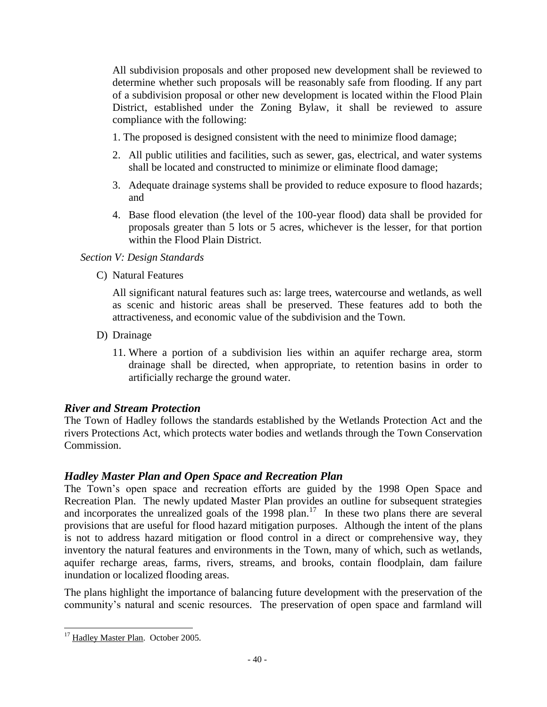All subdivision proposals and other proposed new development shall be reviewed to determine whether such proposals will be reasonably safe from flooding. If any part of a subdivision proposal or other new development is located within the Flood Plain District, established under the Zoning Bylaw, it shall be reviewed to assure compliance with the following:

- 1. The proposed is designed consistent with the need to minimize flood damage;
- 2. All public utilities and facilities, such as sewer, gas, electrical, and water systems shall be located and constructed to minimize or eliminate flood damage;
- 3. Adequate drainage systems shall be provided to reduce exposure to flood hazards; and
- 4. Base flood elevation (the level of the 100-year flood) data shall be provided for proposals greater than 5 lots or 5 acres, whichever is the lesser, for that portion within the Flood Plain District.

### *Section V: Design Standards*

C) Natural Features

All significant natural features such as: large trees, watercourse and wetlands, as well as scenic and historic areas shall be preserved. These features add to both the attractiveness, and economic value of the subdivision and the Town.

- D) Drainage
	- 11. Where a portion of a subdivision lies within an aquifer recharge area, storm drainage shall be directed, when appropriate, to retention basins in order to artificially recharge the ground water.

### *River and Stream Protection*

The Town of Hadley follows the standards established by the Wetlands Protection Act and the rivers Protections Act, which protects water bodies and wetlands through the Town Conservation Commission.

### *Hadley Master Plan and Open Space and Recreation Plan*

The Town's open space and recreation efforts are guided by the 1998 Open Space and Recreation Plan. The newly updated Master Plan provides an outline for subsequent strategies and incorporates the unrealized goals of the  $1998$  plan.<sup>17</sup> In these two plans there are several provisions that are useful for flood hazard mitigation purposes. Although the intent of the plans is not to address hazard mitigation or flood control in a direct or comprehensive way, they inventory the natural features and environments in the Town, many of which, such as wetlands, aquifer recharge areas, farms, rivers, streams, and brooks, contain floodplain, dam failure inundation or localized flooding areas.

The plans highlight the importance of balancing future development with the preservation of the community's natural and scenic resources. The preservation of open space and farmland will

l <sup>17</sup> Hadley Master Plan. October 2005.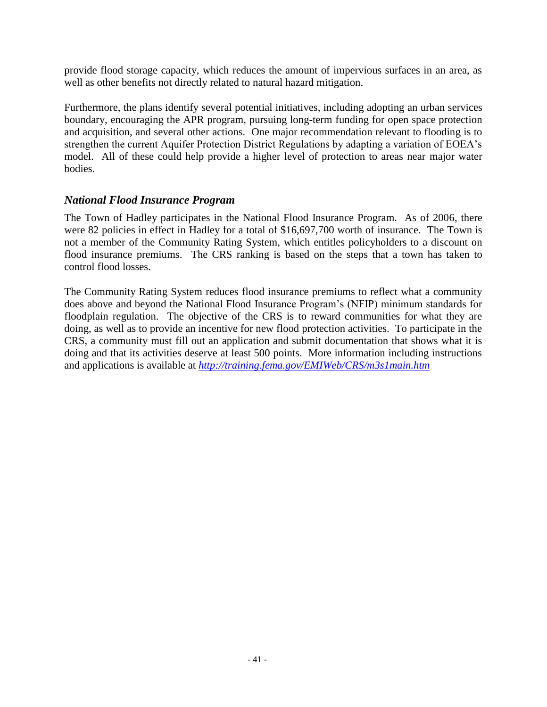provide flood storage capacity, which reduces the amount of impervious surfaces in an area, as well as other benefits not directly related to natural hazard mitigation.

Furthermore, the plans identify several potential initiatives, including adopting an urban services boundary, encouraging the APR program, pursuing long-term funding for open space protection and acquisition, and several other actions. One major recommendation relevant to flooding is to strengthen the current Aquifer Protection District Regulations by adapting a variation of EOEA's model. All of these could help provide a higher level of protection to areas near major water bodies.

### *National Flood Insurance Program*

The Town of Hadley participates in the National Flood Insurance Program. As of 2006, there were 82 policies in effect in Hadley for a total of \$16,697,700 worth of insurance. The Town is not a member of the Community Rating System, which entitles policyholders to a discount on flood insurance premiums. The CRS ranking is based on the steps that a town has taken to control flood losses.

The Community Rating System reduces flood insurance premiums to reflect what a community does above and beyond the National Flood Insurance Program's (NFIP) minimum standards for floodplain regulation. The objective of the CRS is to reward communities for what they are doing, as well as to provide an incentive for new flood protection activities. To participate in the CRS, a community must fill out an application and submit documentation that shows what it is doing and that its activities deserve at least 500 points. More information including instructions and applications is available at *<http://training.fema.gov/EMIWeb/CRS/m3s1main.htm>*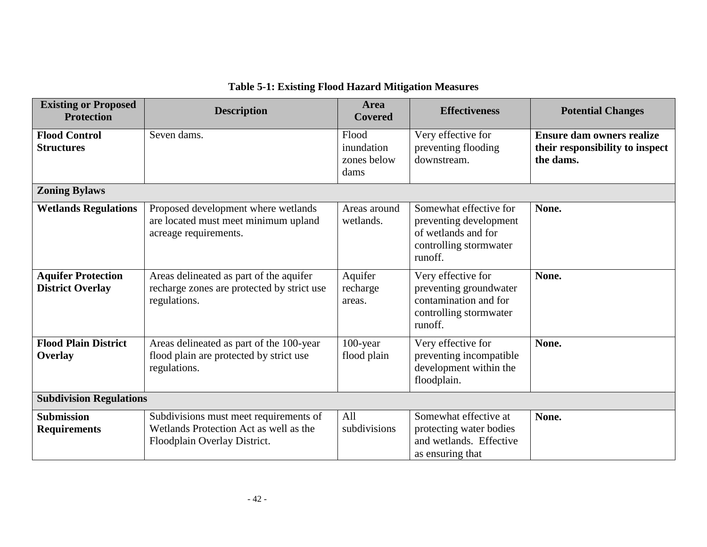| <b>Existing or Proposed</b><br><b>Protection</b>     | <b>Description</b>                                                                                               | <b>Area</b><br><b>Covered</b>              | <b>Effectiveness</b>                                                                                         | <b>Potential Changes</b>                                                         |  |
|------------------------------------------------------|------------------------------------------------------------------------------------------------------------------|--------------------------------------------|--------------------------------------------------------------------------------------------------------------|----------------------------------------------------------------------------------|--|
| <b>Flood Control</b><br><b>Structures</b>            | Seven dams.                                                                                                      | Flood<br>inundation<br>zones below<br>dams | Very effective for<br>preventing flooding<br>downstream.                                                     | <b>Ensure dam owners realize</b><br>their responsibility to inspect<br>the dams. |  |
| <b>Zoning Bylaws</b>                                 |                                                                                                                  |                                            |                                                                                                              |                                                                                  |  |
| <b>Wetlands Regulations</b>                          | Proposed development where wetlands<br>are located must meet minimum upland<br>acreage requirements.             | Areas around<br>wetlands.                  | Somewhat effective for<br>preventing development<br>of wetlands and for<br>controlling stormwater<br>runoff. | None.                                                                            |  |
| <b>Aquifer Protection</b><br><b>District Overlay</b> | Areas delineated as part of the aquifer<br>recharge zones are protected by strict use<br>regulations.            | Aquifer<br>recharge<br>areas.              | Very effective for<br>preventing groundwater<br>contamination and for<br>controlling stormwater<br>runoff.   | None.                                                                            |  |
| <b>Flood Plain District</b><br><b>Overlay</b>        | Areas delineated as part of the 100-year<br>flood plain are protected by strict use<br>regulations.              | $100$ -year<br>flood plain                 | Very effective for<br>preventing incompatible<br>development within the<br>floodplain.                       | None.                                                                            |  |
| <b>Subdivision Regulations</b>                       |                                                                                                                  |                                            |                                                                                                              |                                                                                  |  |
| <b>Submission</b><br><b>Requirements</b>             | Subdivisions must meet requirements of<br>Wetlands Protection Act as well as the<br>Floodplain Overlay District. | All<br>subdivisions                        | Somewhat effective at<br>protecting water bodies<br>and wetlands. Effective<br>as ensuring that              | None.                                                                            |  |

### **Table 5-1: Existing Flood Hazard Mitigation Measures**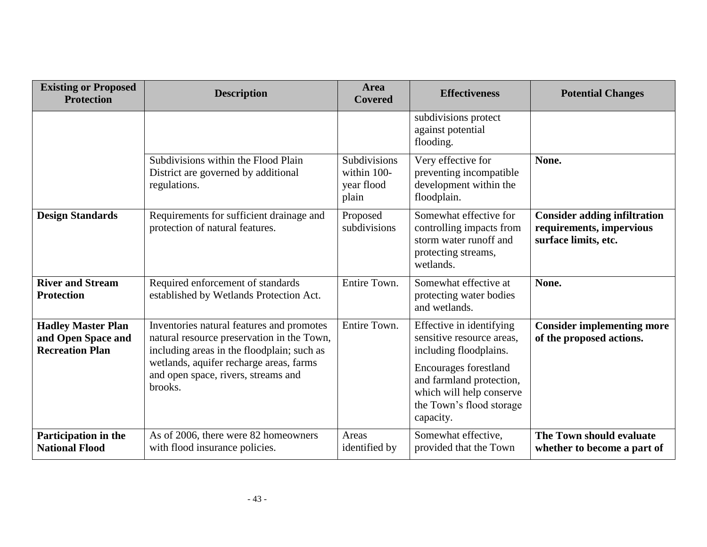| <b>Existing or Proposed</b><br><b>Protection</b>                          | <b>Description</b>                                                                                                                                                                                                                 | <b>Area</b><br><b>Covered</b>                      | <b>Effectiveness</b>                                                                                                                                                                                      | <b>Potential Changes</b>                                                                |
|---------------------------------------------------------------------------|------------------------------------------------------------------------------------------------------------------------------------------------------------------------------------------------------------------------------------|----------------------------------------------------|-----------------------------------------------------------------------------------------------------------------------------------------------------------------------------------------------------------|-----------------------------------------------------------------------------------------|
|                                                                           |                                                                                                                                                                                                                                    |                                                    | subdivisions protect<br>against potential<br>flooding.                                                                                                                                                    |                                                                                         |
|                                                                           | Subdivisions within the Flood Plain<br>District are governed by additional<br>regulations.                                                                                                                                         | Subdivisions<br>within 100-<br>year flood<br>plain | Very effective for<br>preventing incompatible<br>development within the<br>floodplain.                                                                                                                    | None.                                                                                   |
| <b>Design Standards</b>                                                   | Requirements for sufficient drainage and<br>protection of natural features.                                                                                                                                                        | Proposed<br>subdivisions                           | Somewhat effective for<br>controlling impacts from<br>storm water runoff and<br>protecting streams,<br>wetlands.                                                                                          | <b>Consider adding infiltration</b><br>requirements, impervious<br>surface limits, etc. |
| <b>River and Stream</b><br><b>Protection</b>                              | Required enforcement of standards<br>established by Wetlands Protection Act.                                                                                                                                                       | Entire Town.                                       | Somewhat effective at<br>protecting water bodies<br>and wetlands.                                                                                                                                         | None.                                                                                   |
| <b>Hadley Master Plan</b><br>and Open Space and<br><b>Recreation Plan</b> | Inventories natural features and promotes<br>natural resource preservation in the Town,<br>including areas in the floodplain; such as<br>wetlands, aquifer recharge areas, farms<br>and open space, rivers, streams and<br>brooks. | Entire Town.                                       | Effective in identifying<br>sensitive resource areas.<br>including floodplains.<br>Encourages forestland<br>and farmland protection,<br>which will help conserve<br>the Town's flood storage<br>capacity. | <b>Consider implementing more</b><br>of the proposed actions.                           |
| Participation in the<br><b>National Flood</b>                             | As of 2006, there were 82 homeowners<br>with flood insurance policies.                                                                                                                                                             | Areas<br>identified by                             | Somewhat effective,<br>provided that the Town                                                                                                                                                             | The Town should evaluate<br>whether to become a part of                                 |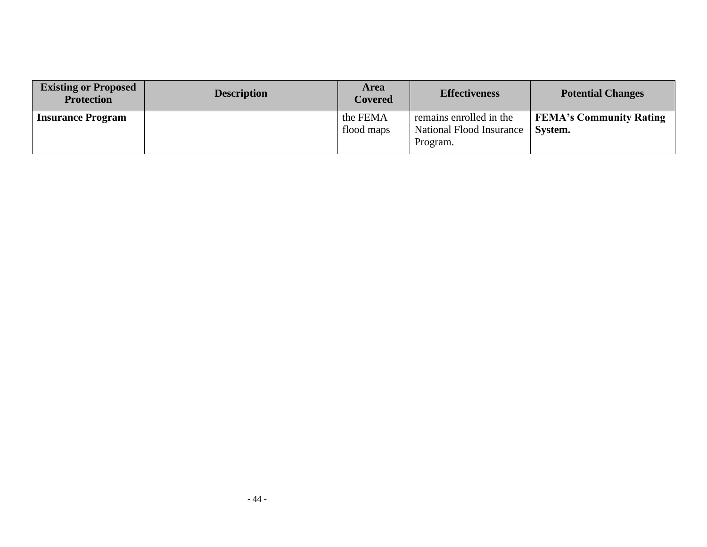| <b>Existing or Proposed</b><br><b>Protection</b> | <b>Description</b> | <b>Area</b><br><b>Covered</b> | <b>Effectiveness</b>                                            | <b>Potential Changes</b>                  |
|--------------------------------------------------|--------------------|-------------------------------|-----------------------------------------------------------------|-------------------------------------------|
| <b>Insurance Program</b>                         |                    | the FEMA<br>flood maps        | remains enrolled in the<br>National Flood Insurance<br>Program. | <b>FEMA's Community Rating</b><br>System. |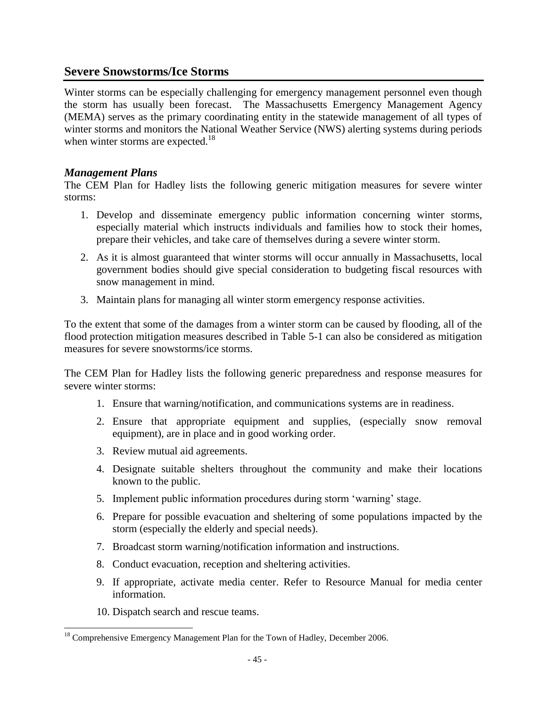### **Severe Snowstorms/Ice Storms**

Winter storms can be especially challenging for emergency management personnel even though the storm has usually been forecast. The Massachusetts Emergency Management Agency (MEMA) serves as the primary coordinating entity in the statewide management of all types of winter storms and monitors the National Weather Service (NWS) alerting systems during periods when winter storms are expected.<sup>18</sup>

### *Management Plans*

The CEM Plan for Hadley lists the following generic mitigation measures for severe winter storms:

- 1. Develop and disseminate emergency public information concerning winter storms, especially material which instructs individuals and families how to stock their homes, prepare their vehicles, and take care of themselves during a severe winter storm.
- 2. As it is almost guaranteed that winter storms will occur annually in Massachusetts, local government bodies should give special consideration to budgeting fiscal resources with snow management in mind.
- 3. Maintain plans for managing all winter storm emergency response activities.

To the extent that some of the damages from a winter storm can be caused by flooding, all of the flood protection mitigation measures described in Table 5-1 can also be considered as mitigation measures for severe snowstorms/ice storms.

The CEM Plan for Hadley lists the following generic preparedness and response measures for severe winter storms:

- 1. Ensure that warning/notification, and communications systems are in readiness.
- 2. Ensure that appropriate equipment and supplies, (especially snow removal equipment), are in place and in good working order.
- 3. Review mutual aid agreements.
- 4. Designate suitable shelters throughout the community and make their locations known to the public.
- 5. Implement public information procedures during storm 'warning' stage.
- 6. Prepare for possible evacuation and sheltering of some populations impacted by the storm (especially the elderly and special needs).
- 7. Broadcast storm warning/notification information and instructions.
- 8. Conduct evacuation, reception and sheltering activities.
- 9. If appropriate, activate media center. Refer to Resource Manual for media center information.
- 10. Dispatch search and rescue teams.

l  $18$  Comprehensive Emergency Management Plan for the Town of Hadley, December 2006.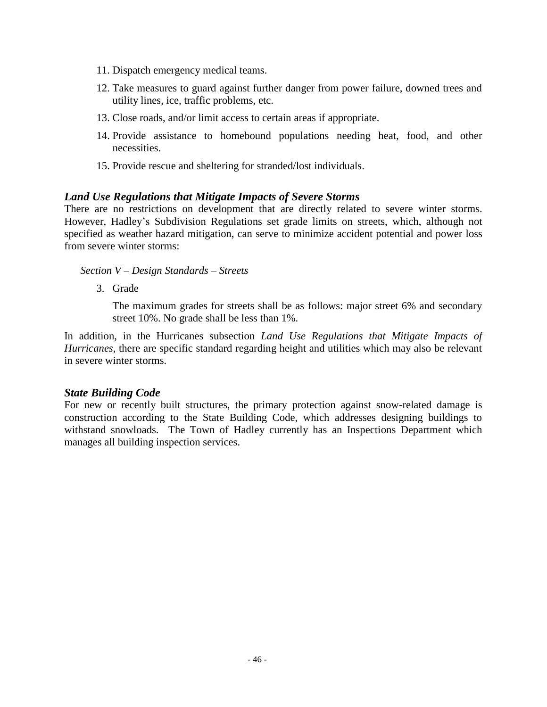- 11. Dispatch emergency medical teams.
- 12. Take measures to guard against further danger from power failure, downed trees and utility lines, ice, traffic problems, etc.
- 13. Close roads, and/or limit access to certain areas if appropriate.
- 14. Provide assistance to homebound populations needing heat, food, and other necessities.
- 15. Provide rescue and sheltering for stranded/lost individuals.

### *Land Use Regulations that Mitigate Impacts of Severe Storms*

There are no restrictions on development that are directly related to severe winter storms. However, Hadley's Subdivision Regulations set grade limits on streets, which, although not specified as weather hazard mitigation, can serve to minimize accident potential and power loss from severe winter storms:

#### *Section V – Design Standards – Streets*

3. Grade

The maximum grades for streets shall be as follows: major street 6% and secondary street 10%. No grade shall be less than 1%.

In addition, in the Hurricanes subsection *Land Use Regulations that Mitigate Impacts of Hurricanes*, there are specific standard regarding height and utilities which may also be relevant in severe winter storms.

#### *State Building Code*

For new or recently built structures, the primary protection against snow-related damage is construction according to the State Building Code, which addresses designing buildings to withstand snowloads. The Town of Hadley currently has an Inspections Department which manages all building inspection services.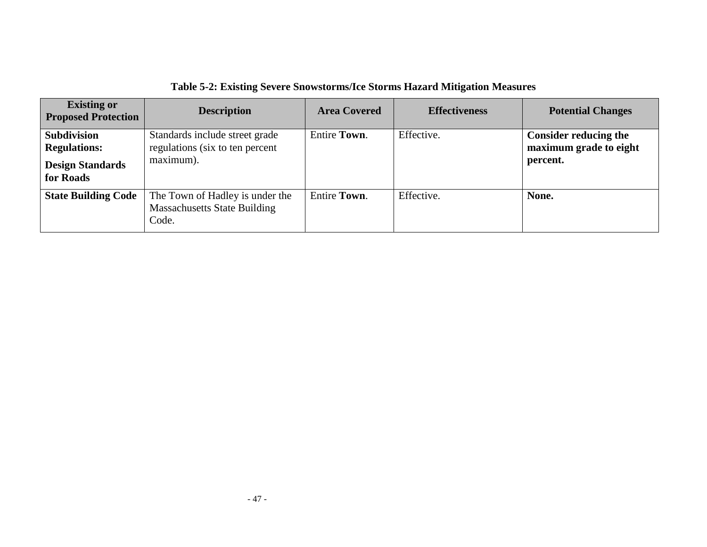| <b>Existing or</b><br><b>Proposed Protection</b> | <b>Description</b>                                                              | <b>Area Covered</b> | <b>Effectiveness</b> | <b>Potential Changes</b>     |
|--------------------------------------------------|---------------------------------------------------------------------------------|---------------------|----------------------|------------------------------|
| <b>Subdivision</b>                               | Standards include street grade                                                  | Entire Town.        | Effective.           | <b>Consider reducing the</b> |
| <b>Regulations:</b>                              | regulations (six to ten percent                                                 |                     |                      | maximum grade to eight       |
| <b>Design Standards</b><br>for Roads             | maximum).                                                                       |                     |                      | percent.                     |
| <b>State Building Code</b>                       | The Town of Hadley is under the<br><b>Massachusetts State Building</b><br>Code. | <b>Entire Town.</b> | Effective.           | None.                        |

**Table 5-2: Existing Severe Snowstorms/Ice Storms Hazard Mitigation Measures**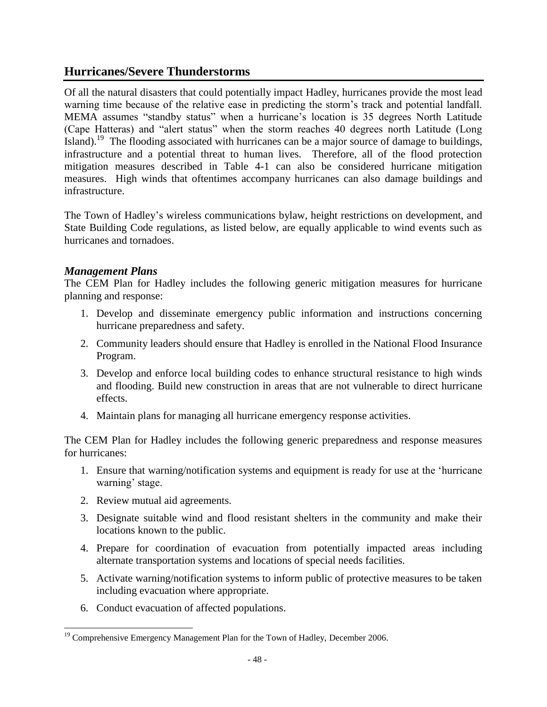### **Hurricanes/Severe Thunderstorms**

Of all the natural disasters that could potentially impact Hadley, hurricanes provide the most lead warning time because of the relative ease in predicting the storm's track and potential landfall. MEMA assumes "standby status" when a hurricane's location is 35 degrees North Latitude (Cape Hatteras) and "alert status" when the storm reaches 40 degrees north Latitude (Long Island).<sup>19</sup> The flooding associated with hurricanes can be a major source of damage to buildings, infrastructure and a potential threat to human lives. Therefore, all of the flood protection mitigation measures described in Table 4-1 can also be considered hurricane mitigation measures. High winds that oftentimes accompany hurricanes can also damage buildings and infrastructure.

The Town of Hadley's wireless communications bylaw, height restrictions on development, and State Building Code regulations, as listed below, are equally applicable to wind events such as hurricanes and tornadoes.

### *Management Plans*

The CEM Plan for Hadley includes the following generic mitigation measures for hurricane planning and response:

- 1. Develop and disseminate emergency public information and instructions concerning hurricane preparedness and safety.
- 2. Community leaders should ensure that Hadley is enrolled in the National Flood Insurance Program.
- 3. Develop and enforce local building codes to enhance structural resistance to high winds and flooding. Build new construction in areas that are not vulnerable to direct hurricane effects.
- 4. Maintain plans for managing all hurricane emergency response activities.

The CEM Plan for Hadley includes the following generic preparedness and response measures for hurricanes:

- 1. Ensure that warning/notification systems and equipment is ready for use at the 'hurricane warning' stage.
- 2. Review mutual aid agreements.
- 3. Designate suitable wind and flood resistant shelters in the community and make their locations known to the public.
- 4. Prepare for coordination of evacuation from potentially impacted areas including alternate transportation systems and locations of special needs facilities.
- 5. Activate warning/notification systems to inform public of protective measures to be taken including evacuation where appropriate.
- 6. Conduct evacuation of affected populations.

l <sup>19</sup> Comprehensive Emergency Management Plan for the Town of Hadley, December 2006.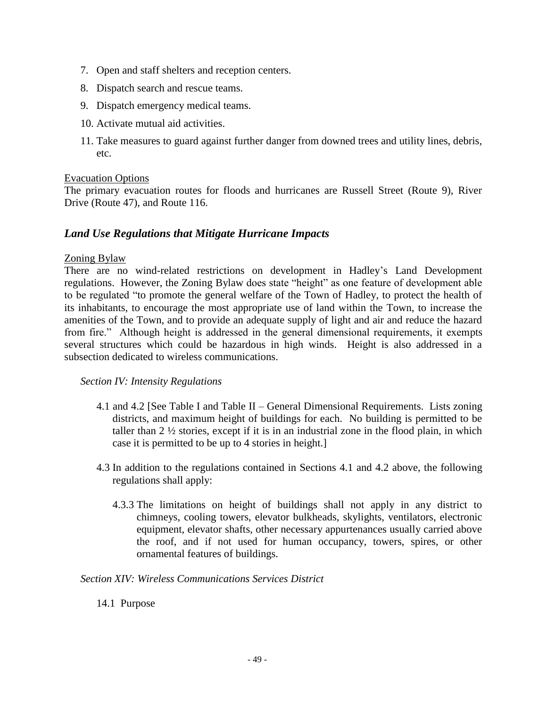- 7. Open and staff shelters and reception centers.
- 8. Dispatch search and rescue teams.
- 9. Dispatch emergency medical teams.
- 10. Activate mutual aid activities.
- 11. Take measures to guard against further danger from downed trees and utility lines, debris, etc.

#### Evacuation Options

The primary evacuation routes for floods and hurricanes are Russell Street (Route 9), River Drive (Route 47), and Route 116.

### *Land Use Regulations that Mitigate Hurricane Impacts*

#### Zoning Bylaw

There are no wind-related restrictions on development in Hadley's Land Development regulations. However, the Zoning Bylaw does state "height" as one feature of development able to be regulated "to promote the general welfare of the Town of Hadley, to protect the health of its inhabitants, to encourage the most appropriate use of land within the Town, to increase the amenities of the Town, and to provide an adequate supply of light and air and reduce the hazard from fire." Although height is addressed in the general dimensional requirements, it exempts several structures which could be hazardous in high winds. Height is also addressed in a subsection dedicated to wireless communications.

#### *Section IV: Intensity Regulations*

- 4.1 and 4.2 [See Table I and Table II General Dimensional Requirements. Lists zoning districts, and maximum height of buildings for each. No building is permitted to be taller than  $2 \frac{1}{2}$  stories, except if it is in an industrial zone in the flood plain, in which case it is permitted to be up to 4 stories in height.]
- 4.3 In addition to the regulations contained in Sections 4.1 and 4.2 above, the following regulations shall apply:
	- 4.3.3 The limitations on height of buildings shall not apply in any district to chimneys, cooling towers, elevator bulkheads, skylights, ventilators, electronic equipment, elevator shafts, other necessary appurtenances usually carried above the roof, and if not used for human occupancy, towers, spires, or other ornamental features of buildings.

*Section XIV: Wireless Communications Services District*

14.1 Purpose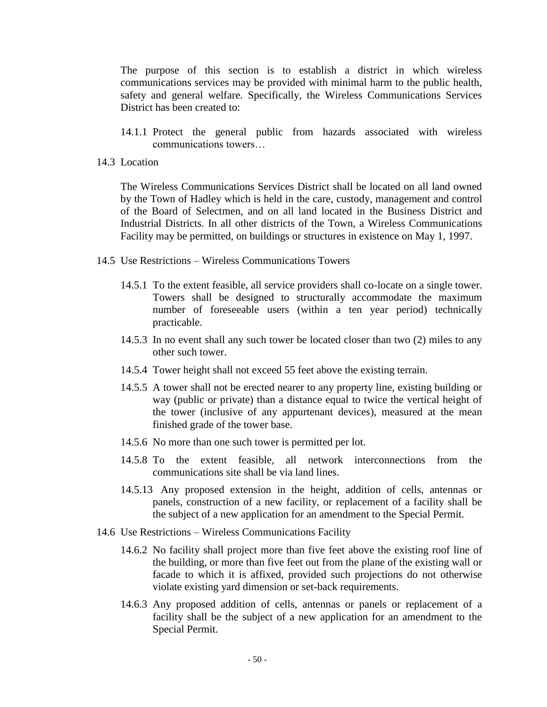The purpose of this section is to establish a district in which wireless communications services may be provided with minimal harm to the public health, safety and general welfare. Specifically, the Wireless Communications Services District has been created to:

- 14.1.1 Protect the general public from hazards associated with wireless communications towers…
- 14.3 Location

The Wireless Communications Services District shall be located on all land owned by the Town of Hadley which is held in the care, custody, management and control of the Board of Selectmen, and on all land located in the Business District and Industrial Districts. In all other districts of the Town, a Wireless Communications Facility may be permitted, on buildings or structures in existence on May 1, 1997.

- 14.5 Use Restrictions Wireless Communications Towers
	- 14.5.1 To the extent feasible, all service providers shall co-locate on a single tower. Towers shall be designed to structurally accommodate the maximum number of foreseeable users (within a ten year period) technically practicable.
	- 14.5.3 In no event shall any such tower be located closer than two (2) miles to any other such tower.
	- 14.5.4 Tower height shall not exceed 55 feet above the existing terrain.
	- 14.5.5 A tower shall not be erected nearer to any property line, existing building or way (public or private) than a distance equal to twice the vertical height of the tower (inclusive of any appurtenant devices), measured at the mean finished grade of the tower base.
	- 14.5.6 No more than one such tower is permitted per lot.
	- 14.5.8 To the extent feasible, all network interconnections from the communications site shall be via land lines.
	- 14.5.13 Any proposed extension in the height, addition of cells, antennas or panels, construction of a new facility, or replacement of a facility shall be the subject of a new application for an amendment to the Special Permit.
- 14.6 Use Restrictions Wireless Communications Facility
	- 14.6.2 No facility shall project more than five feet above the existing roof line of the building, or more than five feet out from the plane of the existing wall or facade to which it is affixed, provided such projections do not otherwise violate existing yard dimension or set-back requirements.
	- 14.6.3 Any proposed addition of cells, antennas or panels or replacement of a facility shall be the subject of a new application for an amendment to the Special Permit.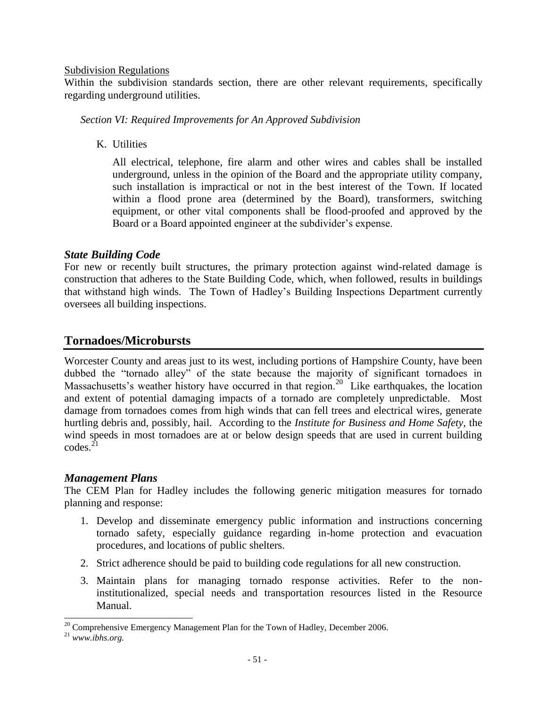#### Subdivision Regulations

Within the subdivision standards section, there are other relevant requirements, specifically regarding underground utilities.

*Section VI: Required Improvements for An Approved Subdivision*

K. Utilities

All electrical, telephone, fire alarm and other wires and cables shall be installed underground, unless in the opinion of the Board and the appropriate utility company, such installation is impractical or not in the best interest of the Town. If located within a flood prone area (determined by the Board), transformers, switching equipment, or other vital components shall be flood-proofed and approved by the Board or a Board appointed engineer at the subdivider's expense.

### *State Building Code*

For new or recently built structures, the primary protection against wind-related damage is construction that adheres to the State Building Code, which, when followed, results in buildings that withstand high winds. The Town of Hadley's Building Inspections Department currently oversees all building inspections.

### **Tornadoes/Microbursts**

Worcester County and areas just to its west, including portions of Hampshire County, have been dubbed the "tornado alley" of the state because the majority of significant tornadoes in Massachusetts's weather history have occurred in that region.<sup>20</sup> Like earthquakes, the location and extent of potential damaging impacts of a tornado are completely unpredictable. Most damage from tornadoes comes from high winds that can fell trees and electrical wires, generate hurtling debris and, possibly, hail. According to the *Institute for Business and Home Safety,* the wind speeds in most tornadoes are at or below design speeds that are used in current building  $codes.<sup>21</sup>$ 

### *Management Plans*

The CEM Plan for Hadley includes the following generic mitigation measures for tornado planning and response:

- 1. Develop and disseminate emergency public information and instructions concerning tornado safety, especially guidance regarding in-home protection and evacuation procedures, and locations of public shelters.
- 2. Strict adherence should be paid to building code regulations for all new construction.
- 3. Maintain plans for managing tornado response activities. Refer to the noninstitutionalized, special needs and transportation resources listed in the Resource Manual.

 $\overline{a}$  $20^{\circ}$  Comprehensive Emergency Management Plan for the Town of Hadley, December 2006.

<sup>21</sup> *www.ibhs.org.*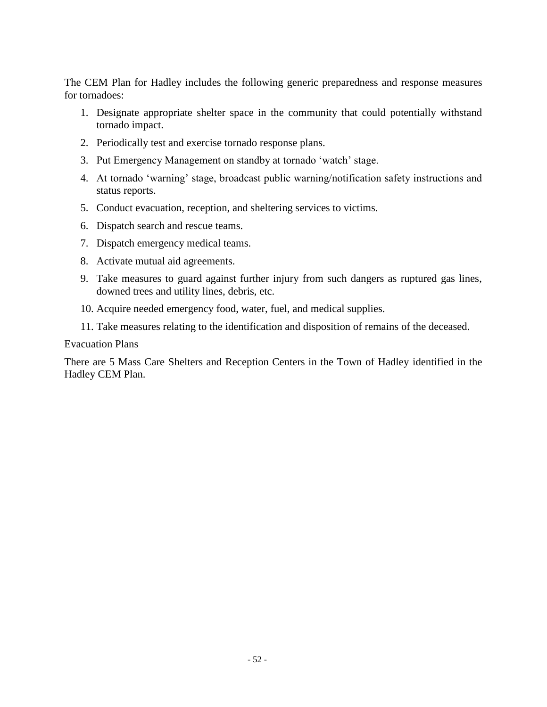The CEM Plan for Hadley includes the following generic preparedness and response measures for tornadoes:

- 1. Designate appropriate shelter space in the community that could potentially withstand tornado impact.
- 2. Periodically test and exercise tornado response plans.
- 3. Put Emergency Management on standby at tornado 'watch' stage.
- 4. At tornado 'warning' stage, broadcast public warning/notification safety instructions and status reports.
- 5. Conduct evacuation, reception, and sheltering services to victims.
- 6. Dispatch search and rescue teams.
- 7. Dispatch emergency medical teams.
- 8. Activate mutual aid agreements.
- 9. Take measures to guard against further injury from such dangers as ruptured gas lines, downed trees and utility lines, debris, etc.
- 10. Acquire needed emergency food, water, fuel, and medical supplies.
- 11. Take measures relating to the identification and disposition of remains of the deceased.

#### Evacuation Plans

There are 5 Mass Care Shelters and Reception Centers in the Town of Hadley identified in the Hadley CEM Plan.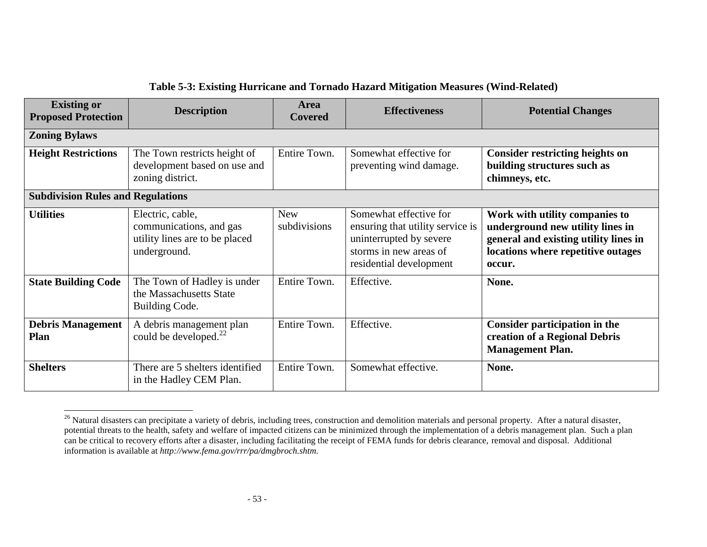| <b>Existing or</b><br><b>Proposed Protection</b> | <b>Description</b>                                                                            | <b>Area</b><br><b>Covered</b> | <b>Effectiveness</b>                                                                                                                       | <b>Potential Changes</b>                                                                                                                                    |
|--------------------------------------------------|-----------------------------------------------------------------------------------------------|-------------------------------|--------------------------------------------------------------------------------------------------------------------------------------------|-------------------------------------------------------------------------------------------------------------------------------------------------------------|
| <b>Zoning Bylaws</b>                             |                                                                                               |                               |                                                                                                                                            |                                                                                                                                                             |
| <b>Height Restrictions</b>                       | The Town restricts height of<br>development based on use and<br>zoning district.              | Entire Town.                  | Somewhat effective for<br>preventing wind damage.                                                                                          | <b>Consider restricting heights on</b><br>building structures such as<br>chimneys, etc.                                                                     |
| <b>Subdivision Rules and Regulations</b>         |                                                                                               |                               |                                                                                                                                            |                                                                                                                                                             |
| <b>Utilities</b>                                 | Electric, cable,<br>communications, and gas<br>utility lines are to be placed<br>underground. | <b>New</b><br>subdivisions    | Somewhat effective for<br>ensuring that utility service is<br>uninterrupted by severe<br>storms in new areas of<br>residential development | Work with utility companies to<br>underground new utility lines in<br>general and existing utility lines in<br>locations where repetitive outages<br>occur. |
| <b>State Building Code</b>                       | The Town of Hadley is under<br>the Massachusetts State<br>Building Code.                      | Entire Town.                  | Effective.                                                                                                                                 | None.                                                                                                                                                       |
| <b>Debris Management</b><br>Plan                 | A debris management plan<br>could be developed. <sup>22</sup>                                 | Entire Town.                  | Effective.                                                                                                                                 | Consider participation in the<br>creation of a Regional Debris<br><b>Management Plan.</b>                                                                   |
| <b>Shelters</b>                                  | There are 5 shelters identified<br>in the Hadley CEM Plan.                                    | Entire Town.                  | Somewhat effective.                                                                                                                        | None.                                                                                                                                                       |

### **Table 5-3: Existing Hurricane and Tornado Hazard Mitigation Measures (Wind-Related)**

 $\overline{a}$ 

<sup>&</sup>lt;sup>26</sup> Natural disasters can precipitate a variety of debris, including trees, construction and demolition materials and personal property. After a natural disaster, potential threats to the health, safety and welfare of impacted citizens can be minimized through the implementation of a debris management plan. Such a plan can be critical to recovery efforts after a disaster, including facilitating the receipt of FEMA funds for debris clearance, removal and disposal. Additional information is available at *http://www.fema.gov/rrr/pa/dmgbroch.shtm.*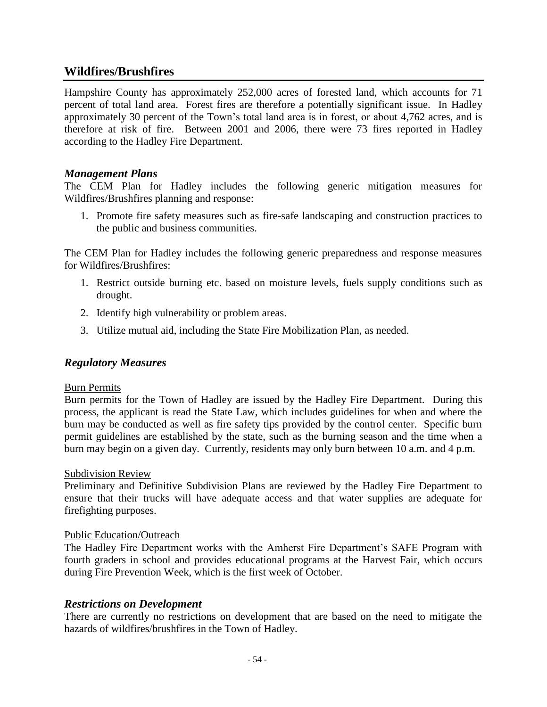### **Wildfires/Brushfires**

Hampshire County has approximately 252,000 acres of forested land, which accounts for 71 percent of total land area. Forest fires are therefore a potentially significant issue. In Hadley approximately 30 percent of the Town's total land area is in forest, or about 4,762 acres, and is therefore at risk of fire. Between 2001 and 2006, there were 73 fires reported in Hadley according to the Hadley Fire Department.

### *Management Plans*

The CEM Plan for Hadley includes the following generic mitigation measures for Wildfires/Brushfires planning and response:

1. Promote fire safety measures such as fire-safe landscaping and construction practices to the public and business communities.

The CEM Plan for Hadley includes the following generic preparedness and response measures for Wildfires/Brushfires:

- 1. Restrict outside burning etc. based on moisture levels, fuels supply conditions such as drought.
- 2. Identify high vulnerability or problem areas.
- 3. Utilize mutual aid, including the State Fire Mobilization Plan, as needed.

### *Regulatory Measures*

#### Burn Permits

Burn permits for the Town of Hadley are issued by the Hadley Fire Department. During this process, the applicant is read the State Law, which includes guidelines for when and where the burn may be conducted as well as fire safety tips provided by the control center. Specific burn permit guidelines are established by the state, such as the burning season and the time when a burn may begin on a given day. Currently, residents may only burn between 10 a.m. and 4 p.m.

#### Subdivision Review

Preliminary and Definitive Subdivision Plans are reviewed by the Hadley Fire Department to ensure that their trucks will have adequate access and that water supplies are adequate for firefighting purposes.

#### Public Education/Outreach

The Hadley Fire Department works with the Amherst Fire Department's SAFE Program with fourth graders in school and provides educational programs at the Harvest Fair, which occurs during Fire Prevention Week, which is the first week of October.

#### *Restrictions on Development*

There are currently no restrictions on development that are based on the need to mitigate the hazards of wildfires/brushfires in the Town of Hadley.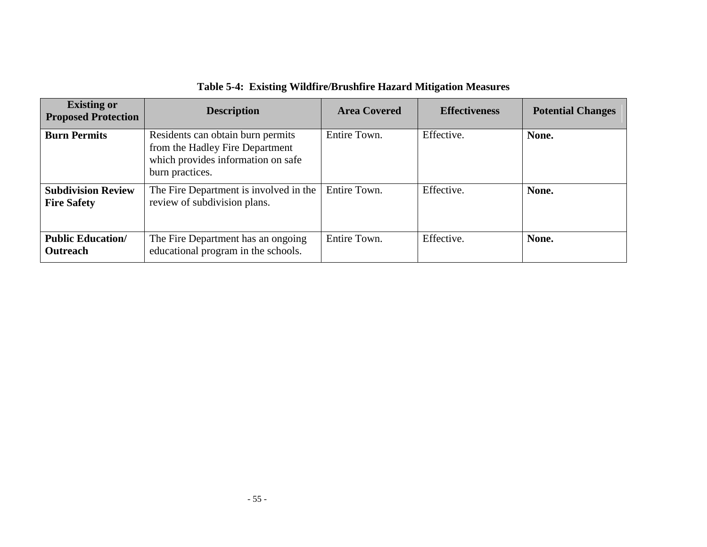| <b>Existing or</b><br><b>Proposed Protection</b> | <b>Description</b>                                                                                                            | <b>Area Covered</b> | <b>Effectiveness</b> | <b>Potential Changes</b> |
|--------------------------------------------------|-------------------------------------------------------------------------------------------------------------------------------|---------------------|----------------------|--------------------------|
| <b>Burn Permits</b>                              | Residents can obtain burn permits<br>from the Hadley Fire Department<br>which provides information on safe<br>burn practices. | Entire Town.        | Effective.           | None.                    |
| <b>Subdivision Review</b><br><b>Fire Safety</b>  | The Fire Department is involved in the<br>review of subdivision plans.                                                        | Entire Town.        | Effective.           | None.                    |
| <b>Public Education/</b><br><b>Outreach</b>      | The Fire Department has an ongoing<br>educational program in the schools.                                                     | Entire Town.        | Effective.           | None.                    |

**Table 5-4: Existing Wildfire/Brushfire Hazard Mitigation Measures**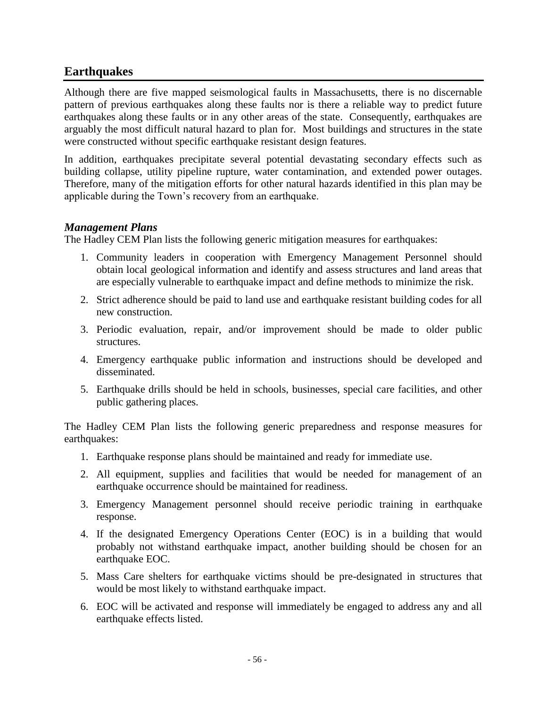### **Earthquakes**

Although there are five mapped seismological faults in Massachusetts, there is no discernable pattern of previous earthquakes along these faults nor is there a reliable way to predict future earthquakes along these faults or in any other areas of the state. Consequently, earthquakes are arguably the most difficult natural hazard to plan for. Most buildings and structures in the state were constructed without specific earthquake resistant design features.

In addition, earthquakes precipitate several potential devastating secondary effects such as building collapse, utility pipeline rupture, water contamination, and extended power outages. Therefore, many of the mitigation efforts for other natural hazards identified in this plan may be applicable during the Town's recovery from an earthquake.

### *Management Plans*

The Hadley CEM Plan lists the following generic mitigation measures for earthquakes:

- 1. Community leaders in cooperation with Emergency Management Personnel should obtain local geological information and identify and assess structures and land areas that are especially vulnerable to earthquake impact and define methods to minimize the risk.
- 2. Strict adherence should be paid to land use and earthquake resistant building codes for all new construction.
- 3. Periodic evaluation, repair, and/or improvement should be made to older public structures.
- 4. Emergency earthquake public information and instructions should be developed and disseminated.
- 5. Earthquake drills should be held in schools, businesses, special care facilities, and other public gathering places.

The Hadley CEM Plan lists the following generic preparedness and response measures for earthquakes:

- 1. Earthquake response plans should be maintained and ready for immediate use.
- 2. All equipment, supplies and facilities that would be needed for management of an earthquake occurrence should be maintained for readiness.
- 3. Emergency Management personnel should receive periodic training in earthquake response.
- 4. If the designated Emergency Operations Center (EOC) is in a building that would probably not withstand earthquake impact, another building should be chosen for an earthquake EOC.
- 5. Mass Care shelters for earthquake victims should be pre-designated in structures that would be most likely to withstand earthquake impact.
- 6. EOC will be activated and response will immediately be engaged to address any and all earthquake effects listed.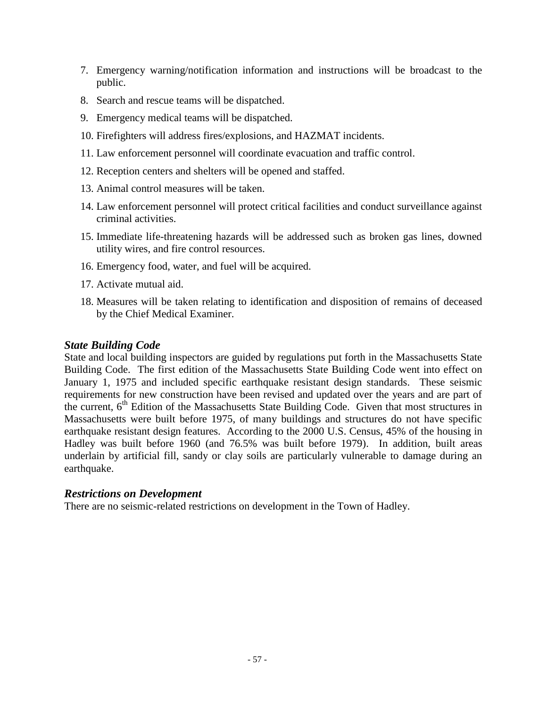- 7. Emergency warning/notification information and instructions will be broadcast to the public.
- 8. Search and rescue teams will be dispatched.
- 9. Emergency medical teams will be dispatched.
- 10. Firefighters will address fires/explosions, and HAZMAT incidents.
- 11. Law enforcement personnel will coordinate evacuation and traffic control.
- 12. Reception centers and shelters will be opened and staffed.
- 13. Animal control measures will be taken.
- 14. Law enforcement personnel will protect critical facilities and conduct surveillance against criminal activities.
- 15. Immediate life-threatening hazards will be addressed such as broken gas lines, downed utility wires, and fire control resources.
- 16. Emergency food, water, and fuel will be acquired.
- 17. Activate mutual aid.
- 18. Measures will be taken relating to identification and disposition of remains of deceased by the Chief Medical Examiner.

### *State Building Code*

State and local building inspectors are guided by regulations put forth in the Massachusetts State Building Code. The first edition of the Massachusetts State Building Code went into effect on January 1, 1975 and included specific earthquake resistant design standards. These seismic requirements for new construction have been revised and updated over the years and are part of the current, 6<sup>th</sup> Edition of the Massachusetts State Building Code. Given that most structures in Massachusetts were built before 1975, of many buildings and structures do not have specific earthquake resistant design features. According to the 2000 U.S. Census, 45% of the housing in Hadley was built before 1960 (and 76.5% was built before 1979). In addition, built areas underlain by artificial fill, sandy or clay soils are particularly vulnerable to damage during an earthquake.

### *Restrictions on Development*

There are no seismic-related restrictions on development in the Town of Hadley.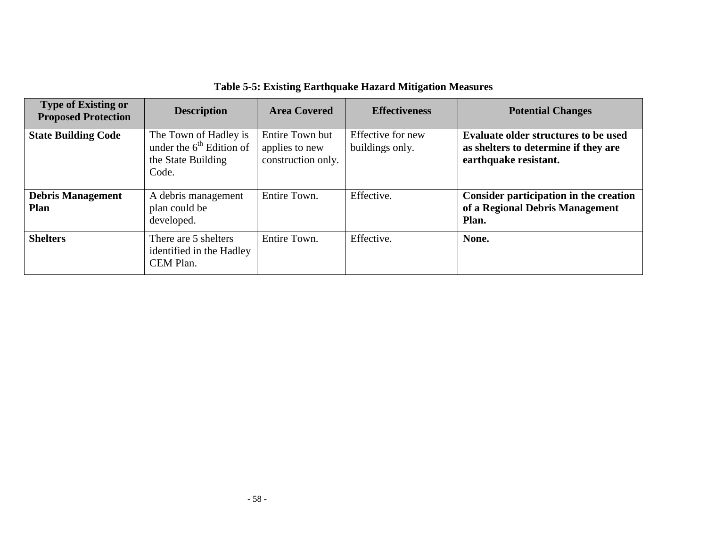| <b>Type of Existing or</b><br><b>Proposed Protection</b> | <b>Description</b>                                                                 | <b>Area Covered</b>                                     | <b>Effectiveness</b>                 | <b>Potential Changes</b>                                                                                     |
|----------------------------------------------------------|------------------------------------------------------------------------------------|---------------------------------------------------------|--------------------------------------|--------------------------------------------------------------------------------------------------------------|
| <b>State Building Code</b>                               | The Town of Hadley is<br>under the $6th$ Edition of<br>the State Building<br>Code. | Entire Town but<br>applies to new<br>construction only. | Effective for new<br>buildings only. | <b>Evaluate older structures to be used</b><br>as shelters to determine if they are<br>earthquake resistant. |
| <b>Debris Management</b><br><b>Plan</b>                  | A debris management<br>plan could be<br>developed.                                 | Entire Town.                                            | Effective.                           | Consider participation in the creation<br>of a Regional Debris Management<br>Plan.                           |
| <b>Shelters</b>                                          | There are 5 shelters<br>identified in the Hadley<br>CEM Plan.                      | Entire Town.                                            | Effective.                           | None.                                                                                                        |

# **Table 5-5: Existing Earthquake Hazard Mitigation Measures**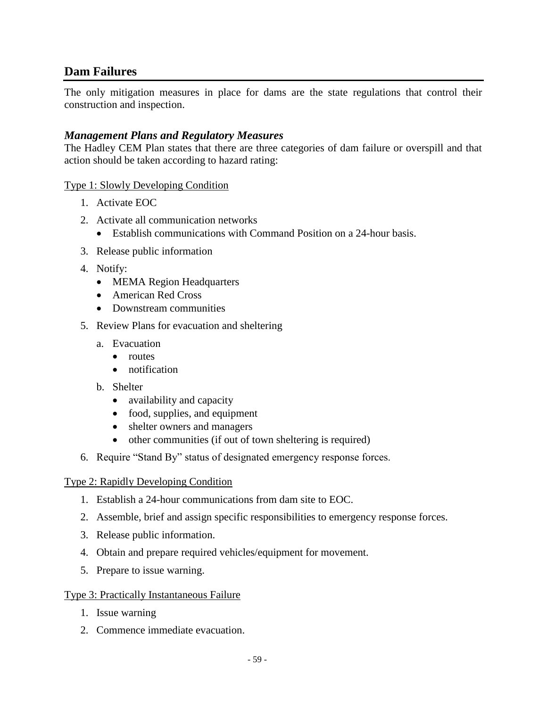### **Dam Failures**

The only mitigation measures in place for dams are the state regulations that control their construction and inspection.

### *Management Plans and Regulatory Measures*

The Hadley CEM Plan states that there are three categories of dam failure or overspill and that action should be taken according to hazard rating:

#### Type 1: Slowly Developing Condition

- 1. Activate EOC
- 2. Activate all communication networks
	- Establish communications with Command Position on a 24-hour basis.
- 3. Release public information
- 4. Notify:
	- MEMA Region Headquarters
	- American Red Cross
	- Downstream communities
- 5. Review Plans for evacuation and sheltering
	- a. Evacuation
		- **•** routes
		- notification
	- b. Shelter
		- availability and capacity
		- food, supplies, and equipment
		- shelter owners and managers
		- other communities (if out of town sheltering is required)
- 6. Require "Stand By" status of designated emergency response forces.

#### Type 2: Rapidly Developing Condition

- 1. Establish a 24-hour communications from dam site to EOC.
- 2. Assemble, brief and assign specific responsibilities to emergency response forces.
- 3. Release public information.
- 4. Obtain and prepare required vehicles/equipment for movement.
- 5. Prepare to issue warning.

#### Type 3: Practically Instantaneous Failure

- 1. Issue warning
- 2. Commence immediate evacuation.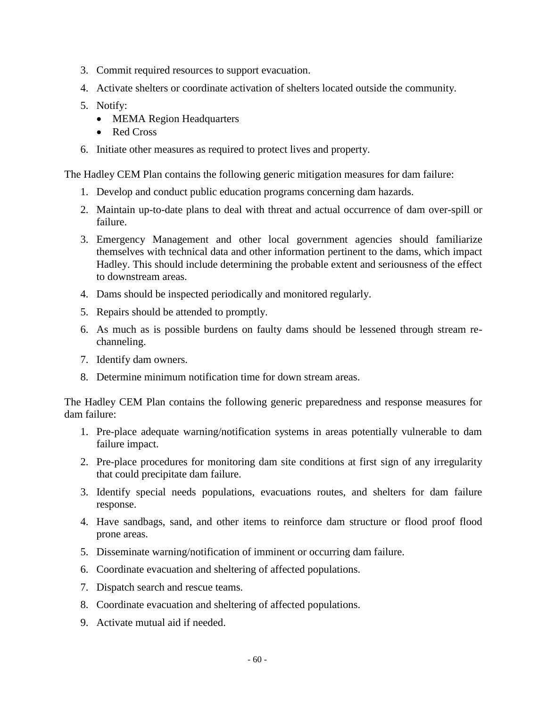- 3. Commit required resources to support evacuation.
- 4. Activate shelters or coordinate activation of shelters located outside the community.
- 5. Notify:
	- MEMA Region Headquarters
	- Red Cross
- 6. Initiate other measures as required to protect lives and property.

The Hadley CEM Plan contains the following generic mitigation measures for dam failure:

- 1. Develop and conduct public education programs concerning dam hazards.
- 2. Maintain up-to-date plans to deal with threat and actual occurrence of dam over-spill or failure.
- 3. Emergency Management and other local government agencies should familiarize themselves with technical data and other information pertinent to the dams, which impact Hadley. This should include determining the probable extent and seriousness of the effect to downstream areas.
- 4. Dams should be inspected periodically and monitored regularly.
- 5. Repairs should be attended to promptly.
- 6. As much as is possible burdens on faulty dams should be lessened through stream rechanneling.
- 7. Identify dam owners.
- 8. Determine minimum notification time for down stream areas.

The Hadley CEM Plan contains the following generic preparedness and response measures for dam failure:

- 1. Pre-place adequate warning/notification systems in areas potentially vulnerable to dam failure impact.
- 2. Pre-place procedures for monitoring dam site conditions at first sign of any irregularity that could precipitate dam failure.
- 3. Identify special needs populations, evacuations routes, and shelters for dam failure response.
- 4. Have sandbags, sand, and other items to reinforce dam structure or flood proof flood prone areas.
- 5. Disseminate warning/notification of imminent or occurring dam failure.
- 6. Coordinate evacuation and sheltering of affected populations.
- 7. Dispatch search and rescue teams.
- 8. Coordinate evacuation and sheltering of affected populations.
- 9. Activate mutual aid if needed.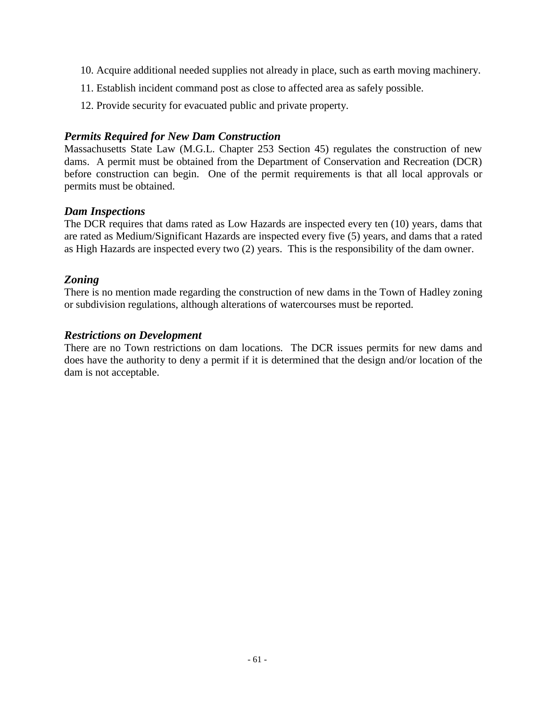- 10. Acquire additional needed supplies not already in place, such as earth moving machinery.
- 11. Establish incident command post as close to affected area as safely possible.
- 12. Provide security for evacuated public and private property.

### *Permits Required for New Dam Construction*

Massachusetts State Law (M.G.L. Chapter 253 Section 45) regulates the construction of new dams. A permit must be obtained from the Department of Conservation and Recreation (DCR) before construction can begin. One of the permit requirements is that all local approvals or permits must be obtained.

### *Dam Inspections*

The DCR requires that dams rated as Low Hazards are inspected every ten (10) years, dams that are rated as Medium/Significant Hazards are inspected every five (5) years, and dams that a rated as High Hazards are inspected every two (2) years. This is the responsibility of the dam owner.

### *Zoning*

There is no mention made regarding the construction of new dams in the Town of Hadley zoning or subdivision regulations, although alterations of watercourses must be reported.

### *Restrictions on Development*

There are no Town restrictions on dam locations.The DCR issues permits for new dams and does have the authority to deny a permit if it is determined that the design and/or location of the dam is not acceptable.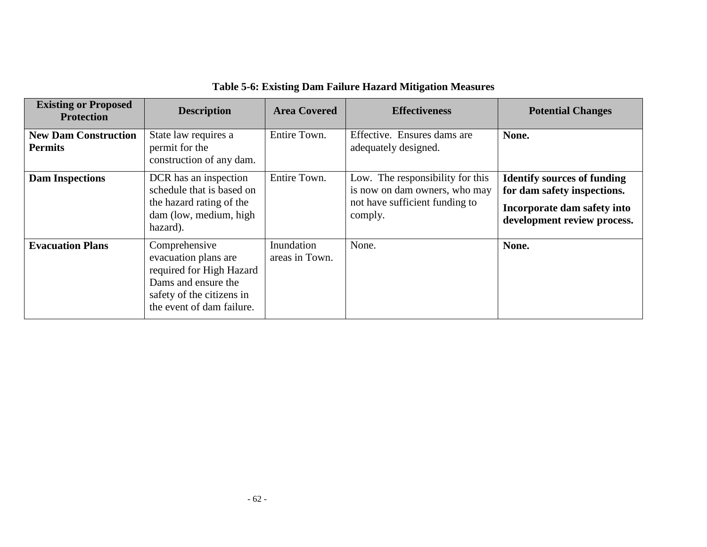| <b>Existing or Proposed</b><br><b>Protection</b> | <b>Description</b>                                                                                                                                 | <b>Area Covered</b>          | <b>Effectiveness</b>                                                                                           | <b>Potential Changes</b>                                                                                                        |
|--------------------------------------------------|----------------------------------------------------------------------------------------------------------------------------------------------------|------------------------------|----------------------------------------------------------------------------------------------------------------|---------------------------------------------------------------------------------------------------------------------------------|
| <b>New Dam Construction</b><br><b>Permits</b>    | State law requires a<br>permit for the<br>construction of any dam.                                                                                 | Entire Town.                 | Effective. Ensures dams are.<br>adequately designed.                                                           | None.                                                                                                                           |
| <b>Dam Inspections</b>                           | DCR has an inspection<br>schedule that is based on<br>the hazard rating of the<br>dam (low, medium, high<br>hazard).                               | Entire Town.                 | Low. The responsibility for this<br>is now on dam owners, who may<br>not have sufficient funding to<br>comply. | <b>Identify sources of funding</b><br>for dam safety inspections.<br>Incorporate dam safety into<br>development review process. |
| <b>Evacuation Plans</b>                          | Comprehensive<br>evacuation plans are<br>required for High Hazard<br>Dams and ensure the<br>safety of the citizens in<br>the event of dam failure. | Inundation<br>areas in Town. | None.                                                                                                          | None.                                                                                                                           |

# **Table 5-6: Existing Dam Failure Hazard Mitigation Measures**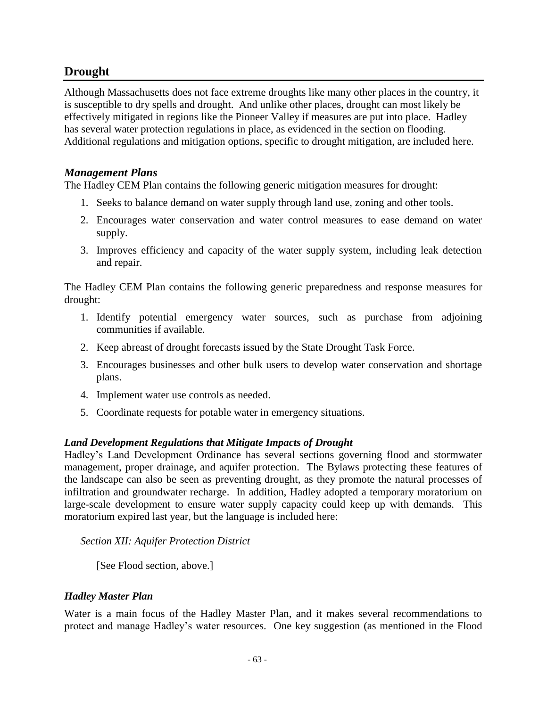### **Drought**

Although Massachusetts does not face extreme droughts like many other places in the country, it is susceptible to dry spells and drought. And unlike other places, drought can most likely be effectively mitigated in regions like the Pioneer Valley if measures are put into place. Hadley has several water protection regulations in place, as evidenced in the section on flooding. Additional regulations and mitigation options, specific to drought mitigation, are included here.

### *Management Plans*

The Hadley CEM Plan contains the following generic mitigation measures for drought:

- 1. Seeks to balance demand on water supply through land use, zoning and other tools.
- 2. Encourages water conservation and water control measures to ease demand on water supply.
- 3. Improves efficiency and capacity of the water supply system, including leak detection and repair.

The Hadley CEM Plan contains the following generic preparedness and response measures for drought:

- 1. Identify potential emergency water sources, such as purchase from adjoining communities if available.
- 2. Keep abreast of drought forecasts issued by the State Drought Task Force.
- 3. Encourages businesses and other bulk users to develop water conservation and shortage plans.
- 4. Implement water use controls as needed.
- 5. Coordinate requests for potable water in emergency situations.

### *Land Development Regulations that Mitigate Impacts of Drought*

Hadley's Land Development Ordinance has several sections governing flood and stormwater management, proper drainage, and aquifer protection. The Bylaws protecting these features of the landscape can also be seen as preventing drought, as they promote the natural processes of infiltration and groundwater recharge. In addition, Hadley adopted a temporary moratorium on large-scale development to ensure water supply capacity could keep up with demands. This moratorium expired last year, but the language is included here:

*Section XII: Aquifer Protection District*

[See Flood section, above.]

### *Hadley Master Plan*

Water is a main focus of the Hadley Master Plan, and it makes several recommendations to protect and manage Hadley's water resources. One key suggestion (as mentioned in the Flood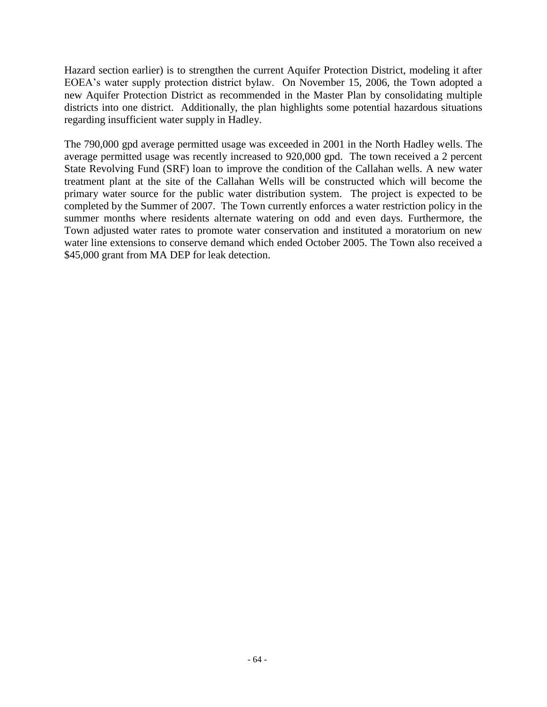Hazard section earlier) is to strengthen the current Aquifer Protection District, modeling it after EOEA's water supply protection district bylaw. On November 15, 2006, the Town adopted a new Aquifer Protection District as recommended in the Master Plan by consolidating multiple districts into one district. Additionally, the plan highlights some potential hazardous situations regarding insufficient water supply in Hadley.

The 790,000 gpd average permitted usage was exceeded in 2001 in the North Hadley wells. The average permitted usage was recently increased to 920,000 gpd. The town received a 2 percent State Revolving Fund (SRF) loan to improve the condition of the Callahan wells. A new water treatment plant at the site of the Callahan Wells will be constructed which will become the primary water source for the public water distribution system. The project is expected to be completed by the Summer of 2007. The Town currently enforces a water restriction policy in the summer months where residents alternate watering on odd and even days. Furthermore, the Town adjusted water rates to promote water conservation and instituted a moratorium on new water line extensions to conserve demand which ended October 2005. The Town also received a \$45,000 grant from MA DEP for leak detection.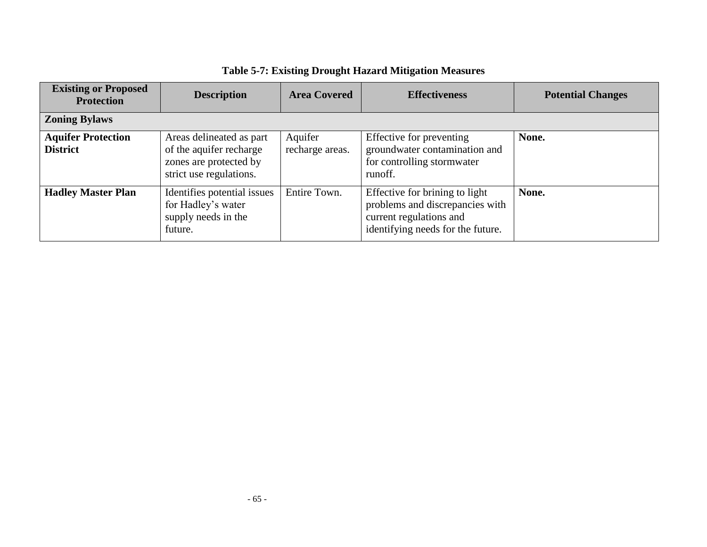| <b>Existing or Proposed</b><br><b>Protection</b> | <b>Description</b>                                                                                       | <b>Area Covered</b>        | <b>Effectiveness</b>                                                                                                              | <b>Potential Changes</b> |
|--------------------------------------------------|----------------------------------------------------------------------------------------------------------|----------------------------|-----------------------------------------------------------------------------------------------------------------------------------|--------------------------|
| <b>Zoning Bylaws</b>                             |                                                                                                          |                            |                                                                                                                                   |                          |
| <b>Aquifer Protection</b><br><b>District</b>     | Areas delineated as part<br>of the aquifer recharge<br>zones are protected by<br>strict use regulations. | Aquifer<br>recharge areas. | Effective for preventing<br>groundwater contamination and<br>for controlling stormwater<br>runoff.                                | None.                    |
| <b>Hadley Master Plan</b>                        | Identifies potential issues<br>for Hadley's water<br>supply needs in the<br>future.                      | Entire Town.               | Effective for brining to light<br>problems and discrepancies with<br>current regulations and<br>identifying needs for the future. | None.                    |

# **Table 5-7: Existing Drought Hazard Mitigation Measures**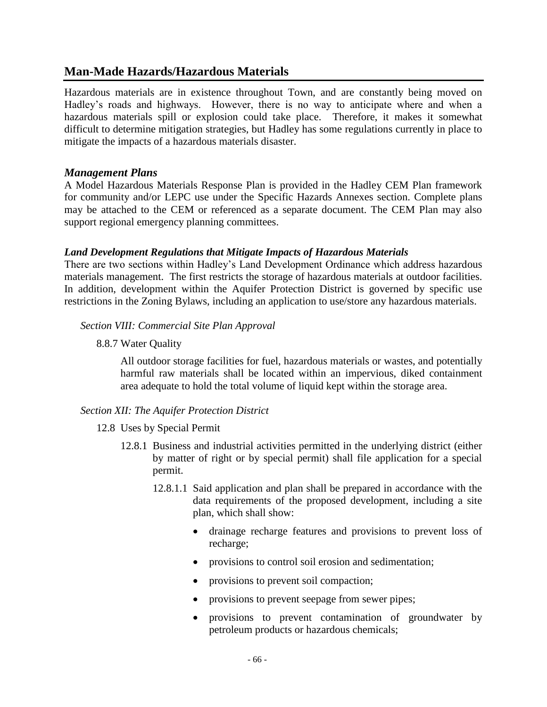### **Man-Made Hazards/Hazardous Materials**

Hazardous materials are in existence throughout Town, and are constantly being moved on Hadley's roads and highways. However, there is no way to anticipate where and when a hazardous materials spill or explosion could take place. Therefore, it makes it somewhat difficult to determine mitigation strategies, but Hadley has some regulations currently in place to mitigate the impacts of a hazardous materials disaster.

### *Management Plans*

A Model Hazardous Materials Response Plan is provided in the Hadley CEM Plan framework for community and/or LEPC use under the Specific Hazards Annexes section. Complete plans may be attached to the CEM or referenced as a separate document. The CEM Plan may also support regional emergency planning committees.

### *Land Development Regulations that Mitigate Impacts of Hazardous Materials*

There are two sections within Hadley's Land Development Ordinance which address hazardous materials management. The first restricts the storage of hazardous materials at outdoor facilities. In addition, development within the Aquifer Protection District is governed by specific use restrictions in the Zoning Bylaws, including an application to use/store any hazardous materials.

### *Section VIII: Commercial Site Plan Approval*

8.8.7 Water Quality

All outdoor storage facilities for fuel, hazardous materials or wastes, and potentially harmful raw materials shall be located within an impervious, diked containment area adequate to hold the total volume of liquid kept within the storage area.

### *Section XII: The Aquifer Protection District*

- 12.8 Uses by Special Permit
	- 12.8.1 Business and industrial activities permitted in the underlying district (either by matter of right or by special permit) shall file application for a special permit.
		- 12.8.1.1 Said application and plan shall be prepared in accordance with the data requirements of the proposed development, including a site plan, which shall show:
			- drainage recharge features and provisions to prevent loss of recharge;
			- provisions to control soil erosion and sedimentation;
			- provisions to prevent soil compaction;
			- provisions to prevent seepage from sewer pipes;
			- provisions to prevent contamination of groundwater by petroleum products or hazardous chemicals;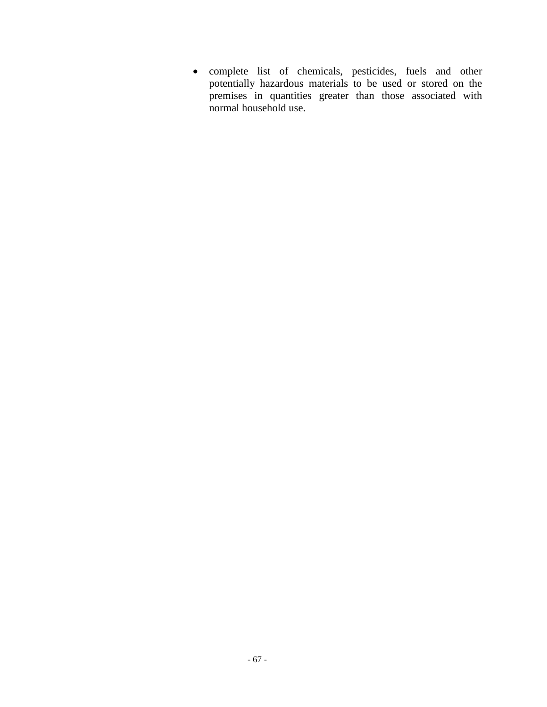complete list of chemicals, pesticides, fuels and other potentially hazardous materials to be used or stored on the premises in quantities greater than those associated with normal household use.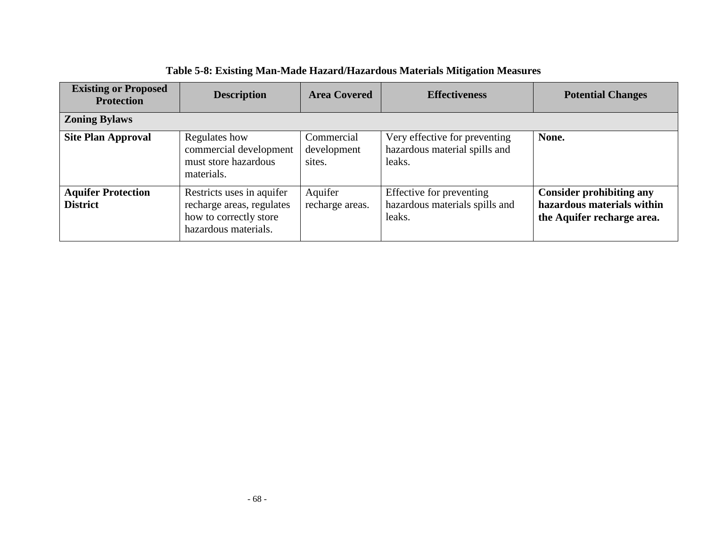| <b>Existing or Proposed</b><br><b>Protection</b> | <b>Description</b>                                                                                       | <b>Area Covered</b>                 | <b>Effectiveness</b>                                                     | <b>Potential Changes</b>                                                                    |
|--------------------------------------------------|----------------------------------------------------------------------------------------------------------|-------------------------------------|--------------------------------------------------------------------------|---------------------------------------------------------------------------------------------|
| <b>Zoning Bylaws</b>                             |                                                                                                          |                                     |                                                                          |                                                                                             |
| <b>Site Plan Approval</b>                        | Regulates how<br>commercial development<br>must store hazardous<br>materials.                            | Commercial<br>development<br>sites. | Very effective for preventing<br>hazardous material spills and<br>leaks. | None.                                                                                       |
| <b>Aquifer Protection</b><br><b>District</b>     | Restricts uses in aquifer<br>recharge areas, regulates<br>how to correctly store<br>hazardous materials. | Aquifer<br>recharge areas.          | Effective for preventing<br>hazardous materials spills and<br>leaks.     | <b>Consider prohibiting any</b><br>hazardous materials within<br>the Aquifer recharge area. |

|  |  |  |  |  | Table 5-8: Existing Man-Made Hazard/Hazardous Materials Mitigation Measures |  |  |  |  |  |  |  |
|--|--|--|--|--|-----------------------------------------------------------------------------|--|--|--|--|--|--|--|
|  |  |  |  |  |                                                                             |  |  |  |  |  |  |  |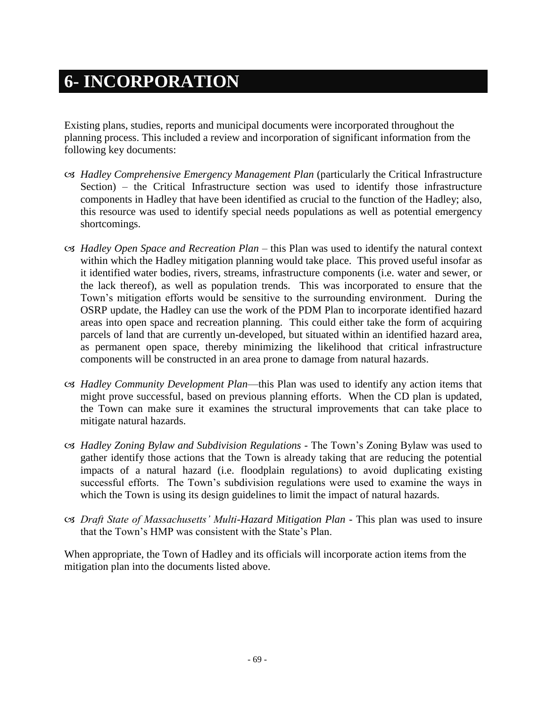## **6- INCORPORATION**

Existing plans, studies, reports and municipal documents were incorporated throughout the planning process. This included a review and incorporation of significant information from the following key documents:

- *Hadley Comprehensive Emergency Management Plan* (particularly the Critical Infrastructure Section) – the Critical Infrastructure section was used to identify those infrastructure components in Hadley that have been identified as crucial to the function of the Hadley; also, this resource was used to identify special needs populations as well as potential emergency shortcomings.
- *Hadley Open Space and Recreation Plan*  this Plan was used to identify the natural context within which the Hadley mitigation planning would take place. This proved useful insofar as it identified water bodies, rivers, streams, infrastructure components (i.e. water and sewer, or the lack thereof), as well as population trends. This was incorporated to ensure that the Town's mitigation efforts would be sensitive to the surrounding environment. During the OSRP update, the Hadley can use the work of the PDM Plan to incorporate identified hazard areas into open space and recreation planning. This could either take the form of acquiring parcels of land that are currently un-developed, but situated within an identified hazard area, as permanent open space, thereby minimizing the likelihood that critical infrastructure components will be constructed in an area prone to damage from natural hazards.
- *Hadley Community Development Plan*—this Plan was used to identify any action items that might prove successful, based on previous planning efforts. When the CD plan is updated, the Town can make sure it examines the structural improvements that can take place to mitigate natural hazards.
- *Hadley Zoning Bylaw and Subdivision Regulations -* The Town's Zoning Bylaw was used to gather identify those actions that the Town is already taking that are reducing the potential impacts of a natural hazard (i.e. floodplain regulations) to avoid duplicating existing successful efforts. The Town's subdivision regulations were used to examine the ways in which the Town is using its design guidelines to limit the impact of natural hazards.
- *Draft State of Massachusetts' Multi-Hazard Mitigation Plan -* This plan was used to insure that the Town's HMP was consistent with the State's Plan.

When appropriate, the Town of Hadley and its officials will incorporate action items from the mitigation plan into the documents listed above.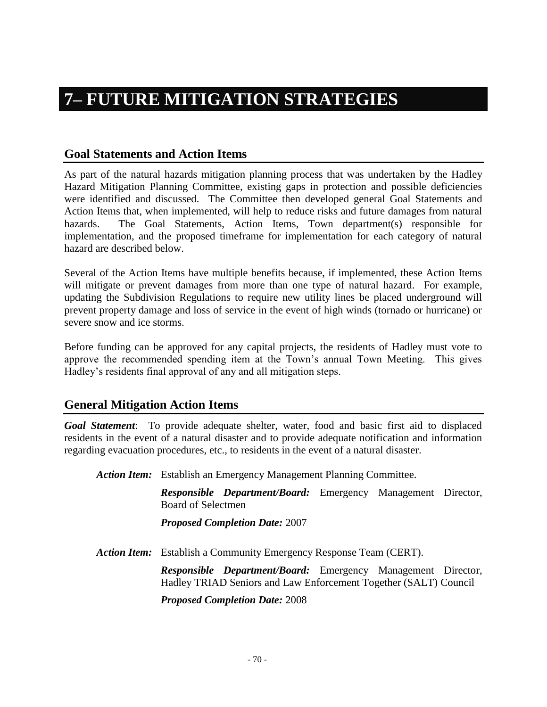## **7– FUTURE MITIGATION STRATEGIES**

#### **Goal Statements and Action Items**

As part of the natural hazards mitigation planning process that was undertaken by the Hadley Hazard Mitigation Planning Committee, existing gaps in protection and possible deficiencies were identified and discussed. The Committee then developed general Goal Statements and Action Items that, when implemented, will help to reduce risks and future damages from natural hazards. The Goal Statements, Action Items, Town department(s) responsible for implementation, and the proposed timeframe for implementation for each category of natural hazard are described below.

Several of the Action Items have multiple benefits because, if implemented, these Action Items will mitigate or prevent damages from more than one type of natural hazard. For example, updating the Subdivision Regulations to require new utility lines be placed underground will prevent property damage and loss of service in the event of high winds (tornado or hurricane) or severe snow and ice storms.

Before funding can be approved for any capital projects, the residents of Hadley must vote to approve the recommended spending item at the Town's annual Town Meeting. This gives Hadley's residents final approval of any and all mitigation steps.

#### **General Mitigation Action Items**

*Goal Statement*: To provide adequate shelter, water, food and basic first aid to displaced residents in the event of a natural disaster and to provide adequate notification and information regarding evacuation procedures, etc., to residents in the event of a natural disaster.

*Action Item:* Establish an Emergency Management Planning Committee.

*Responsible Department/Board:* Emergency Management Director, Board of Selectmen

*Proposed Completion Date:* 2007

*Action Item:* Establish a Community Emergency Response Team (CERT).

*Responsible Department/Board:* Emergency Management Director, Hadley TRIAD Seniors and Law Enforcement Together (SALT) Council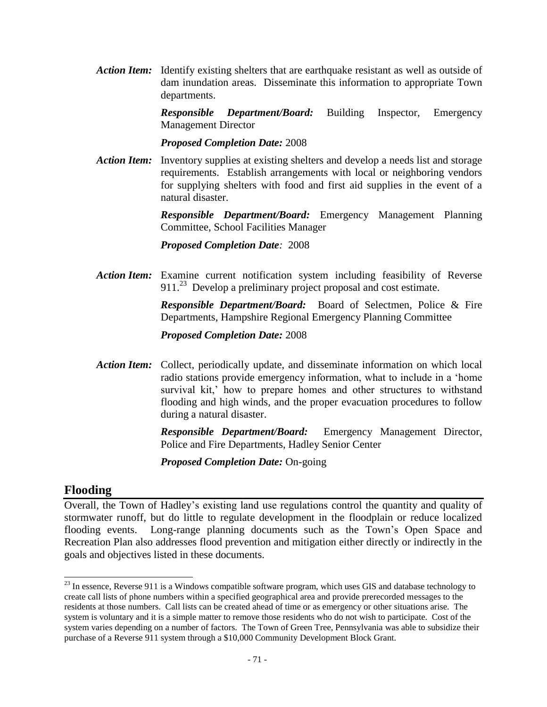*Action Item:* Identify existing shelters that are earthquake resistant as well as outside of dam inundation areas. Disseminate this information to appropriate Town departments.

> *Responsible Department/Board:* Building Inspector, Emergency Management Director

*Proposed Completion Date:* 2008

*Action Item:* Inventory supplies at existing shelters and develop a needs list and storage requirements. Establish arrangements with local or neighboring vendors for supplying shelters with food and first aid supplies in the event of a natural disaster.

> *Responsible Department/Board:* Emergency Management Planning Committee, School Facilities Manager

*Proposed Completion Date:* 2008

*Action Item:* Examine current notification system including feasibility of Reverse 911.<sup>23</sup> Develop a preliminary project proposal and cost estimate.

> *Responsible Department/Board:* Board of Selectmen, Police & Fire Departments, Hampshire Regional Emergency Planning Committee

#### *Proposed Completion Date:* 2008

*Action Item:* Collect, periodically update, and disseminate information on which local radio stations provide emergency information, what to include in a 'home survival kit,' how to prepare homes and other structures to withstand flooding and high winds, and the proper evacuation procedures to follow during a natural disaster.

> *Responsible Department/Board:* Emergency Management Director, Police and Fire Departments, Hadley Senior Center

*Proposed Completion Date:* On-going

#### **Flooding**

 $\overline{a}$ 

Overall, the Town of Hadley's existing land use regulations control the quantity and quality of stormwater runoff, but do little to regulate development in the floodplain or reduce localized flooding events. Long-range planning documents such as the Town's Open Space and Recreation Plan also addresses flood prevention and mitigation either directly or indirectly in the goals and objectives listed in these documents.

 $^{23}$  In essence, Reverse 911 is a Windows compatible software program, which uses GIS and database technology to create call lists of phone numbers within a specified geographical area and provide prerecorded messages to the residents at those numbers. Call lists can be created ahead of time or as emergency or other situations arise. The system is voluntary and it is a simple matter to remove those residents who do not wish to participate. Cost of the system varies depending on a number of factors. The Town of Green Tree, Pennsylvania was able to subsidize their purchase of a Reverse 911 system through a \$10,000 Community Development Block Grant.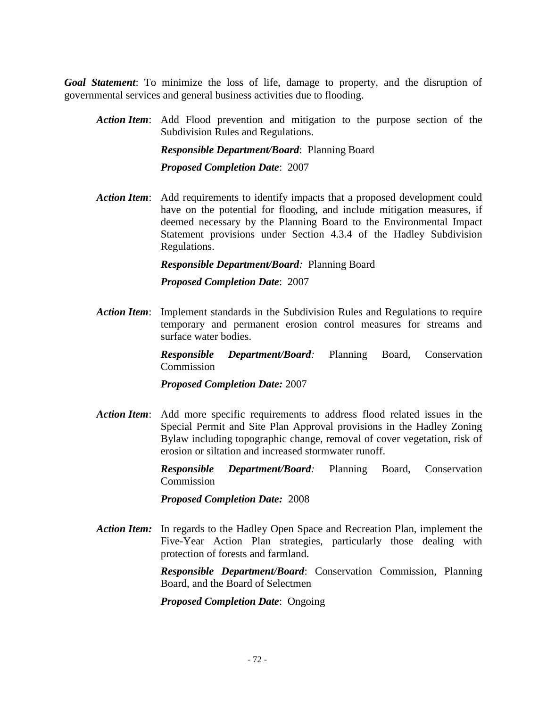*Goal Statement*: To minimize the loss of life, damage to property, and the disruption of governmental services and general business activities due to flooding.

*Action Item*: Add Flood prevention and mitigation to the purpose section of the Subdivision Rules and Regulations.

> *Responsible Department/Board*: Planning Board *Proposed Completion Date*: 2007

*Action Item*: Add requirements to identify impacts that a proposed development could have on the potential for flooding, and include mitigation measures, if deemed necessary by the Planning Board to the Environmental Impact Statement provisions under Section 4.3.4 of the Hadley Subdivision Regulations.

*Responsible Department/Board:* Planning Board

*Proposed Completion Date*: 2007

*Action Item*: Implement standards in the Subdivision Rules and Regulations to require temporary and permanent erosion control measures for streams and surface water bodies.

> *Responsible Department/Board:* Planning Board, Conservation Commission

*Proposed Completion Date:* 2007

*Action Item*: Add more specific requirements to address flood related issues in the Special Permit and Site Plan Approval provisions in the Hadley Zoning Bylaw including topographic change, removal of cover vegetation, risk of erosion or siltation and increased stormwater runoff.

> *Responsible Department/Board:* Planning Board, Conservation Commission

*Proposed Completion Date:* 2008

*Action Item:* In regards to the Hadley Open Space and Recreation Plan, implement the Five-Year Action Plan strategies, particularly those dealing with protection of forests and farmland.

> *Responsible Department/Board*: Conservation Commission, Planning Board, and the Board of Selectmen

*Proposed Completion Date*: Ongoing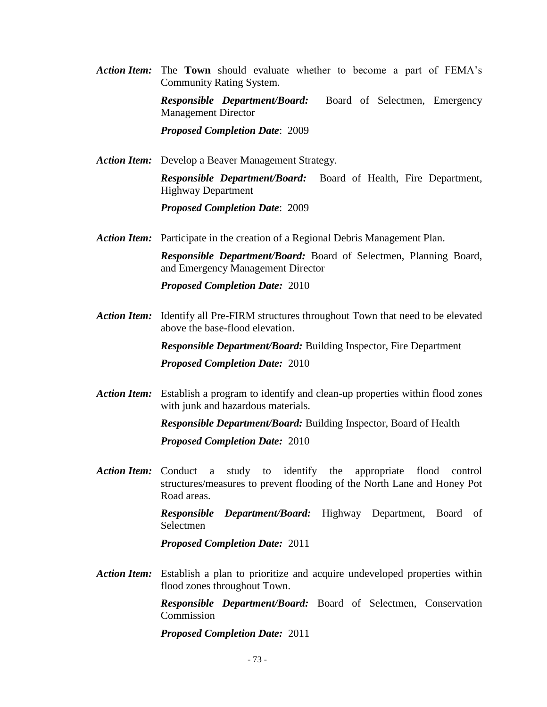- *Action Item:* The **Town** should evaluate whether to become a part of FEMA's Community Rating System. *Responsible Department/Board:* Board of Selectmen, Emergency Management Director *Proposed Completion Date*: 2009
- *Action Item:* Develop a Beaver Management Strategy. *Responsible Department/Board:* Board of Health, Fire Department, Highway Department

*Proposed Completion Date*: 2009

*Action Item:* Participate in the creation of a Regional Debris Management Plan.

*Responsible Department/Board:* Board of Selectmen, Planning Board, and Emergency Management Director

*Proposed Completion Date:* 2010

*Action Item:* Identify all Pre-FIRM structures throughout Town that need to be elevated above the base-flood elevation.

> *Responsible Department/Board:* Building Inspector, Fire Department *Proposed Completion Date:* 2010

*Action Item:* Establish a program to identify and clean-up properties within flood zones with junk and hazardous materials.

> *Responsible Department/Board:* Building Inspector, Board of Health *Proposed Completion Date:* 2010

*Action Item:* Conduct a study to identify the appropriate flood control structures/measures to prevent flooding of the North Lane and Honey Pot Road areas.

> *Responsible Department/Board:* Highway Department, Board of Selectmen

*Proposed Completion Date:* 2011

*Action Item:* Establish a plan to prioritize and acquire undeveloped properties within flood zones throughout Town.

> *Responsible Department/Board:* Board of Selectmen, Conservation **Commission**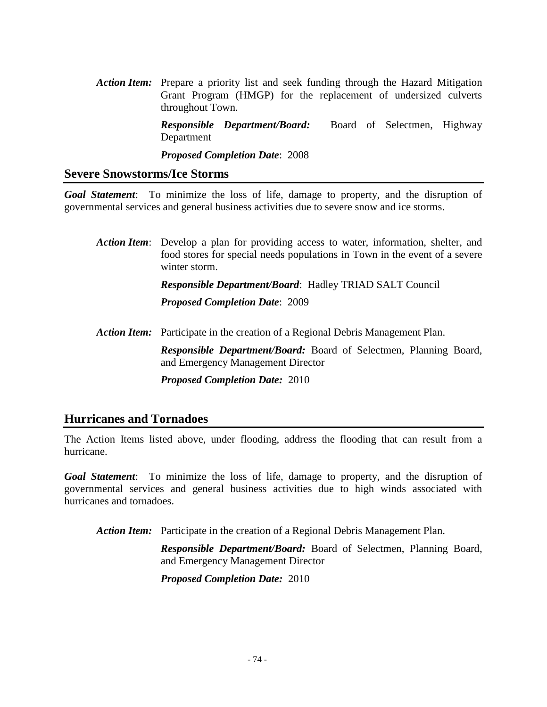*Action Item:* Prepare a priority list and seek funding through the Hazard Mitigation Grant Program (HMGP) for the replacement of undersized culverts throughout Town.

> *Responsible Department/Board:* Board of Selectmen, Highway Department

*Proposed Completion Date*: 2008

#### **Severe Snowstorms/Ice Storms**

*Goal Statement*: To minimize the loss of life, damage to property, and the disruption of governmental services and general business activities due to severe snow and ice storms.

*Action Item*: Develop a plan for providing access to water, information, shelter, and food stores for special needs populations in Town in the event of a severe winter storm. *Responsible Department/Board*: Hadley TRIAD SALT Council *Proposed Completion Date*: 2009 *Action Item:* Participate in the creation of a Regional Debris Management Plan.

*Responsible Department/Board:* Board of Selectmen, Planning Board, and Emergency Management Director

*Proposed Completion Date:* 2010

#### **Hurricanes and Tornadoes**

The Action Items listed above, under flooding, address the flooding that can result from a hurricane.

*Goal Statement*: To minimize the loss of life, damage to property, and the disruption of governmental services and general business activities due to high winds associated with hurricanes and tornadoes.

*Action Item:* Participate in the creation of a Regional Debris Management Plan.

*Responsible Department/Board:* Board of Selectmen, Planning Board, and Emergency Management Director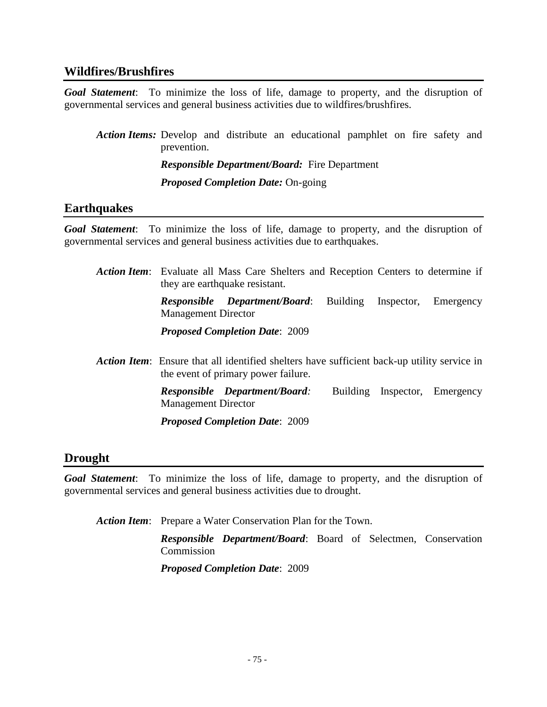#### **Wildfires/Brushfires**

*Goal Statement*: To minimize the loss of life, damage to property, and the disruption of governmental services and general business activities due to wildfires/brushfires.

*Action Items:* Develop and distribute an educational pamphlet on fire safety and prevention. *Responsible Department/Board:* Fire Department *Proposed Completion Date:* On-going

#### **Earthquakes**

*Goal Statement*: To minimize the loss of life, damage to property, and the disruption of governmental services and general business activities due to earthquakes.

| <b>Action Item:</b> Evaluate all Mass Care Shelters and Reception Centers to determine if<br>they are earthquake resistant. |                                                                                                                                           |                 |            |                               |  |
|-----------------------------------------------------------------------------------------------------------------------------|-------------------------------------------------------------------------------------------------------------------------------------------|-----------------|------------|-------------------------------|--|
| <b>Management Director</b>                                                                                                  | <b>Responsible</b> Department/Board:                                                                                                      | <b>Building</b> | Inspector, | Emergency                     |  |
|                                                                                                                             | <b>Proposed Completion Date: 2009</b>                                                                                                     |                 |            |                               |  |
|                                                                                                                             | <b>Action Item:</b> Ensure that all identified shelters have sufficient back-up utility service in<br>the event of primary power failure. |                 |            |                               |  |
| <b>Management Director</b>                                                                                                  | <b>Responsible Department/Board:</b>                                                                                                      |                 |            | Building Inspector, Emergency |  |
|                                                                                                                             | <b>Proposed Completion Date: 2009</b>                                                                                                     |                 |            |                               |  |

#### **Drought**

*Goal Statement*: To minimize the loss of life, damage to property, and the disruption of governmental services and general business activities due to drought.

*Action Item*: Prepare a Water Conservation Plan for the Town.

*Responsible Department/Board*: Board of Selectmen, Conservation Commission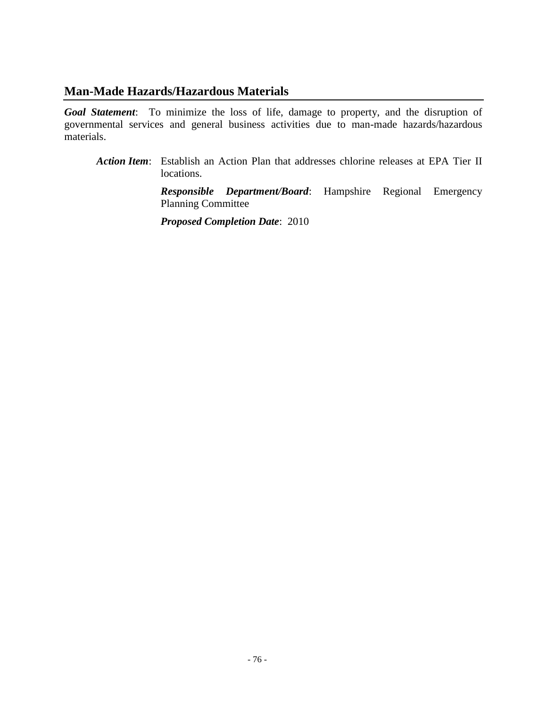#### **Man-Made Hazards/Hazardous Materials**

*Goal Statement*: To minimize the loss of life, damage to property, and the disruption of governmental services and general business activities due to man-made hazards/hazardous materials.

*Action Item*: Establish an Action Plan that addresses chlorine releases at EPA Tier II locations.

> *Responsible Department/Board*: Hampshire Regional Emergency Planning Committee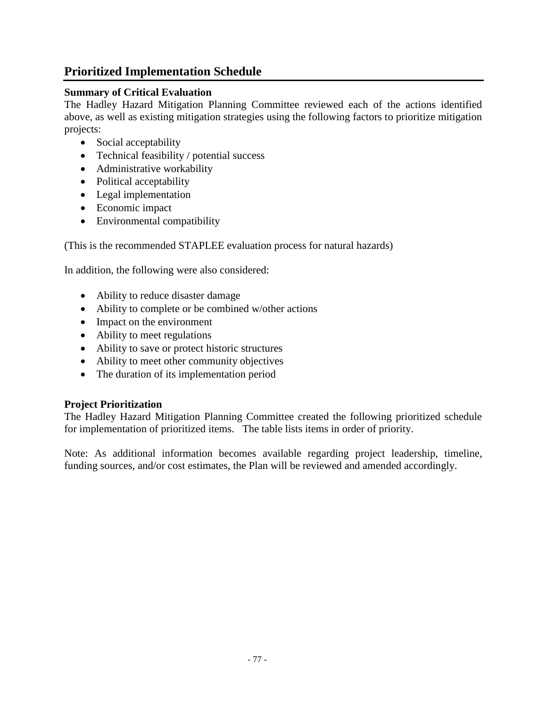### **Prioritized Implementation Schedule**

#### **Summary of Critical Evaluation**

The Hadley Hazard Mitigation Planning Committee reviewed each of the actions identified above, as well as existing mitigation strategies using the following factors to prioritize mitigation projects:

- Social acceptability
- Technical feasibility / potential success
- Administrative workability
- Political acceptability
- Legal implementation
- Economic impact
- Environmental compatibility

(This is the recommended STAPLEE evaluation process for natural hazards)

In addition, the following were also considered:

- Ability to reduce disaster damage
- Ability to complete or be combined w/other actions
- Impact on the environment
- Ability to meet regulations
- Ability to save or protect historic structures
- Ability to meet other community objectives
- The duration of its implementation period

#### **Project Prioritization**

The Hadley Hazard Mitigation Planning Committee created the following prioritized schedule for implementation of prioritized items. The table lists items in order of priority.

Note: As additional information becomes available regarding project leadership, timeline, funding sources, and/or cost estimates, the Plan will be reviewed and amended accordingly.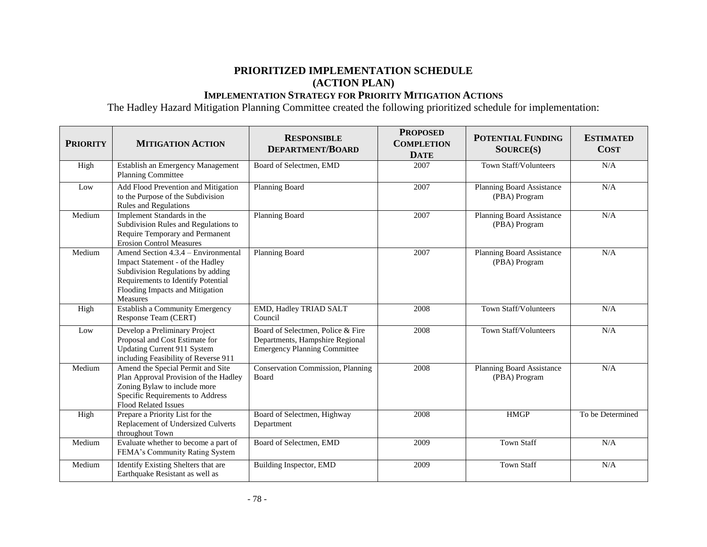#### **PRIORITIZED IMPLEMENTATION SCHEDULE (ACTION PLAN)**

#### **IMPLEMENTATION STRATEGY FOR PRIORITY MITIGATION ACTIONS**

The Hadley Hazard Mitigation Planning Committee created the following prioritized schedule for implementation:

| <b>PRIORITY</b> | <b>MITIGATION ACTION</b>                                                                                                                                                                          | <b>RESPONSIBLE</b><br><b>DEPARTMENT/BOARD</b>                                                               | <b>PROPOSED</b><br><b>COMPLETION</b><br><b>DATE</b> | <b>POTENTIAL FUNDING</b><br>SOURCE(S)      | <b>ESTIMATED</b><br><b>COST</b> |
|-----------------|---------------------------------------------------------------------------------------------------------------------------------------------------------------------------------------------------|-------------------------------------------------------------------------------------------------------------|-----------------------------------------------------|--------------------------------------------|---------------------------------|
| High            | Establish an Emergency Management<br>Planning Committee                                                                                                                                           | Board of Selectmen, EMD                                                                                     | 2007                                                | Town Staff/Volunteers                      | N/A                             |
| Low             | Add Flood Prevention and Mitigation<br>to the Purpose of the Subdivision<br><b>Rules and Regulations</b>                                                                                          | <b>Planning Board</b>                                                                                       | 2007                                                | Planning Board Assistance<br>(PBA) Program | N/A                             |
| Medium          | Implement Standards in the<br>Subdivision Rules and Regulations to<br>Require Temporary and Permanent<br><b>Erosion Control Measures</b>                                                          | Planning Board                                                                                              | 2007                                                | Planning Board Assistance<br>(PBA) Program | N/A                             |
| Medium          | Amend Section 4.3.4 – Environmental<br>Impact Statement - of the Hadley<br>Subdivision Regulations by adding<br>Requirements to Identify Potential<br>Flooding Impacts and Mitigation<br>Measures | Planning Board                                                                                              | 2007                                                | Planning Board Assistance<br>(PBA) Program | N/A                             |
| High            | Establish a Community Emergency<br>Response Team (CERT)                                                                                                                                           | EMD, Hadley TRIAD SALT<br>Council                                                                           | 2008                                                | Town Staff/Volunteers                      | N/A                             |
| Low             | Develop a Preliminary Project<br>Proposal and Cost Estimate for<br><b>Updating Current 911 System</b><br>including Feasibility of Reverse 911                                                     | Board of Selectmen, Police & Fire<br>Departments, Hampshire Regional<br><b>Emergency Planning Committee</b> | 2008                                                | Town Staff/Volunteers                      | N/A                             |
| Medium          | Amend the Special Permit and Site<br>Plan Approval Provision of the Hadley<br>Zoning Bylaw to include more<br>Specific Requirements to Address<br>Flood Related Issues                            | <b>Conservation Commission</b> , Planning<br>Board                                                          | 2008                                                | Planning Board Assistance<br>(PBA) Program | N/A                             |
| High            | Prepare a Priority List for the<br>Replacement of Undersized Culverts<br>throughout Town                                                                                                          | Board of Selectmen, Highway<br>Department                                                                   | 2008                                                | <b>HMGP</b>                                | To be Determined                |
| Medium          | Evaluate whether to become a part of<br>FEMA's Community Rating System                                                                                                                            | Board of Selectmen, EMD                                                                                     | 2009                                                | <b>Town Staff</b>                          | N/A                             |
| Medium          | Identify Existing Shelters that are<br>Earthquake Resistant as well as                                                                                                                            | Building Inspector, EMD                                                                                     | 2009                                                | <b>Town Staff</b>                          | N/A                             |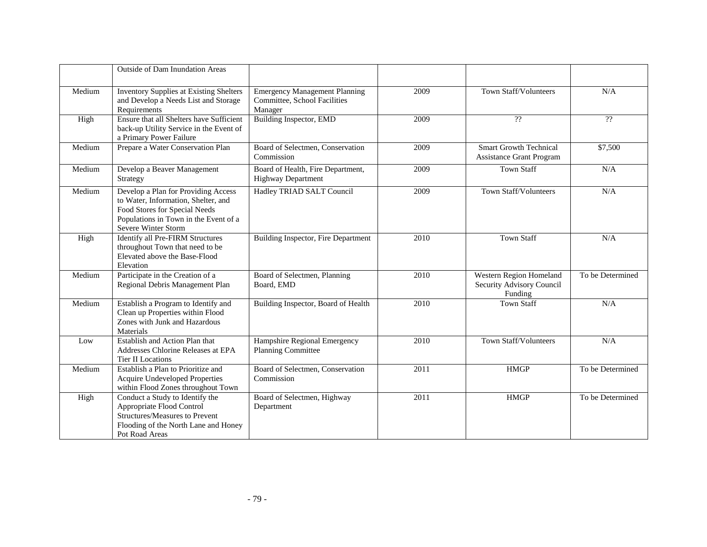|        | <b>Outside of Dam Inundation Areas</b>                                                                                                                                      |                                                                                 |      |                                                                 |                              |
|--------|-----------------------------------------------------------------------------------------------------------------------------------------------------------------------------|---------------------------------------------------------------------------------|------|-----------------------------------------------------------------|------------------------------|
| Medium | <b>Inventory Supplies at Existing Shelters</b><br>and Develop a Needs List and Storage<br>Requirements                                                                      | <b>Emergency Management Planning</b><br>Committee, School Facilities<br>Manager | 2009 | Town Staff/Volunteers                                           | N/A                          |
| High   | Ensure that all Shelters have Sufficient<br>back-up Utility Service in the Event of<br>a Primary Power Failure                                                              | <b>Building Inspector, EMD</b>                                                  | 2009 | ??                                                              | $\boldsymbol ?\boldsymbol ?$ |
| Medium | Prepare a Water Conservation Plan                                                                                                                                           | Board of Selectmen, Conservation<br>Commission                                  | 2009 | <b>Smart Growth Technical</b><br>Assistance Grant Program       | \$7,500                      |
| Medium | Develop a Beaver Management<br>Strategy                                                                                                                                     | Board of Health, Fire Department,<br><b>Highway Department</b>                  | 2009 | <b>Town Staff</b>                                               | N/A                          |
| Medium | Develop a Plan for Providing Access<br>to Water, Information, Shelter, and<br>Food Stores for Special Needs<br>Populations in Town in the Event of a<br>Severe Winter Storm | Hadley TRIAD SALT Council                                                       | 2009 | Town Staff/Volunteers                                           | N/A                          |
| High   | <b>Identify all Pre-FIRM Structures</b><br>throughout Town that need to be<br>Elevated above the Base-Flood<br>Elevation                                                    | Building Inspector, Fire Department                                             | 2010 | <b>Town Staff</b>                                               | N/A                          |
| Medium | Participate in the Creation of a<br>Regional Debris Management Plan                                                                                                         | Board of Selectmen, Planning<br>Board, EMD                                      | 2010 | Western Region Homeland<br>Security Advisory Council<br>Funding | To be Determined             |
| Medium | Establish a Program to Identify and<br>Clean up Properties within Flood<br>Zones with Junk and Hazardous<br>Materials                                                       | Building Inspector, Board of Health                                             | 2010 | <b>Town Staff</b>                                               | N/A                          |
| Low    | Establish and Action Plan that<br>Addresses Chlorine Releases at EPA<br><b>Tier II Locations</b>                                                                            | Hampshire Regional Emergency<br><b>Planning Committee</b>                       | 2010 | Town Staff/Volunteers                                           | N/A                          |
| Medium | Establish a Plan to Prioritize and<br><b>Acquire Undeveloped Properties</b><br>within Flood Zones throughout Town                                                           | Board of Selectmen, Conservation<br>Commission                                  | 2011 | <b>HMGP</b>                                                     | To be Determined             |
| High   | Conduct a Study to Identify the<br>Appropriate Flood Control<br>Structures/Measures to Prevent<br>Flooding of the North Lane and Honey<br>Pot Road Areas                    | Board of Selectmen, Highway<br>Department                                       | 2011 | <b>HMGP</b>                                                     | To be Determined             |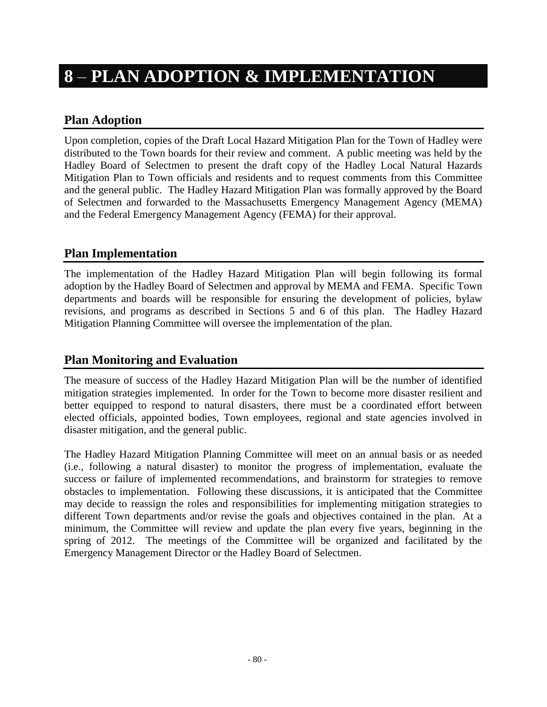## **8** – **PLAN ADOPTION & IMPLEMENTATION**

### **Plan Adoption**

Upon completion, copies of the Draft Local Hazard Mitigation Plan for the Town of Hadley were distributed to the Town boards for their review and comment. A public meeting was held by the Hadley Board of Selectmen to present the draft copy of the Hadley Local Natural Hazards Mitigation Plan to Town officials and residents and to request comments from this Committee and the general public. The Hadley Hazard Mitigation Plan was formally approved by the Board of Selectmen and forwarded to the Massachusetts Emergency Management Agency (MEMA) and the Federal Emergency Management Agency (FEMA) for their approval.

#### **Plan Implementation**

The implementation of the Hadley Hazard Mitigation Plan will begin following its formal adoption by the Hadley Board of Selectmen and approval by MEMA and FEMA. Specific Town departments and boards will be responsible for ensuring the development of policies, bylaw revisions, and programs as described in Sections 5 and 6 of this plan. The Hadley Hazard Mitigation Planning Committee will oversee the implementation of the plan.

#### **Plan Monitoring and Evaluation**

The measure of success of the Hadley Hazard Mitigation Plan will be the number of identified mitigation strategies implemented. In order for the Town to become more disaster resilient and better equipped to respond to natural disasters, there must be a coordinated effort between elected officials, appointed bodies, Town employees, regional and state agencies involved in disaster mitigation, and the general public.

The Hadley Hazard Mitigation Planning Committee will meet on an annual basis or as needed (i.e., following a natural disaster) to monitor the progress of implementation, evaluate the success or failure of implemented recommendations, and brainstorm for strategies to remove obstacles to implementation. Following these discussions, it is anticipated that the Committee may decide to reassign the roles and responsibilities for implementing mitigation strategies to different Town departments and/or revise the goals and objectives contained in the plan. At a minimum, the Committee will review and update the plan every five years, beginning in the spring of 2012. The meetings of the Committee will be organized and facilitated by the Emergency Management Director or the Hadley Board of Selectmen.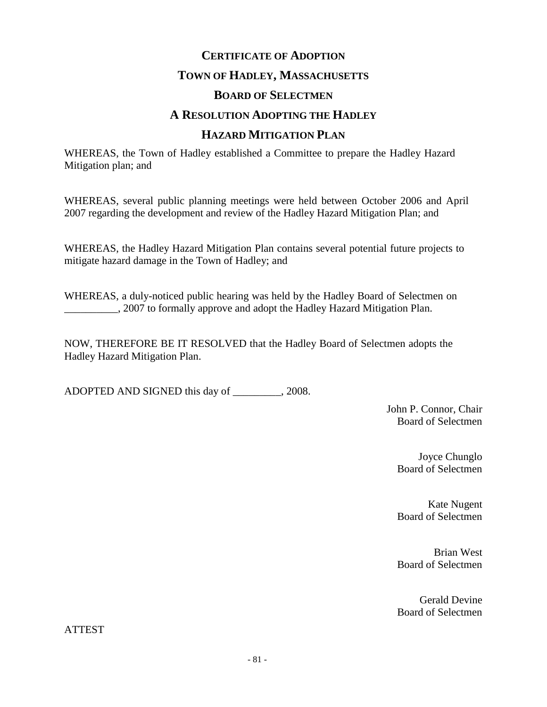## **CERTIFICATE OF ADOPTION TOWN OF HADLEY, MASSACHUSETTS BOARD OF SELECTMEN A RESOLUTION ADOPTING THE HADLEY HAZARD MITIGATION PLAN**

WHEREAS, the Town of Hadley established a Committee to prepare the Hadley Hazard Mitigation plan; and

WHEREAS, several public planning meetings were held between October 2006 and April 2007 regarding the development and review of the Hadley Hazard Mitigation Plan; and

WHEREAS, the Hadley Hazard Mitigation Plan contains several potential future projects to mitigate hazard damage in the Town of Hadley; and

WHEREAS, a duly-noticed public hearing was held by the Hadley Board of Selectmen on 2007 to formally approve and adopt the Hadley Hazard Mitigation Plan.

NOW, THEREFORE BE IT RESOLVED that the Hadley Board of Selectmen adopts the Hadley Hazard Mitigation Plan.

ADOPTED AND SIGNED this day of \_\_\_\_\_\_\_\_\_, 2008.

John P. Connor, Chair Board of Selectmen

> Joyce Chunglo Board of Selectmen

> Kate Nugent Board of Selectmen

> Brian West Board of Selectmen

> Gerald Devine Board of Selectmen

ATTEST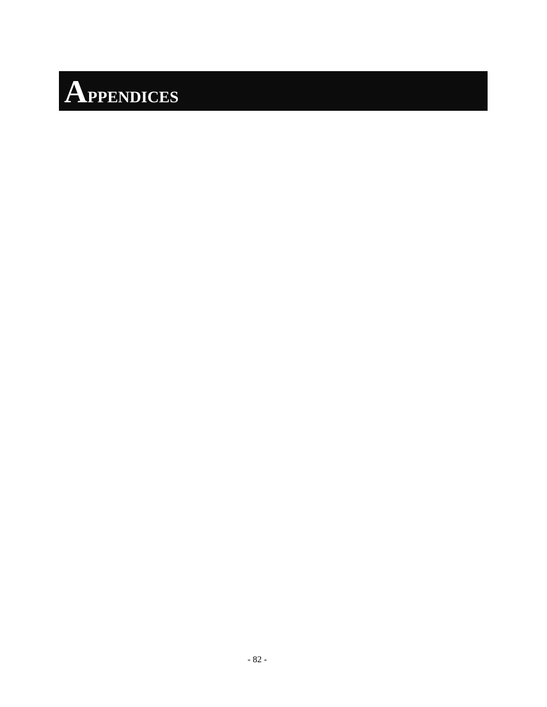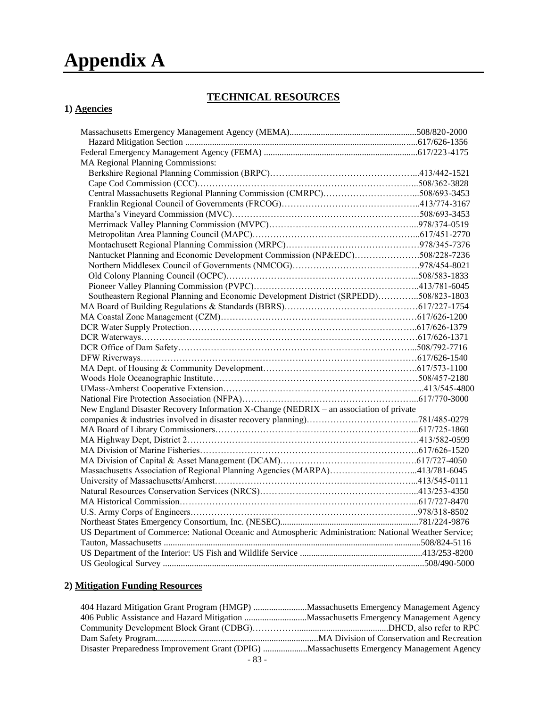# **Appendix A**

#### **TECHNICAL RESOURCES**

#### **1) Agencies**

| <b>MA Regional Planning Commissions:</b>                                                              |  |
|-------------------------------------------------------------------------------------------------------|--|
|                                                                                                       |  |
|                                                                                                       |  |
|                                                                                                       |  |
|                                                                                                       |  |
|                                                                                                       |  |
|                                                                                                       |  |
|                                                                                                       |  |
|                                                                                                       |  |
| Nantucket Planning and Economic Development Commission (NP&EDC)508/228-7236                           |  |
|                                                                                                       |  |
|                                                                                                       |  |
|                                                                                                       |  |
| Southeastern Regional Planning and Economic Development District (SRPEDD)508/823-1803                 |  |
|                                                                                                       |  |
|                                                                                                       |  |
|                                                                                                       |  |
|                                                                                                       |  |
|                                                                                                       |  |
|                                                                                                       |  |
|                                                                                                       |  |
|                                                                                                       |  |
|                                                                                                       |  |
|                                                                                                       |  |
| New England Disaster Recovery Information X-Change (NEDRIX – an association of private                |  |
|                                                                                                       |  |
|                                                                                                       |  |
|                                                                                                       |  |
|                                                                                                       |  |
|                                                                                                       |  |
| Massachusetts Association of Regional Planning Agencies (MARPA)413/781-6045                           |  |
|                                                                                                       |  |
|                                                                                                       |  |
|                                                                                                       |  |
|                                                                                                       |  |
|                                                                                                       |  |
| US Department of Commerce: National Oceanic and Atmospheric Administration: National Weather Service; |  |
|                                                                                                       |  |
|                                                                                                       |  |
|                                                                                                       |  |

#### **2) Mitigation Funding Resources**

| Disaster Preparedness Improvement Grant (DPIG) Massachusetts Emergency Management Agency |
|------------------------------------------------------------------------------------------|
|                                                                                          |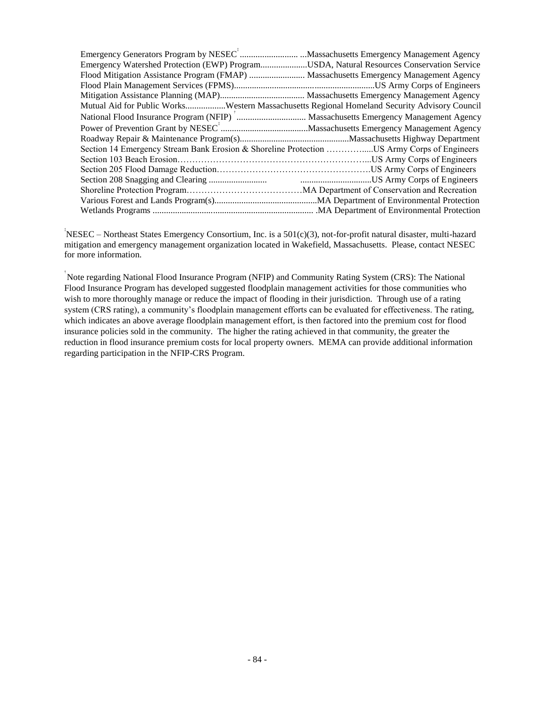| Mutual Aid for Public WorksWestern Massachusetts Regional Homeland Security Advisory Council |  |
|----------------------------------------------------------------------------------------------|--|
|                                                                                              |  |
|                                                                                              |  |
|                                                                                              |  |
| Section 14 Emergency Stream Bank Erosion & Shoreline Protection US Army Corps of Engineers   |  |
|                                                                                              |  |
|                                                                                              |  |
|                                                                                              |  |
|                                                                                              |  |
|                                                                                              |  |
|                                                                                              |  |

‡ NESEC – Northeast States Emergency Consortium, Inc. is a 501(c)(3), not-for-profit natural disaster, multi-hazard mitigation and emergency management organization located in Wakefield, Massachusetts. Please, contact NESEC for more information.

† Note regarding National Flood Insurance Program (NFIP) and Community Rating System (CRS): The National Flood Insurance Program has developed suggested floodplain management activities for those communities who wish to more thoroughly manage or reduce the impact of flooding in their jurisdiction. Through use of a rating system (CRS rating), a community's floodplain management efforts can be evaluated for effectiveness. The rating, which indicates an above average floodplain management effort, is then factored into the premium cost for flood insurance policies sold in the community. The higher the rating achieved in that community, the greater the reduction in flood insurance premium costs for local property owners. MEMA can provide additional information regarding participation in the NFIP-CRS Program.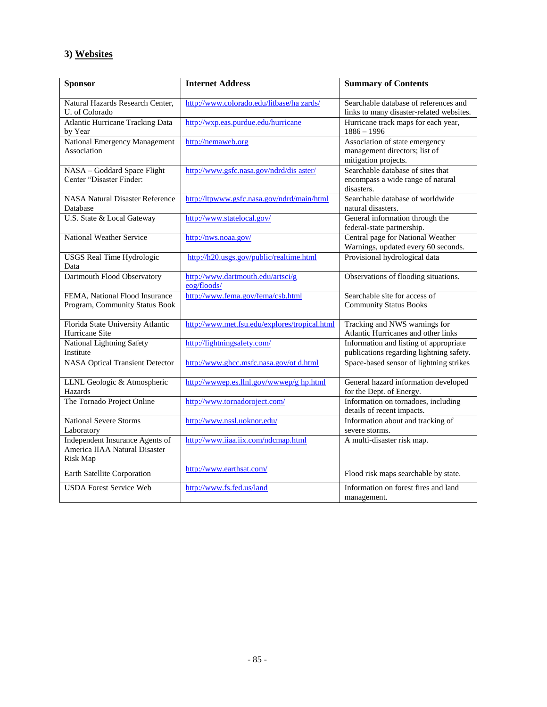#### **3) Websites**

| <b>Sponsor</b>                                                               | <b>Internet Address</b>                          | <b>Summary of Contents</b>                                                              |
|------------------------------------------------------------------------------|--------------------------------------------------|-----------------------------------------------------------------------------------------|
| Natural Hazards Research Center,<br>U. of Colorado                           | http://www.colorado.edu/litbase/ha zards/        | Searchable database of references and<br>links to many disaster-related websites.       |
| <b>Atlantic Hurricane Tracking Data</b><br>by Year                           | http://wxp.eas.purdue.edu/hurricane              | Hurricane track maps for each year,<br>$1886 - 1996$                                    |
| <b>National Emergency Management</b><br>Association                          | http://nemaweb.org                               | Association of state emergency<br>management directors; list of<br>mitigation projects. |
| NASA - Goddard Space Flight<br>Center "Disaster Finder:                      | http://www.gsfc.nasa.gov/ndrd/dis aster/         | Searchable database of sites that<br>encompass a wide range of natural<br>disasters.    |
| <b>NASA Natural Disaster Reference</b><br>Database                           | http://ltpwww.gsfc.nasa.gov/ndrd/main/html       | Searchable database of worldwide<br>natural disasters.                                  |
| U.S. State & Local Gateway                                                   | http://www.statelocal.gov/                       | General information through the<br>federal-state partnership.                           |
| National Weather Service                                                     | http://nws.noaa.gov/                             | Central page for National Weather<br>Warnings, updated every 60 seconds.                |
| <b>USGS Real Time Hydrologic</b><br>Data                                     | http://h20.usgs.gov/public/realtime.html         | Provisional hydrological data                                                           |
| Dartmouth Flood Observatory                                                  | http://www.dartmouth.edu/artsci/g<br>eog/floods/ | Observations of flooding situations.                                                    |
| FEMA, National Flood Insurance<br>Program, Community Status Book             | http://www.fema.gov/fema/csb.html                | Searchable site for access of<br><b>Community Status Books</b>                          |
| Florida State University Atlantic<br>Hurricane Site                          | http://www.met.fsu.edu/explores/tropical.html    | Tracking and NWS warnings for<br>Atlantic Hurricanes and other links                    |
| National Lightning Safety<br>Institute                                       | http://lightningsafety.com/                      | Information and listing of appropriate<br>publications regarding lightning safety.      |
| <b>NASA Optical Transient Detector</b>                                       | http://www.ghcc.msfc.nasa.gov/ot d.html          | Space-based sensor of lightning strikes                                                 |
| LLNL Geologic & Atmospheric<br>Hazards                                       | http://wwwep.es.llnl.gov/wwwep/g hp.html         | General hazard information developed<br>for the Dept. of Energy.                        |
| The Tornado Project Online                                                   | http://www.tornadoroject.com/                    | Information on tornadoes, including<br>details of recent impacts.                       |
| <b>National Severe Storms</b><br>Laboratory                                  | http://www.nssl.uoknor.edu/                      | Information about and tracking of<br>severe storms.                                     |
| Independent Insurance Agents of<br>America IIAA Natural Disaster<br>Risk Map | http://www.iiaa.iix.com/ndcmap.html              | A multi-disaster risk map.                                                              |
| Earth Satellite Corporation                                                  | http://www.earthsat.com/                         | Flood risk maps searchable by state.                                                    |
| <b>USDA Forest Service Web</b>                                               | http://www.fs.fed.us/land                        | Information on forest fires and land<br>management.                                     |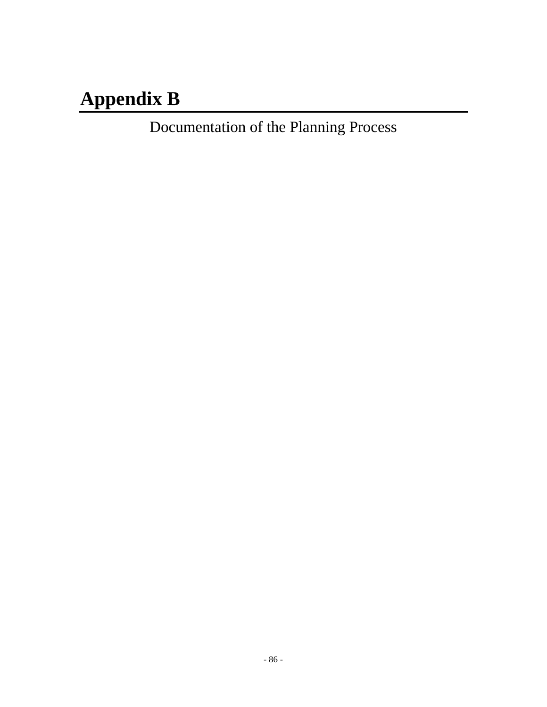# **Appendix B**

Documentation of the Planning Process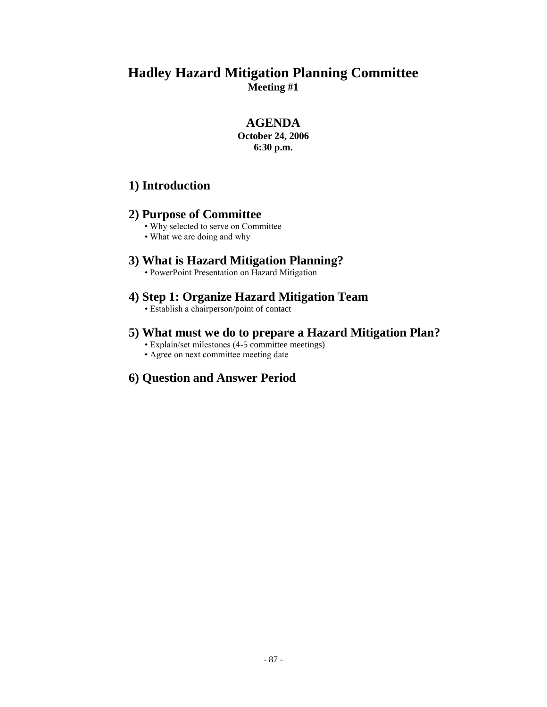#### **AGENDA**

**October 24, 2006 6:30 p.m.**

#### **1) Introduction**

#### **2) Purpose of Committee**

- Why selected to serve on Committee
- What we are doing and why

#### **3) What is Hazard Mitigation Planning?**

• PowerPoint Presentation on Hazard Mitigation

#### **4) Step 1: Organize Hazard Mitigation Team**

• Establish a chairperson/point of contact

#### **5) What must we do to prepare a Hazard Mitigation Plan?**

- Explain/set milestones (4-5 committee meetings)
- Agree on next committee meeting date

## **6) Question and Answer Period**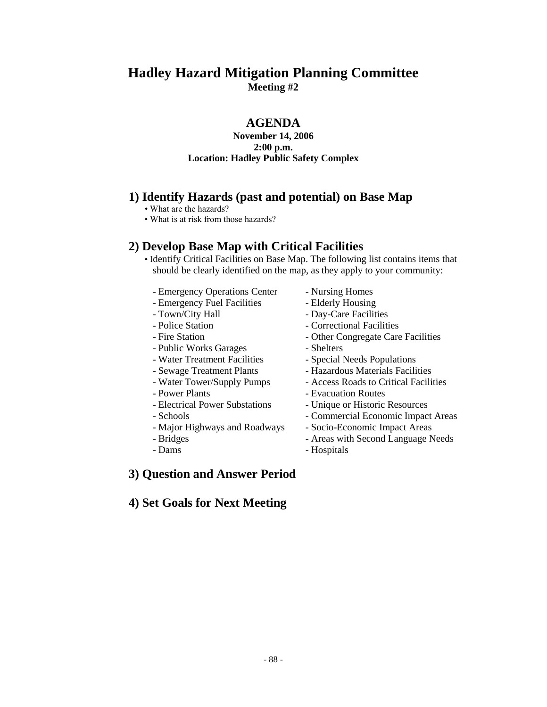#### **AGENDA**

#### **November 14, 2006 2:00 p.m. Location: Hadley Public Safety Complex**

#### **1) Identify Hazards (past and potential) on Base Map**

- What are the hazards?
- What is at risk from those hazards?

#### **2) Develop Base Map with Critical Facilities**

- Identify Critical Facilities on Base Map. The following list contains items that should be clearly identified on the map, as they apply to your community:
	- Emergency Operations Center Nursing Homes
	- Emergency Fuel Facilities Elderly Housing
	- Town/City Hall Day-Care Facilities
	- Police Station  **Correctional Facilities**
	-
	- Public Works Garages Shelters
	- Water Treatment Facilities Special Needs Populations
	-
	-
	-
	- Power Plants<br>
	Evacuation Routes<br>
	Electrical Power Substations<br>
	Unique or Historic
	-
	- Major Highways and Roadways Socio-Economic Impact Areas
	-
	-
- -
- 
- 
- Fire Station  **Other Congregate Care Facilities** 
	-
	-
- Sewage Treatment Plants Hazardous Materials Facilities
- Water Tower/Supply Pumps Access Roads to Critical Facilities
	-
	- Unique or Historic Resources
- Schools Commercial Economic Impact Areas
	-
- Bridges Areas with Second Language Needs
- Dams Hospitals

#### **3) Question and Answer Period**

#### **4) Set Goals for Next Meeting**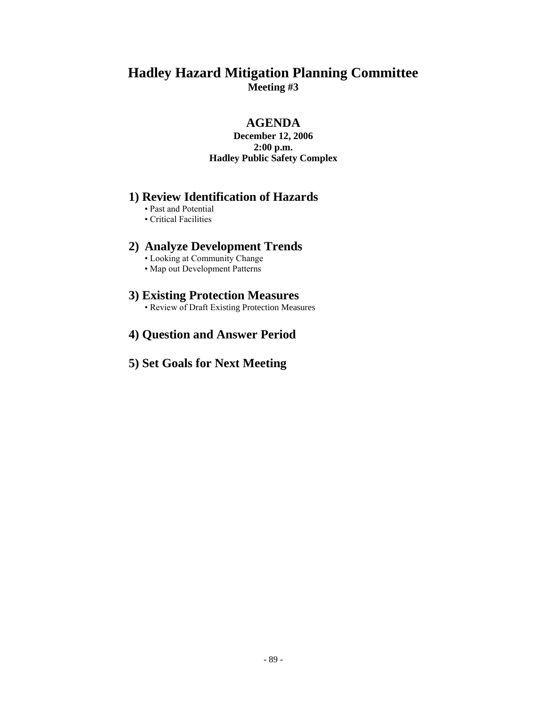#### **AGENDA**

#### **December 12, 2006 2:00 p.m. Hadley Public Safety Complex**

#### **1) Review Identification of Hazards**

- Past and Potential
- Critical Facilities

#### **2) Analyze Development Trends**

- Looking at Community Change
- Map out Development Patterns

#### **3) Existing Protection Measures**

- Review of Draft Existing Protection Measures
- **4) Question and Answer Period**

## **5) Set Goals for Next Meeting**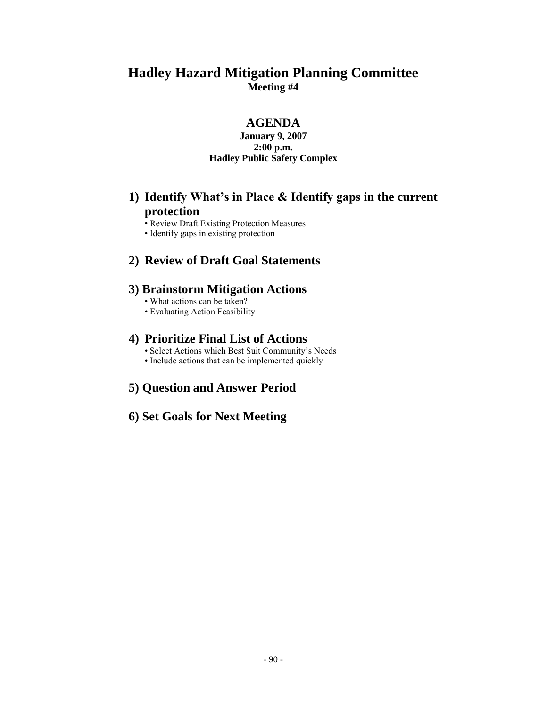#### **AGENDA**

#### **January 9, 2007 2:00 p.m. Hadley Public Safety Complex**

### **1) Identify What's in Place & Identify gaps in the current protection**

- Review Draft Existing Protection Measures
- Identify gaps in existing protection

#### **2) Review of Draft Goal Statements**

#### **3) Brainstorm Mitigation Actions**

- What actions can be taken?
- Evaluating Action Feasibility

#### **4) Prioritize Final List of Actions**

- Select Actions which Best Suit Community's Needs
- Include actions that can be implemented quickly

#### **5) Question and Answer Period**

#### **6) Set Goals for Next Meeting**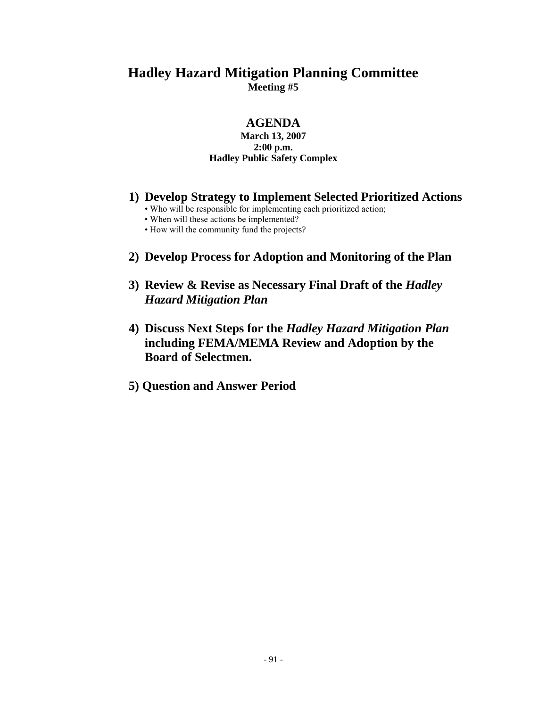#### **AGENDA**

#### **March 13, 2007 2:00 p.m. Hadley Public Safety Complex**

- **1) Develop Strategy to Implement Selected Prioritized Actions**
	- Who will be responsible for implementing each prioritized action;
	- When will these actions be implemented?
	- How will the community fund the projects?
- **2) Develop Process for Adoption and Monitoring of the Plan**
- **3) Review & Revise as Necessary Final Draft of the** *Hadley Hazard Mitigation Plan*
- **4) Discuss Next Steps for the** *Hadley Hazard Mitigation Plan*  **including FEMA/MEMA Review and Adoption by the Board of Selectmen.**
- **5) Question and Answer Period**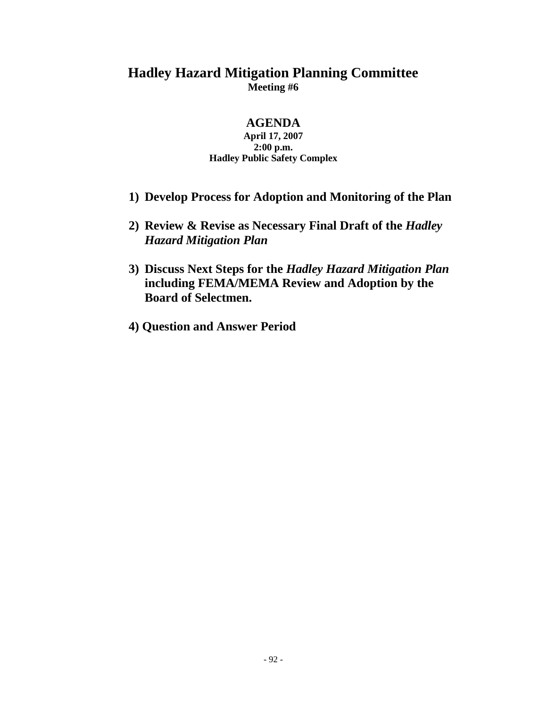#### **AGENDA**

#### **April 17, 2007 2:00 p.m. Hadley Public Safety Complex**

- **1) Develop Process for Adoption and Monitoring of the Plan**
- **2) Review & Revise as Necessary Final Draft of the** *Hadley Hazard Mitigation Plan*
- **3) Discuss Next Steps for the** *Hadley Hazard Mitigation Plan*  **including FEMA/MEMA Review and Adoption by the Board of Selectmen.**
- **4) Question and Answer Period**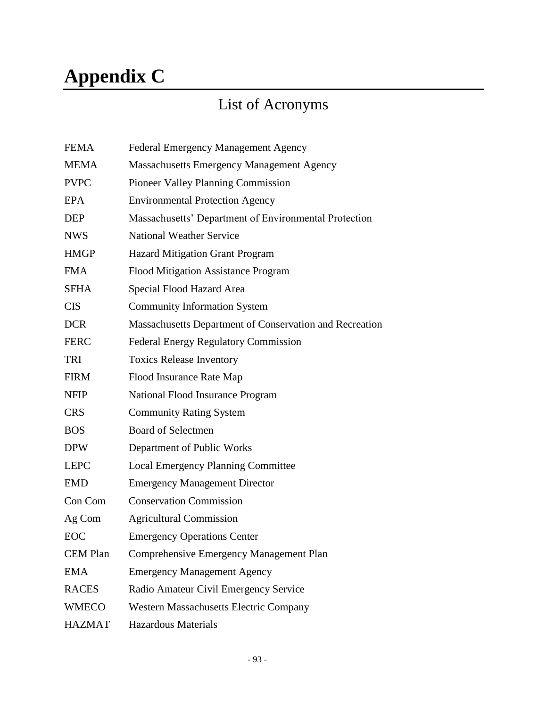# **Appendix C**

## List of Acronyms

| <b>FEMA</b>     | <b>Federal Emergency Management Agency</b>              |
|-----------------|---------------------------------------------------------|
| <b>MEMA</b>     | <b>Massachusetts Emergency Management Agency</b>        |
| <b>PVPC</b>     | <b>Pioneer Valley Planning Commission</b>               |
| <b>EPA</b>      | <b>Environmental Protection Agency</b>                  |
| <b>DEP</b>      | Massachusetts' Department of Environmental Protection   |
| <b>NWS</b>      | <b>National Weather Service</b>                         |
| <b>HMGP</b>     | <b>Hazard Mitigation Grant Program</b>                  |
| <b>FMA</b>      | Flood Mitigation Assistance Program                     |
| <b>SFHA</b>     | Special Flood Hazard Area                               |
| <b>CIS</b>      | <b>Community Information System</b>                     |
| <b>DCR</b>      | Massachusetts Department of Conservation and Recreation |
| <b>FERC</b>     | <b>Federal Energy Regulatory Commission</b>             |
| <b>TRI</b>      | <b>Toxics Release Inventory</b>                         |
| <b>FIRM</b>     | Flood Insurance Rate Map                                |
| <b>NFIP</b>     | National Flood Insurance Program                        |
| <b>CRS</b>      | <b>Community Rating System</b>                          |
| <b>BOS</b>      | <b>Board of Selectmen</b>                               |
| <b>DPW</b>      | Department of Public Works                              |
| <b>LEPC</b>     | <b>Local Emergency Planning Committee</b>               |
| <b>EMD</b>      | <b>Emergency Management Director</b>                    |
| Con Com         | <b>Conservation Commission</b>                          |
| Ag Com          | <b>Agricultural Commission</b>                          |
| EOC             | <b>Emergency Operations Center</b>                      |
| <b>CEM Plan</b> | Comprehensive Emergency Management Plan                 |
| <b>EMA</b>      | <b>Emergency Management Agency</b>                      |
| <b>RACES</b>    | Radio Amateur Civil Emergency Service                   |
| <b>WMECO</b>    | <b>Western Massachusetts Electric Company</b>           |
| <b>HAZMAT</b>   | <b>Hazardous Materials</b>                              |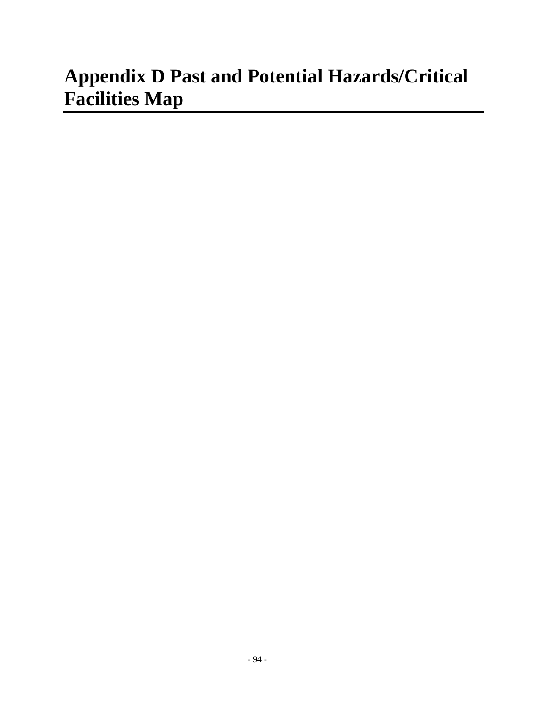## **Appendix D Past and Potential Hazards/Critical Facilities Map**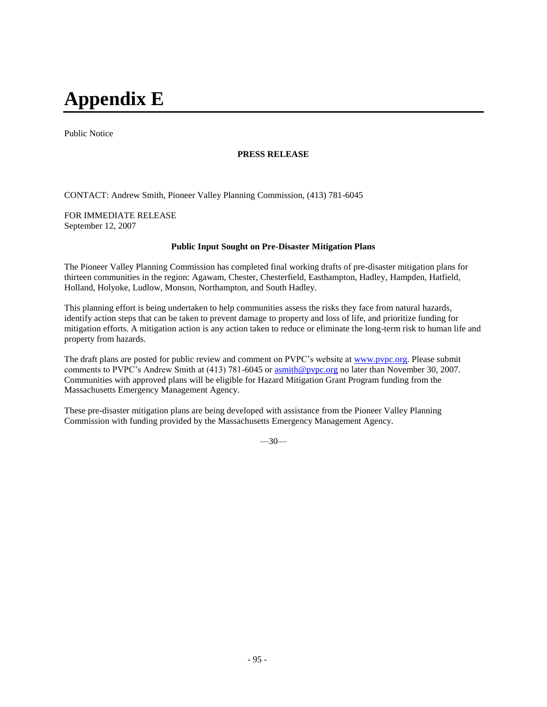## **Appendix E**

Public Notice

#### **PRESS RELEASE**

CONTACT: Andrew Smith, Pioneer Valley Planning Commission, (413) 781-6045

FOR IMMEDIATE RELEASE September 12, 2007

#### **Public Input Sought on Pre-Disaster Mitigation Plans**

The Pioneer Valley Planning Commission has completed final working drafts of pre-disaster mitigation plans for thirteen communities in the region: Agawam, Chester, Chesterfield, Easthampton, Hadley, Hampden, Hatfield, Holland, Holyoke, Ludlow, Monson, Northampton, and South Hadley.

This planning effort is being undertaken to help communities assess the risks they face from natural hazards, identify action steps that can be taken to prevent damage to property and loss of life, and prioritize funding for mitigation efforts. A mitigation action is any action taken to reduce or eliminate the long-term risk to human life and property from hazards.

The draft plans are posted for public review and comment on PVPC's website at [www.pvpc.org.](http://www.pvpc.org/) Please submit comments to PVPC's Andrew Smith at (413) 781-6045 or [asmith@pvpc.org](mailto:asmith@pvpc.org) no later than November 30, 2007. Communities with approved plans will be eligible for Hazard Mitigation Grant Program funding from the Massachusetts Emergency Management Agency.

These pre-disaster mitigation plans are being developed with assistance from the Pioneer Valley Planning Commission with funding provided by the Massachusetts Emergency Management Agency.

 $-30-$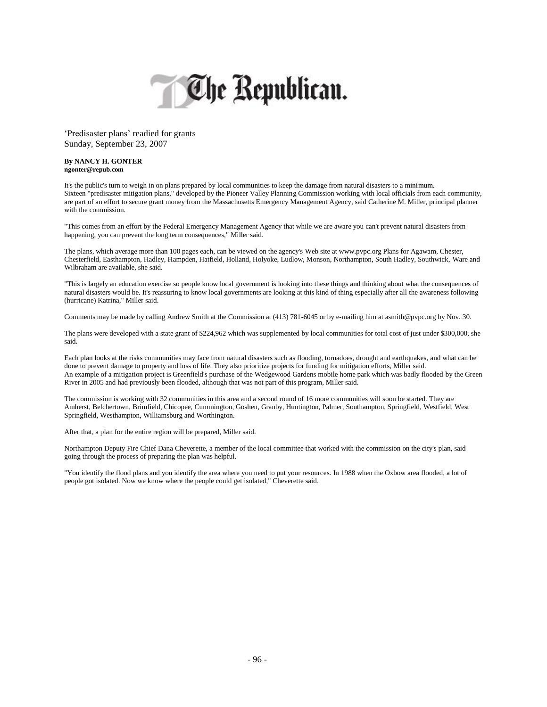

'Predisaster plans' readied for grants Sunday, September 23, 2007

#### **By NANCY H. GONTER ngonter@repub.com**

It's the public's turn to weigh in on plans prepared by local communities to keep the damage from natural disasters to a minimum. Sixteen "predisaster mitigation plans," developed by the Pioneer Valley Planning Commission working with local officials from each community, are part of an effort to secure grant money from the Massachusetts Emergency Management Agency, said Catherine M. Miller, principal planner with the commission.

"This comes from an effort by the Federal Emergency Management Agency that while we are aware you can't prevent natural disasters from happening, you can prevent the long term consequences," Miller said.

The plans, which average more than 100 pages each, can be viewed on the agency's Web site at www.pvpc.org Plans for Agawam, Chester, Chesterfield, Easthampton, Hadley, Hampden, Hatfield, Holland, Holyoke, Ludlow, Monson, Northampton, South Hadley, Southwick, Ware and Wilbraham are available, she said.

"This is largely an education exercise so people know local government is looking into these things and thinking about what the consequences of natural disasters would be. It's reassuring to know local governments are looking at this kind of thing especially after all the awareness following (hurricane) Katrina," Miller said.

Comments may be made by calling Andrew Smith at the Commission at (413) 781-6045 or by e-mailing him at asmith@pvpc.org by Nov. 30.

The plans were developed with a state grant of \$224,962 which was supplemented by local communities for total cost of just under \$300,000, she said.

Each plan looks at the risks communities may face from natural disasters such as flooding, tornadoes, drought and earthquakes, and what can be done to prevent damage to property and loss of life. They also prioritize projects for funding for mitigation efforts, Miller said. An example of a mitigation project is Greenfield's purchase of the Wedgewood Gardens mobile home park which was badly flooded by the Green River in 2005 and had previously been flooded, although that was not part of this program, Miller said.

The commission is working with 32 communities in this area and a second round of 16 more communities will soon be started. They are Amherst, Belchertown, Brimfield, Chicopee, Cummington, Goshen, Granby, Huntington, Palmer, Southampton, Springfield, Westfield, West Springfield, Westhampton, Williamsburg and Worthington.

After that, a plan for the entire region will be prepared, Miller said.

Northampton Deputy Fire Chief Dana Cheverette, a member of the local committee that worked with the commission on the city's plan, said going through the process of preparing the plan was helpful.

"You identify the flood plans and you identify the area where you need to put your resources. In 1988 when the Oxbow area flooded, a lot of people got isolated. Now we know where the people could get isolated," Cheverette said.